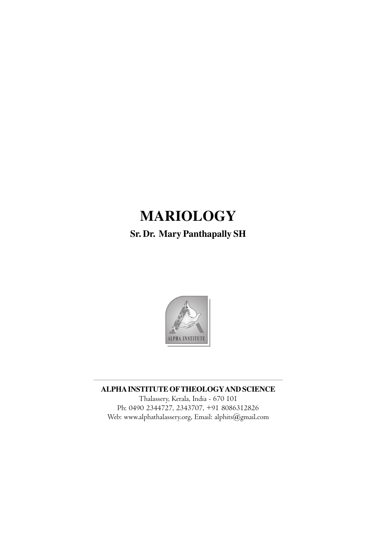# **MARIOLOGY**

**Sr. Dr. Mary Panthapally SH**



**ALPHA INSTITUTE OFTHEOLOGYAND SCIENCE**

Thalassery, Kerala, India - 670 101 Ph: 0490 2344727, 2343707, +91 8086312826 Web: www.alphathalassery.org, Email: alphits@gmail.com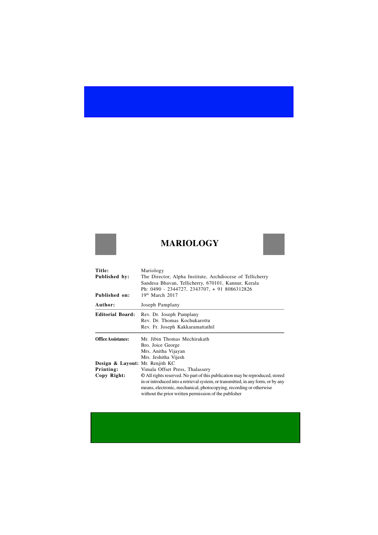## **MARIOLOGY**



| Mariology<br>The Director, Alpha Institute, Archdiocese of Tellicherry<br>Sandesa Bhavan, Tellicherry, 670101, Kannur, Kerala<br>Ph: 0490 - 2344727, 2343707, + 91 8086312826<br>$19th$ March 2017                                                                                                                                                                     |
|------------------------------------------------------------------------------------------------------------------------------------------------------------------------------------------------------------------------------------------------------------------------------------------------------------------------------------------------------------------------|
| Joseph Pamplany                                                                                                                                                                                                                                                                                                                                                        |
| Rev. Dr. Joseph Pamplany<br>Rev. Dr. Thomas Kochukarottu<br>Rev. Fr. Joseph Kakkaramattathil                                                                                                                                                                                                                                                                           |
| Mr. Jibin Thomas Mechirakath<br>Bro. Joice George<br>Mrs. Anitha Vijayan<br>Mrs. Jeshitha Vijesh                                                                                                                                                                                                                                                                       |
| Design & Layout: Mr. Renjith KC<br>Vimala Offset Press, Thalassery<br>© All rights reserved. No part of this publication may be reproduced, stored<br>in or introduced into a retrieval system, or transmitted, in any form, or by any<br>means, electronic, mechanical, photocopying, recording or otherwise<br>without the prior written permission of the publisher |
|                                                                                                                                                                                                                                                                                                                                                                        |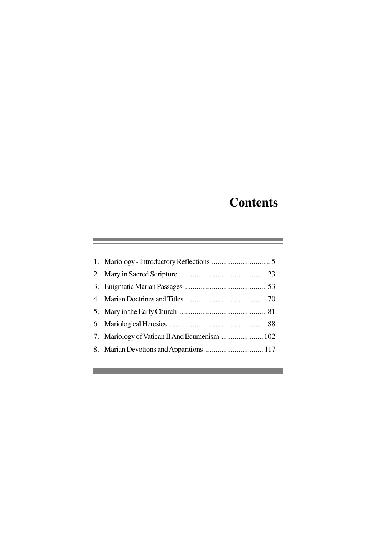# **Contents**

a sa mga bagayan ng mga bayang ng mga pag-ang pag-ang pag-ang pag-ang pag-ang pag-ang pag-ang pag-ang pag-ang

 $\mathcal{L}^{\mathcal{L}}(\mathcal{L}^{\mathcal{L}}(\mathcal{L}^{\mathcal{L}}(\mathcal{L}^{\mathcal{L}}(\mathcal{L}^{\mathcal{L}}(\mathcal{L}^{\mathcal{L}}(\mathcal{L}^{\mathcal{L}}(\mathcal{L}^{\mathcal{L}}(\mathcal{L}^{\mathcal{L}}(\mathcal{L}^{\mathcal{L}}(\mathcal{L}^{\mathcal{L}}(\mathcal{L}^{\mathcal{L}}(\mathcal{L}^{\mathcal{L}}(\mathcal{L}^{\mathcal{L}}(\mathcal{L}^{\mathcal{L}}(\mathcal{L}^{\mathcal{L}}(\mathcal{L}^{\mathcal{L$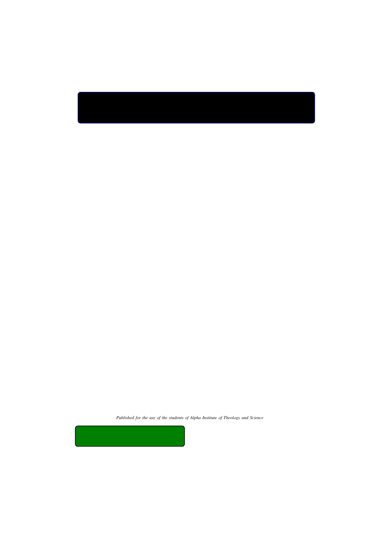*Published for the use of the students of Alpha Institute of Theology and Science*

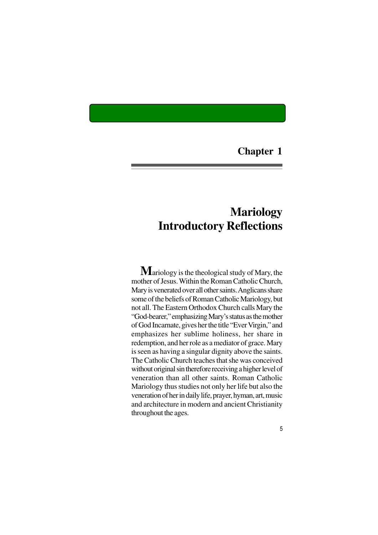**Chapter 1**

# **Mariology Introductory Reflections**

**M**ariology is the theological study of Mary, the mother of Jesus. Within the Roman Catholic Church, Mary is venerated over all other saints. Anglicans share some of the beliefs of Roman Catholic Mariology, but not all. The Eastern Orthodox Church calls Mary the "God-bearer," emphasizing Mary's status as the mother of God Incarnate, gives her the title "Ever Virgin," and emphasizes her sublime holiness, her share in redemption, and her role as a mediator of grace. Mary is seen as having a singular dignity above the saints. The Catholic Church teaches that she was conceived without original sin therefore receiving a higher level of veneration than all other saints. Roman Catholic Mariology thus studies not only her life but also the veneration of her in daily life, prayer, hyman, art, music and architecture in modern and ancient Christianity throughout the ages.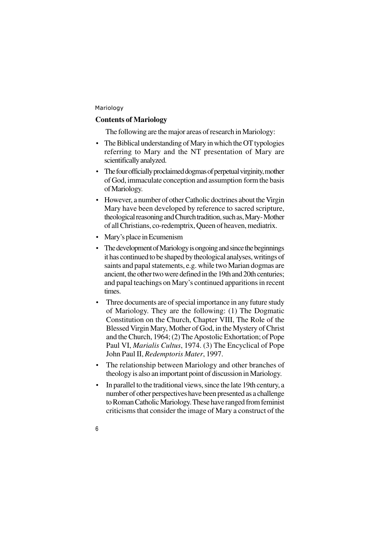#### **Contents of Mariology**

The following are the major areas of research in Mariology:

- The Biblical understanding of Mary in which the OT typologies referring to Mary and the NT presentation of Mary are scientifically analyzed.
- The four officially proclaimed dogmas of perpetual virginity, mother of God, immaculate conception and assumption form the basis of Mariology.
- However, a number of other Catholic doctrines about the Virgin Mary have been developed by reference to sacred scripture, theological reasoning and Church tradition, such as, Mary- Mother of all Christians, co-redemptrix, Queen of heaven, mediatrix.
- Mary's place in Ecumenism
- The development of Mariology is ongoing and since the beginnings it has continued to be shaped by theological analyses, writings of saints and papal statements, e.g. while two Marian dogmas are ancient, the other two were defined in the 19th and 20th centuries; and papal teachings on Mary's continued apparitions in recent times.
- Three documents are of special importance in any future study of Mariology. They are the following: (1) The Dogmatic Constitution on the Church, Chapter VIII, The Role of the Blessed Virgin Mary, Mother of God, in the Mystery of Christ and the Church, 1964; (2) The Apostolic Exhortation; of Pope Paul VI, *Marialis Cultus*, 1974. (3) The Encyclical of Pope John Paul II, *Redemptoris Mater*, 1997.
- The relationship between Mariology and other branches of theology is also an important point of discussion in Mariology.
- In parallel to the traditional views, since the late 19th century, a number of other perspectives have been presented as a challenge to Roman Catholic Mariology. These have ranged from feminist criticisms that consider the image of Mary a construct of the
- 6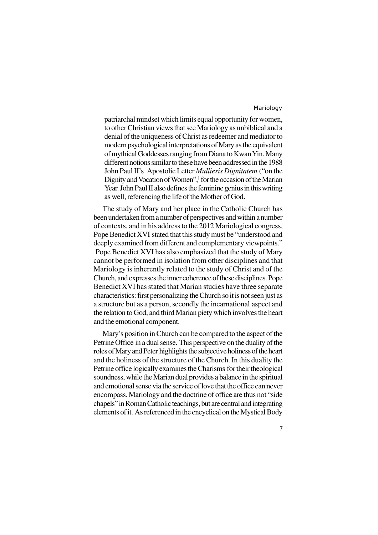patriarchal mindset which limits equal opportunity for women, to other Christian views that see Mariology as unbiblical and a denial of the uniqueness of Christ as redeemer and mediator to modern psychological interpretations of Mary as the equivalent of mythical Goddesses ranging from Diana to Kwan Yin. Many different notions similar to these have been addressed in the 1988 John Paul II's Apostolic Letter *Mullieris Dignitatem* ("on the Dignity and Vocation of Women",] for the occasion of the Marian Year. John Paul II also defines the feminine genius in this writing as well, referencing the life of the Mother of God.

The study of Mary and her place in the Catholic Church has been undertaken from a number of perspectives and within a number of contexts, and in his address to the 2012 Mariological congress, Pope Benedict XVI stated that this study must be "understood and deeply examined from different and complementary viewpoints." Pope Benedict XVI has also emphasized that the study of Mary cannot be performed in isolation from other disciplines and that Mariology is inherently related to the study of Christ and of the Church, and expresses the inner coherence of these disciplines. Pope Benedict XVI has stated that Marian studies have three separate characteristics: first personalizing the Church so it is not seen just as a structure but as a person, secondly the incarnational aspect and the relation to God, and third Marian piety which involves the heart and the emotional component.

Mary's position in Church can be compared to the aspect of the Petrine Office in a dual sense. This perspective on the duality of the roles of Mary and Peter highlights the subjective holiness of the heart and the holiness of the structure of the Church. In this duality the Petrine office logically examines the Charisms for their theological soundness, while the Marian dual provides a balance in the spiritual and emotional sense via the service of love that the office can never encompass. Mariology and the doctrine of office are thus not "side chapels" in Roman Catholic teachings, but are central and integrating elements of it. As referenced in the encyclical on the Mystical Body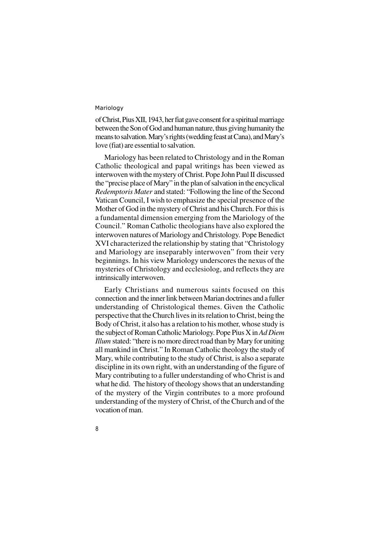8

of Christ, Pius XII, 1943, her fiat gave consent for a spiritual marriage between the Son of God and human nature, thus giving humanity the means to salvation. Mary's rights (wedding feast at Cana), and Mary's love (fiat) are essential to salvation.

Mariology has been related to Christology and in the Roman Catholic theological and papal writings has been viewed as interwoven with the mystery of Christ. Pope John Paul II discussed the "precise place of Mary" in the plan of salvation in the encyclical *Redemptoris Mater* and stated: "Following the line of the Second Vatican Council, I wish to emphasize the special presence of the Mother of God in the mystery of Christ and his Church. For this is a fundamental dimension emerging from the Mariology of the Council." Roman Catholic theologians have also explored the interwoven natures of Mariology and Christology. Pope Benedict XVI characterized the relationship by stating that "Christology and Mariology are inseparably interwoven" from their very beginnings. In his view Mariology underscores the nexus of the mysteries of Christology and ecclesiolog, and reflects they are intrinsically interwoven.

Early Christians and numerous saints focused on this connection and the inner link between Marian doctrines and a fuller understanding of Christological themes. Given the Catholic perspective that the Church lives in its relation to Christ, being the Body of Christ, it also has a relation to his mother, whose study is the subject of Roman Catholic Mariology. Pope Pius X in *Ad Diem Illum* stated: "there is no more direct road than by Mary for uniting all mankind in Christ." In Roman Catholic theology the study of Mary, while contributing to the study of Christ, is also a separate discipline in its own right, with an understanding of the figure of Mary contributing to a fuller understanding of who Christ is and what he did. The history of theology shows that an understanding of the mystery of the Virgin contributes to a more profound understanding of the mystery of Christ, of the Church and of the vocation of man.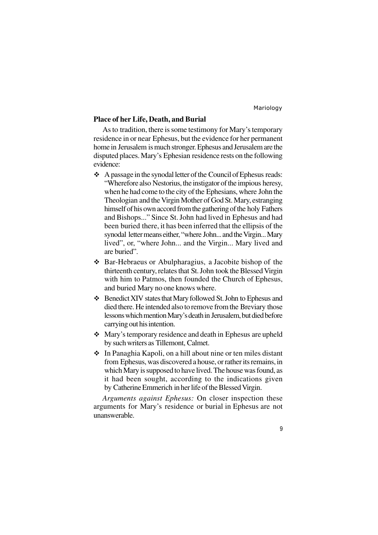#### **Place of her Life, Death, and Burial**

As to tradition, there is some testimony for Mary's temporary residence in or near Ephesus, but the evidence for her permanent home in Jerusalem is much stronger. Ephesus and Jerusalem are the disputed places. Mary's Ephesian residence rests on the following evidence:

- $\triangle$  A passage in the synodal letter of the Council of Ephesus reads: "Wherefore also Nestorius, the instigator of the impious heresy, when he had come to the city of the Ephesians, where John the Theologian and the Virgin Mother of God St. Mary, estranging himself of his own accord from the gathering of the holy Fathers and Bishops..." Since St. John had lived in Ephesus and had been buried there, it has been inferred that the ellipsis of the synodal letter means either, "where John... and the Virgin... Mary lived", or, "where John... and the Virgin... Mary lived and are buried".
- v Bar-Hebraeus or Abulpharagius, a Jacobite bishop of the thirteenth century, relates that St. John took the Blessed Virgin with him to Patmos, then founded the Church of Ephesus, and buried Mary no one knows where.
- v Benedict XIV states that Mary followed St. John to Ephesus and died there. He intended also to remove from the Breviary those lessons which mention Mary's death in Jerusalem, but died before carrying out his intention.
- Mary's temporary residence and death in Ephesus are upheld by such writers as Tillemont, Calmet.
- v In Panaghia Kapoli, on a hill about nine or ten miles distant from Ephesus, was discovered a house, or rather its remains, in which Mary is supposed to have lived. The house was found, as it had been sought, according to the indications given by Catherine Emmerich in her life of the Blessed Virgin.

*Arguments against Ephesus:* On closer inspection these arguments for Mary's residence or burial in Ephesus are not unanswerable.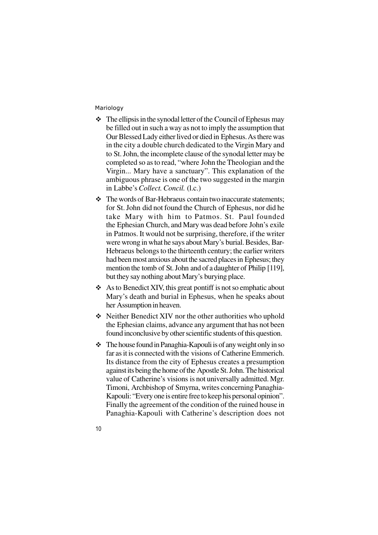- $\cdot \cdot$  The ellipsis in the synodal letter of the Council of Ephesus may be filled out in such a way as not to imply the assumption that Our Blessed Lady either lived or died in Ephesus. As there was in the city a double church dedicated to the Virgin Mary and to St. John, the incomplete clause of the synodal letter may be completed so as to read, "where John the Theologian and the Virgin... Mary have a sanctuary". This explanation of the ambiguous phrase is one of the two suggested in the margin in Labbe's *Collect. Concil.* (l.c.)
- $\div$  The words of Bar-Hebraeus contain two inaccurate statements: for St. John did not found the Church of Ephesus, nor did he take Mary with him to Patmos. St. Paul founded the Ephesian Church, and Mary was dead before John's exile in Patmos. It would not be surprising, therefore, if the writer were wrong in what he says about Mary's burial. Besides, Bar-Hebraeus belongs to the thirteenth century; the earlier writers had been most anxious about the sacred places in Ephesus; they mention the tomb of St. John and of a daughter of Philip [119], but they say nothing about Mary's burying place.
- $\triangle$  As to Benedict XIV, this great pontiff is not so emphatic about Mary's death and burial in Ephesus, when he speaks about her Assumption in heaven.
- v Neither Benedict XIV nor the other authorities who uphold the Ephesian claims, advance any argument that has not been found inconclusive by other scientific students of this question.
- The house found in Panaghia-Kapouli is of any weight only in so far as it is connected with the visions of Catherine Emmerich. Its distance from the city of Ephesus creates a presumption against its being the home of the Apostle St. John. The historical value of Catherine's visions is not universally admitted. Mgr. Timoni, Archbishop of Smyrna, writes concerning Panaghia-Kapouli: "Every one is entire free to keep his personal opinion". Finally the agreement of the condition of the ruined house in Panaghia-Kapouli with Catherine's description does not
- 10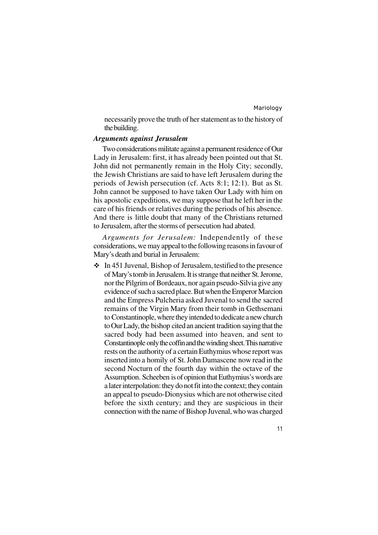11

necessarily prove the truth of her statement as to the history of the building.

#### *Arguments against Jerusalem*

Two considerations militate against a permanent residence of Our Lady in Jerusalem: first, it has already been pointed out that St. John did not permanently remain in the Holy City; secondly, the Jewish Christians are said to have left Jerusalem during the periods of Jewish persecution (cf. Acts 8:1; 12:1). But as St. John cannot be supposed to have taken Our Lady with him on his apostolic expeditions, we may suppose that he left her in the care of his friends or relatives during the periods of his absence. And there is little doubt that many of the Christians returned to Jerusalem, after the storms of persecution had abated.

*Arguments for Jerusalem:* Independently of these considerations, we may appeal to the following reasons in favour of Mary's death and burial in Jerusalem:

 $\cdot$  In 451 Juvenal, Bishop of Jerusalem, testified to the presence of Mary's tomb in Jerusalem. It is strange that neither St. Jerome, nor the Pilgrim of Bordeaux, nor again pseudo-Silvia give any evidence of such a sacred place. But when the Emperor Marcion and the Empress Pulcheria asked Juvenal to send the sacred remains of the Virgin Mary from their tomb in Gethsemani to Constantinople, where they intended to dedicate a new church to Our Lady, the bishop cited an ancient tradition saying that the sacred body had been assumed into heaven, and sent to Constantinople only the coffin and the winding sheet. This narrative rests on the authority of a certain Euthymius whose report was inserted into a homily of St. John Damascene now read in the second Nocturn of the fourth day within the octave of the Assumption. Scheeben is of opinion that Euthymius's words are a later interpolation: they do not fit into the context; they contain an appeal to pseudo-Dionysius which are not otherwise cited before the sixth century; and they are suspicious in their connection with the name of Bishop Juvenal, who was charged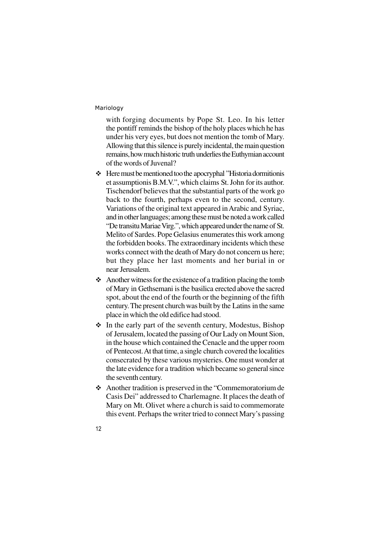with forging documents by Pope St. Leo. In his letter the pontiff reminds the bishop of the holy places which he has under his very eyes, but does not mention the tomb of Mary. Allowing that this silence is purely incidental, the main question remains, how much historic truth underlies the Euthymian account of the words of Juvenal?

- v Here must be mentioned too the apocryphal "Historia dormitionis et assumptionis B.M.V.", which claims St. John for its author. Tischendorf believes that the substantial parts of the work go back to the fourth, perhaps even to the second, century. Variations of the original text appeared in Arabic and Syriac, and in other languages; among these must be noted a work called "De transitu Mariae Virg.", which appeared under the name of St. Melito of Sardes. Pope Gelasius enumerates this work among the forbidden books. The extraordinary incidents which these works connect with the death of Mary do not concern us here; but they place her last moments and her burial in or near Jerusalem.
- $\triangleleft$  Another witness for the existence of a tradition placing the tomb of Mary in Gethsemani is the basilica erected above the sacred spot, about the end of the fourth or the beginning of the fifth century. The present church was built by the Latins in the same place in which the old edifice had stood.
- $\div$  In the early part of the seventh century, Modestus, Bishop of Jerusalem, located the passing of Our Lady on Mount Sion, in the house which contained the Cenacle and the upper room of Pentecost. At that time, a single church covered the localities consecrated by these various mysteries. One must wonder at the late evidence for a tradition which became so general since the seventh century.
- v Another tradition is preserved in the "Commemoratorium de Casis Dei" addressed to Charlemagne. It places the death of Mary on Mt. Olivet where a church is said to commemorate this event. Perhaps the writer tried to connect Mary's passing
- 12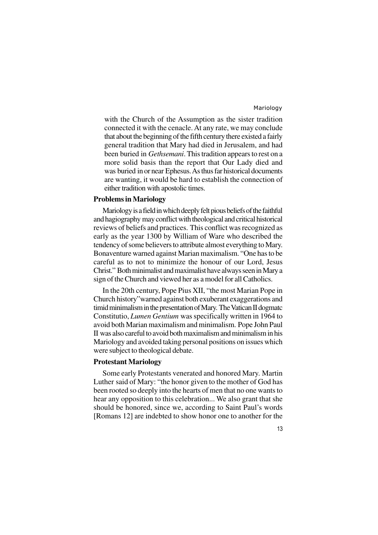with the Church of the Assumption as the sister tradition connected it with the cenacle. At any rate, we may conclude that about the beginning of the fifth century there existed a fairly general tradition that Mary had died in Jerusalem, and had been buried in *Gethsemani*. This tradition appears to rest on a more solid basis than the report that Our Lady died and was buried in or near Ephesus. As thus far historical documents are wanting, it would be hard to establish the connection of either tradition with apostolic times.

#### **Problems in Mariology**

Mariology is a field in which deeply felt pious beliefs of the faithful and hagiography may conflict with theological and critical historical reviews of beliefs and practices. This conflict was recognized as early as the year 1300 by William of Ware who described the tendency of some believers to attribute almost everything to Mary. Bonaventure warned against Marian maximalism. "One has to be careful as to not to minimize the honour of our Lord, Jesus Christ." Both minimalist and maximalist have always seen in Mary a sign of the Church and viewed her as a model for all Catholics.

In the 20th century, Pope Pius XII, "the most Marian Pope in Church history"warned against both exuberant exaggerations and timid minimalism in the presentation of Mary. The Vatican II dogmatc Constitutio, *Lumen Gentium* was specifically written in 1964 to avoid both Marian maximalism and minimalism. Pope John Paul II was also careful to avoid both maximalism and minimalism in his Mariology and avoided taking personal positions on issues which were subject to theological debate.

#### **Protestant Mariology**

Some early Protestants venerated and honored Mary. Martin Luther said of Mary: "the honor given to the mother of God has been rooted so deeply into the hearts of men that no one wants to hear any opposition to this celebration... We also grant that she should be honored, since we, according to Saint Paul's words [Romans 12] are indebted to show honor one to another for the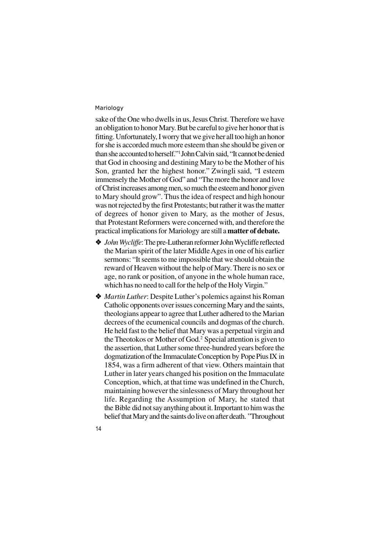sake of the One who dwells in us, Jesus Christ. Therefore we have an obligation to honor Mary. But be careful to give her honor that is fitting. Unfortunately, I worry that we give her all too high an honor for she is accorded much more esteem than she should be given or than she accounted to herself."1 John Calvin said, "It cannot be denied that God in choosing and destining Mary to be the Mother of his Son, granted her the highest honor." Zwingli said, "I esteem immensely the Mother of God" and "The more the honor and love of Christ increases among men, so much the esteem and honor given to Mary should grow". Thus the idea of respect and high honour was not rejected by the first Protestants; but rather it was the matter of degrees of honor given to Mary, as the mother of Jesus, that Protestant Reformers were concerned with, and therefore the practical implications for Mariology are still a **matter of debate.**

- v *JohnWycliffe*: The pre-Lutheran reformer John Wycliffe reflected the Marian spirit of the later Middle Ages in one of his earlier sermons: "It seems to me impossible that we should obtain the reward of Heaven without the help of Mary. There is no sex or age, no rank or position, of anyone in the whole human race, which has no need to call for the help of the Holy Virgin."
- v *Martin Luther*: Despite Luther's polemics against his Roman Catholic opponents over issues concerning Mary and the saints, theologians appear to agree that Luther adhered to the Marian decrees of the ecumenical councils and dogmas of the church. He held fast to the belief that Mary was a perpetual virgin and the Theotokos or Mother of God.<sup>2</sup> Special attention is given to the assertion, that Luther some three-hundred years before the dogmatization of the Immaculate Conception by Pope Pius IX in 1854, was a firm adherent of that view. Others maintain that Luther in later years changed his position on the Immaculate Conception, which, at that time was undefined in the Church, maintaining however the sinlessness of Mary throughout her life. Regarding the Assumption of Mary, he stated that the Bible did not say anything about it. Important to him was the belief that Mary and the saints do live on after death. "Throughout
- 14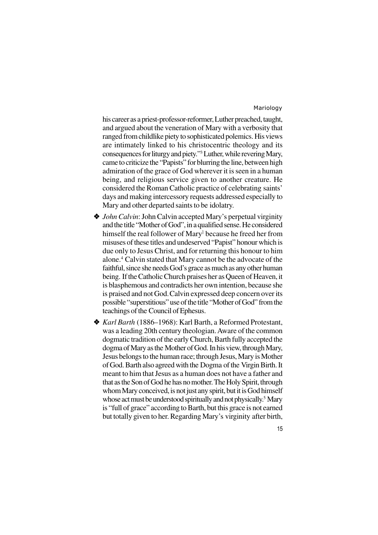his career as a priest-professor-reformer, Luther preached, taught, and argued about the veneration of Mary with a verbosity that ranged from childlike piety to sophisticated polemics. His views are intimately linked to his christocentric theology and its consequences for liturgy and piety."<sup>3</sup> Luther, while revering Mary, came to criticize the "Papists" for blurring the line, between high admiration of the grace of God wherever it is seen in a human being, and religious service given to another creature. He considered the Roman Catholic practice of celebrating saints' days and making intercessory requests addressed especially to Mary and other departed saints to be idolatry.

- ◆ *John Calvin*: John Calvin accepted Mary's perpetual virginity and the title "Mother of God", in a qualified sense. He considered himself the real follower of Mary<sup>1</sup> because he freed her from misuses of these titles and undeserved "Papist" honour which is due only to Jesus Christ, and for returning this honour to him alone.<sup>4</sup> Calvin stated that Mary cannot be the advocate of the faithful, since she needs God's grace as much as any other human being. If the Catholic Church praises her as Queen of Heaven, it is blasphemous and contradicts her own intention, because she is praised and not God.Calvin expressed deep concern over its possible "superstitious" use of the title "Mother of God" from the teachings of the Council of Ephesus.
- v *Karl Barth* (1886–1968): Karl Barth, a Reformed Protestant, was a leading 20th century theologian. Aware of the common dogmatic tradition of the early Church, Barth fully accepted the dogma of Mary as the Mother of God. In his view, through Mary, Jesus belongs to the human race; through Jesus, Mary is Mother of God. Barth also agreed with the Dogma of the Virgin Birth. It meant to him that Jesus as a human does not have a father and that as the Son of God he has no mother. The Holy Spirit, through whom Mary conceived, is not just any spirit, but it is God himself whose act must be understood spiritually and not physically.<sup>5</sup> Mary is "full of grace" according to Barth, but this grace is not earned but totally given to her. Regarding Mary's virginity after birth,
	- 15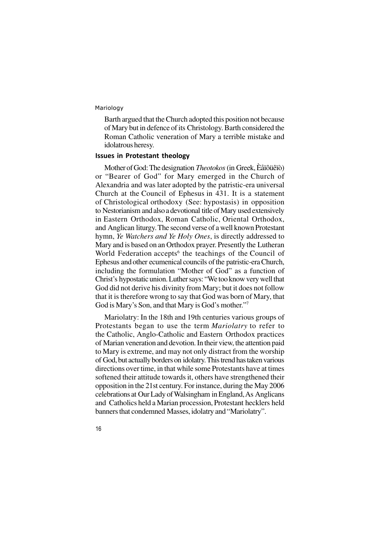Barth argued that the Church adopted this position not because of Mary but in defence of its Christology. Barth considered the Roman Catholic veneration of Mary a terrible mistake and idolatrous heresy.

#### **Issues in Protestant theology**

Mother of God: The designation *Theotokos* (in Greek, Èåïôüêïò) or "Bearer of God" for Mary emerged in the Church of Alexandria and was later adopted by the patristic-era universal Church at the Council of Ephesus in 431. It is a statement of Christological orthodoxy (See: hypostasis) in opposition to Nestorianism and also a devotional title of Mary used extensively in Eastern Orthodox, Roman Catholic, Oriental Orthodox, and Anglican liturgy. The second verse of a well known Protestant hymn, *Ye Watchers and Ye Holy Ones*, is directly addressed to Mary and is based on an Orthodox prayer. Presently the Lutheran World Federation accepts<sup>6</sup> the teachings of the Council of Ephesus and other ecumenical councils of the patristic-era Church, including the formulation "Mother of God" as a function of Christ's hypostatic union. Luther says: "We too know very well that God did not derive his divinity from Mary; but it does not follow that it is therefore wrong to say that God was born of Mary, that God is Mary's Son, and that Mary is God's mother."<sup>7</sup>

Mariolatry: In the 18th and 19th centuries various groups of Protestants began to use the term *Mariolatry* to refer to the Catholic, Anglo-Catholic and Eastern Orthodox practices of Marian veneration and devotion. In their view, the attention paid to Mary is extreme, and may not only distract from the worship of God, but actually borders on idolatry. This trend has taken various directions over time, in that while some Protestants have at times softened their attitude towards it, others have strengthened their opposition in the 21st century. For instance, during the May 2006 celebrations at Our Lady of Walsingham in England, As Anglicans and Catholics held a Marian procession, Protestant hecklers held banners that condemned Masses, idolatry and "Mariolatry".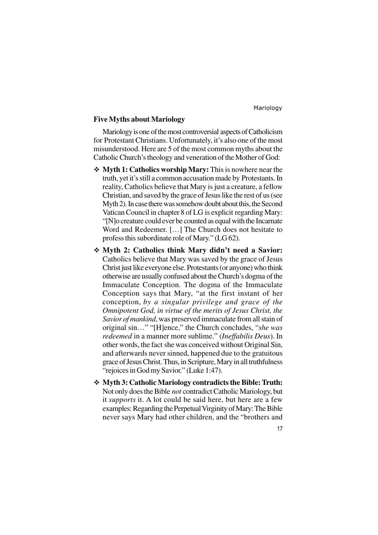#### **Five Myths about Mariology**

Mariology is one of the most controversial aspects of Catholicism for Protestant Christians. Unfortunately, it's also one of the most misunderstood. Here are 5 of the most common myths about the Catholic Church's theology and veneration of the Mother of God:

- v **Myth 1: Catholics worship Mary:** This is nowhere near the truth, yet it's still a common accusation made by Protestants. In reality, Catholics believe that Mary is just a creature, a fellow Christian, and saved by the grace of Jesus like the rest of us (see Myth 2). In case there was somehow doubt about this, the Second Vatican Council in chapter 8 of LG is explicit regarding Mary: "[N]o creature could ever be counted as equal with the Incarnate Word and Redeemer. […] The Church does not hesitate to profess this subordinate role of Mary." (LG 62).
- v **Myth 2: Catholics think Mary didn't need a Savior:** Catholics believe that Mary was saved by the grace of Jesus Christ just like everyone else. Protestants (or anyone) who think otherwise are usually confused about the Church's dogma of the Immaculate Conception. The dogma of the Immaculate Conception says that Mary, "at the first instant of her conception, *by a singular privilege and grace of the Omnipotent God, in virtue of the merits of Jesus Christ, the Savior of mankind*, was preserved immaculate from all stain of original sin…" "[H]ence," the Church concludes, "*she was redeemed* in a manner more sublime." (*Ineffabilis Deus*). In other words, the fact she was conceived without Original Sin, and afterwards never sinned, happened due to the gratuitous grace of Jesus Christ. Thus, in Scripture, Mary in all truthfulness "rejoices in God my Savior." (Luke 1:47).
- v **Myth 3: Catholic Mariology contradicts the Bible: Truth:** Not only does the Bible *not* contradict Catholic Mariology, but it *supports* it. A lot could be said here, but here are a few examples: Regarding the Perpetual Virginity of Mary: The Bible never says Mary had other children, and the "brothers and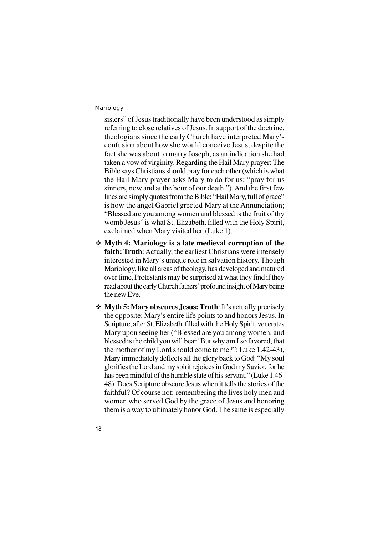sisters" of Jesus traditionally have been understood as simply referring to close relatives of Jesus. In support of the doctrine, theologians since the early Church have interpreted Mary's confusion about how she would conceive Jesus, despite the fact she was about to marry Joseph, as an indication she had taken a vow of virginity. Regarding the Hail Mary prayer: The Bible says Christians should pray for each other (which is what the Hail Mary prayer asks Mary to do for us: "pray for us sinners, now and at the hour of our death."). And the first few lines are simply quotes from the Bible: "Hail Mary, full of grace" is how the angel Gabriel greeted Mary at the Annunciation; "Blessed are you among women and blessed is the fruit of thy womb Jesus" is what St. Elizabeth, filled with the Holy Spirit, exclaimed when Mary visited her. (Luke 1).

- v **Myth 4: Mariology is a late medieval corruption of the faith: Truth**: Actually, the earliest Christians were intensely interested in Mary's unique role in salvation history. Though Mariology, like all areas of theology, has developed and matured over time, Protestants may be surprised at what they find if they read about the early Church fathers' profound insight of Mary being the new Eve.
- v **Myth 5: Mary obscures Jesus: Truth**: It's actually precisely the opposite: Mary's entire life points to and honors Jesus. In Scripture, after St. Elizabeth, filled with the Holy Spirit, venerates Mary upon seeing her ("Blessed are you among women, and blessed is the child you will bear! But why am I so favored, that the mother of my Lord should come to me?"; Luke 1.42-43), Mary immediately deflects all the glory back to God: "My soul glorifies the Lord and my spirit rejoices in God my Savior, for he has been mindful of the humble state of his servant." (Luke 1.46- 48). Does Scripture obscure Jesus when it tells the stories of the faithful? Of course not: remembering the lives holy men and women who served God by the grace of Jesus and honoring them is a way to ultimately honor God. The same is especially
- 18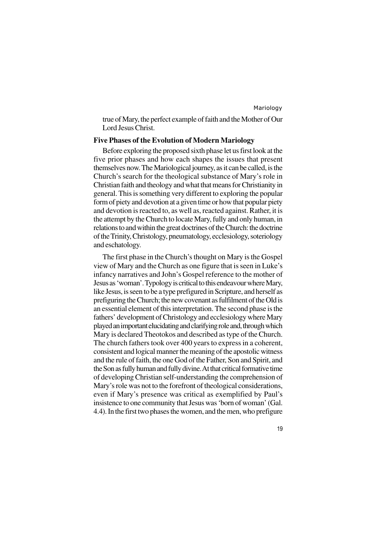true of Mary, the perfect example of faith and the Mother of Our Lord Jesus Christ.

#### **Five Phases of the Evolution of Modern Mariology**

Before exploring the proposed sixth phase let us first look at the five prior phases and how each shapes the issues that present themselves now. The Mariological journey, as it can be called, is the Church's search for the theological substance of Mary's role in Christian faith and theology and what that means for Christianity in general. This is something very different to exploring the popular form of piety and devotion at a given time or how that popular piety and devotion is reacted to, as well as, reacted against. Rather, it is the attempt by the Church to locate Mary, fully and only human, in relations to and within the great doctrines of the Church: the doctrine of the Trinity, Christology, pneumatology, ecclesiology, soteriology and eschatology.

The first phase in the Church's thought on Mary is the Gospel view of Mary and the Church as one figure that is seen in Luke's infancy narratives and John's Gospel reference to the mother of Jesus as 'woman'. Typology is critical to this endeavour where Mary, like Jesus, is seen to be a type prefigured in Scripture, and herself as prefiguring the Church; the new covenant as fulfilment of the Old is an essential element of this interpretation. The second phase is the fathers' development of Christology and ecclesiology where Mary played an important elucidating and clarifying role and, through which Mary is declared Theotokos and described as type of the Church. The church fathers took over 400 years to express in a coherent, consistent and logical manner the meaning of the apostolic witness and the rule of faith, the one God of the Father, Son and Spirit, and the Son as fully human and fully divine. At that critical formative time of developing Christian self-understanding the comprehension of Mary's role was not to the forefront of theological considerations, even if Mary's presence was critical as exemplified by Paul's insistence to one community that Jesus was 'born of woman' (Gal. 4.4). In the first two phases the women, and the men, who prefigure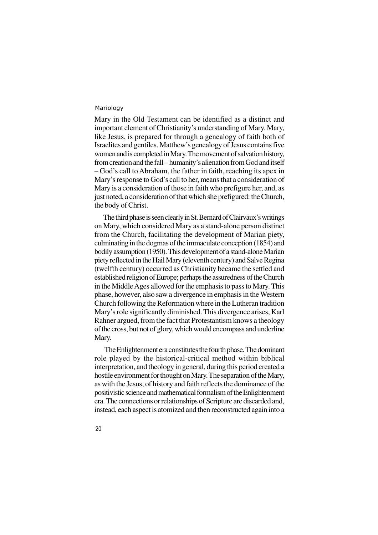Mary in the Old Testament can be identified as a distinct and important element of Christianity's understanding of Mary. Mary, like Jesus, is prepared for through a genealogy of faith both of Israelites and gentiles. Matthew's genealogy of Jesus contains five women and is completed in Mary. The movement of salvation history, from creation and the fall – humanity's alienation from God and itself – God's call to Abraham, the father in faith, reaching its apex in Mary's response to God's call to her, means that a consideration of Mary is a consideration of those in faith who prefigure her, and, as just noted, a consideration of that which she prefigured: the Church, the body of Christ.

The third phase is seen clearly in St. Bernard of Clairvaux's writings on Mary, which considered Mary as a stand-alone person distinct from the Church, facilitating the development of Marian piety, culminating in the dogmas of the immaculate conception (1854) and bodily assumption (1950). This development of a stand-alone Marian piety reflected in the Hail Mary (eleventh century) and Salve Regina (twelfth century) occurred as Christianity became the settled and established religion of Europe; perhaps the assuredness of the Church in the Middle Ages allowed for the emphasis to pass to Mary. This phase, however, also saw a divergence in emphasis in the Western Church following the Reformation where in the Lutheran tradition Mary's role significantly diminished. This divergence arises, Karl Rahner argued, from the fact that Protestantism knows a theology of the cross, but not of glory, which would encompass and underline Mary.

 The Enlightenment era constitutes the fourth phase. The dominant role played by the historical-critical method within biblical interpretation, and theology in general, during this period created a hostile environment for thought on Mary. The separation of the Mary, as with the Jesus, of history and faith reflects the dominance of the positivistic science and mathematical formalism of the Enlightenment era. The connections or relationships of Scripture are discarded and, instead, each aspect is atomized and then reconstructed again into a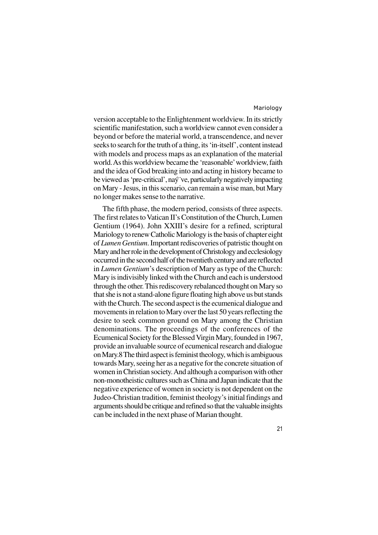version acceptable to the Enlightenment worldview. In its strictly scientific manifestation, such a worldview cannot even consider a beyond or before the material world, a transcendence, and never seeks to search for the truth of a thing, its 'in-itself', content instead with models and process maps as an explanation of the material world. As this worldview became the 'reasonable' worldview, faith and the idea of God breaking into and acting in history became to be viewed as 'pre-critical', naý¨ve, particularly negatively impacting on Mary - Jesus, in this scenario, can remain a wise man, but Mary no longer makes sense to the narrative.

The fifth phase, the modern period, consists of three aspects. The first relates to Vatican II's Constitution of the Church, Lumen Gentium (1964). John XXIII's desire for a refined, scriptural Mariology to renew Catholic Mariology is the basis of chapter eight of *Lumen Gentium*. Important rediscoveries of patristic thought on Mary and her role in the development of Christology and ecclesiology occurred in the second half of the twentieth century and are reflected in *Lumen Gentium*'s description of Mary as type of the Church: Mary is indivisibly linked with the Church and each is understood through the other. This rediscovery rebalanced thought on Mary so that she is not a stand-alone figure floating high above us but stands with the Church. The second aspect is the ecumenical dialogue and movements in relation to Mary over the last 50 years reflecting the desire to seek common ground on Mary among the Christian denominations. The proceedings of the conferences of the Ecumenical Society for the Blessed Virgin Mary, founded in 1967, provide an invaluable source of ecumenical research and dialogue on Mary.8 The third aspect is feminist theology, which is ambiguous towards Mary, seeing her as a negative for the concrete situation of women in Christian society. And although a comparison with other non-monotheistic cultures such as China and Japan indicate that the negative experience of women in society is not dependent on the Judeo-Christian tradition, feminist theology's initial findings and arguments should be critique and refined so that the valuable insights can be included in the next phase of Marian thought.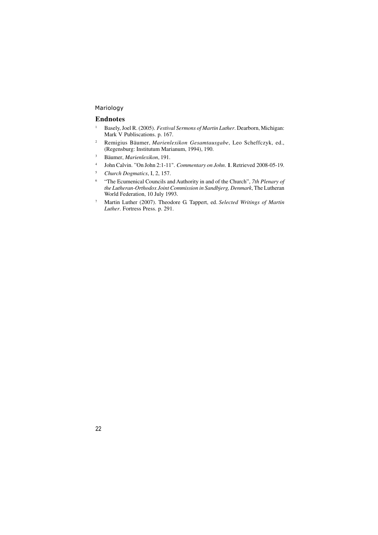#### **Endnotes**

- <sup>1</sup> Basely, Joel R. (2005). *Festival Sermons of Martin Luther*. Dearborn, Michigan: Mark V Publiscations. p. 167.
- <sup>2</sup> Remigius Bäumer, *Marienlexikon Gesamtausgabe*, Leo Scheffczyk, ed., (Regensburg: Institutum Marianum, 1994), 190.
- <sup>3</sup> Bäumer, *Marienlexikon*, 191.
- 4 John Calvin. "On John 2:1-11". *Commentary on John*. **1**. Retrieved 2008-05-19.
- <sup>5</sup> *Church Dogmatics*, I, 2, 157.
- 6 "The Ecumenical Councils and Authority in and of the Church", *7th Plenary of the Lutheran-Orthodox Joint Commission in Sandbjerg, Denmark*, The Lutheran World Federation, 10 July 1993.
- <sup>7</sup> Martin Luther (2007). Theodore G. Tappert, ed. *Selected Writings of Martin Luther*. Fortress Press. p. 291.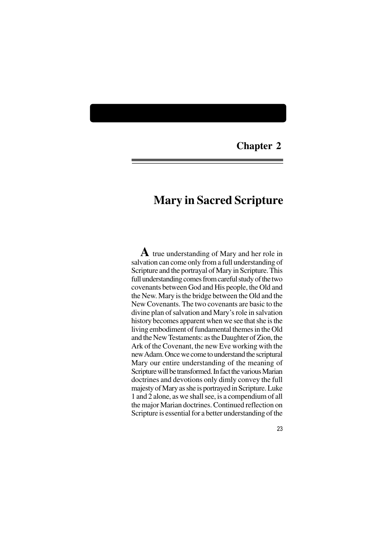### **Chapter 2**

## **Mary in Sacred Scripture**

**A** true understanding of Mary and her role in salvation can come only from a full understanding of Scripture and the portrayal of Mary in Scripture. This full understanding comes from careful study of the two covenants between God and His people, the Old and the New. Mary is the bridge between the Old and the New Covenants. The two covenants are basic to the divine plan of salvation and Mary's role in salvation history becomes apparent when we see that she is the living embodiment of fundamental themes in the Old and the New Testaments: as the Daughter of Zion, the Ark of the Covenant, the new Eve working with the new Adam. Once we come to understand the scriptural Mary our entire understanding of the meaning of Scripture will be transformed. In fact the various Marian doctrines and devotions only dimly convey the full majesty of Mary as she is portrayed in Scripture. Luke 1 and 2 alone, as we shall see, is a compendium of all the major Marian doctrines. Continued reflection on Scripture is essential for a better understanding of the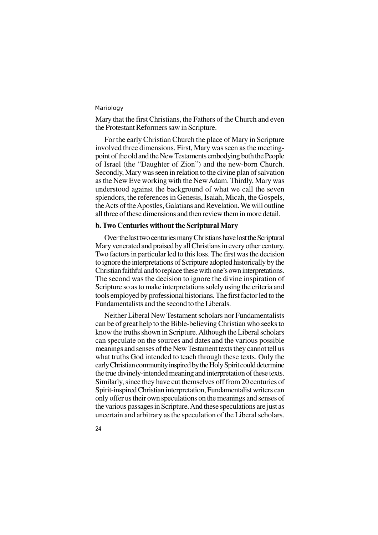Mary that the first Christians, the Fathers of the Church and even the Protestant Reformers saw in Scripture.

For the early Christian Church the place of Mary in Scripture involved three dimensions. First, Mary was seen as the meetingpoint of the old and the New Testaments embodying both the People of Israel (the "Daughter of Zion") and the new-born Church. Secondly, Mary was seen in relation to the divine plan of salvation as the New Eve working with the New Adam. Thirdly, Mary was understood against the background of what we call the seven splendors, the references in Genesis, Isaiah, Micah, the Gospels, the Acts of the Apostles, Galatians and Revelation. We will outline all three of these dimensions and then review them in more detail.

#### **b. Two Centuries without the Scriptural Mary**

Over the last two centuries many Christians have lost the Scriptural Mary venerated and praised by all Christians in every other century. Two factors in particular led to this loss. The first was the decision to ignore the interpretations of Scripture adopted historically by the Christian faithful and to replace these with one's own interpretations. The second was the decision to ignore the divine inspiration of Scripture so as to make interpretations solely using the criteria and tools employed by professional historians. The first factor led to the Fundamentalists and the second to the Liberals.

Neither Liberal New Testament scholars nor Fundamentalists can be of great help to the Bible-believing Christian who seeks to know the truths shown in Scripture. Although the Liberal scholars can speculate on the sources and dates and the various possible meanings and senses of the New Testament texts they cannot tell us what truths God intended to teach through these texts. Only the early Christian community inspired by the Holy Spirit could determine the true divinely-intended meaning and interpretation of these texts. Similarly, since they have cut themselves off from 20 centuries of Spirit-inspired Christian interpretation, Fundamentalist writers can only offer us their own speculations on the meanings and senses of the various passages in Scripture. And these speculations are just as uncertain and arbitrary as the speculation of the Liberal scholars.

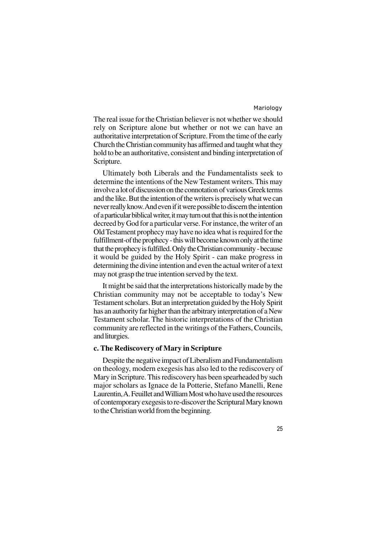The real issue for the Christian believer is not whether we should rely on Scripture alone but whether or not we can have an authoritative interpretation of Scripture. From the time of the early Church the Christian community has affirmed and taught what they hold to be an authoritative, consistent and binding interpretation of Scripture.

Ultimately both Liberals and the Fundamentalists seek to determine the intentions of the New Testament writers. This may involve a lot of discussion on the connotation of various Greek terms and the like. But the intention of the writers is precisely what we can never really know. And even if it were possible to discern the intention of a particular biblical writer, it may turn out that this is not the intention decreed by God for a particular verse. For instance, the writer of an Old Testament prophecy may have no idea what is required for the fulfillment-of the prophecy - this will become known only at the time that the prophecy is fulfilled. Only the Christian community - because it would be guided by the Holy Spirit - can make progress in determining the divine intention and even the actual writer of a text may not grasp the true intention served by the text.

It might be said that the interpretations historically made by the Christian community may not be acceptable to today's New Testament scholars. But an interpretation guided by the Holy Spirit has an authority far higher than the arbitrary interpretation of a New Testament scholar. The historic interpretations of the Christian community are reflected in the writings of the Fathers, Councils, and liturgies.

#### **c. The Rediscovery of Mary in Scripture**

Despite the negative impact of Liberalism and Fundamentalism on theology, modern exegesis has also led to the rediscovery of Mary in Scripture. This rediscovery has been spearheaded by such major scholars as Ignace de la Potterie, Stefano Manelli, Rene Laurentin, A. Feuillet and William Most who have used the resources of contemporary exegesis to re-discover the Scriptural Mary known to the Christian world from the beginning.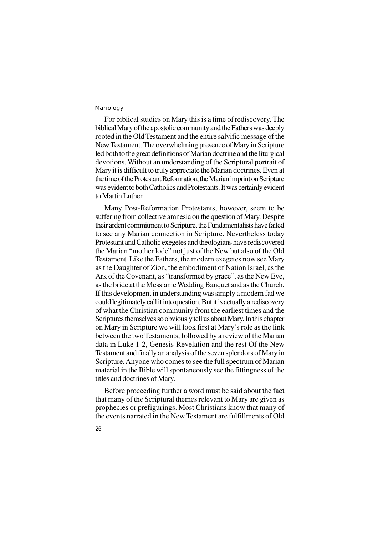For biblical studies on Mary this is a time of rediscovery. The biblical Mary of the apostolic community and the Fathers was deeply rooted in the Old Testament and the entire salvific message of the New Testament. The overwhelming presence of Mary in Scripture led both to the great definitions of Marian doctrine and the liturgical devotions. Without an understanding of the Scriptural portrait of Mary it is difficult to truly appreciate the Marian doctrines. Even at the time of the Protestant Reformation, the Marian imprint on Scripture was evident to both Catholics and Protestants. It was certainly evident to Martin Luther.

Many Post-Reformation Protestants, however, seem to be suffering from collective amnesia on the question of Mary. Despite their ardent commitment to Scripture, the Fundamentalists have failed to see any Marian connection in Scripture. Nevertheless today Protestant and Catholic exegetes and theologians have rediscovered the Marian "mother lode" not just of the New but also of the Old Testament. Like the Fathers, the modern exegetes now see Mary as the Daughter of Zion, the embodiment of Nation Israel, as the Ark of the Covenant, as "transformed by grace", as the New Eve, as the bride at the Messianic Wedding Banquet and as the Church. If this development in understanding was simply a modern fad we could legitimately call it into question. But it is actually a rediscovery of what the Christian community from the earliest times and the Scriptures themselves so obviously tell us about Mary. In this chapter on Mary in Scripture we will look first at Mary's role as the link between the two Testaments, followed by a review of the Marian data in Luke 1-2, Genesis-Revelation and the rest Of the New Testament and finally an analysis of the seven splendors of Mary in Scripture. Anyone who comes to see the full spectrum of Marian material in the Bible will spontaneously see the fittingness of the titles and doctrines of Mary.

Before proceeding further a word must be said about the fact that many of the Scriptural themes relevant to Mary are given as prophecies or prefigurings. Most Christians know that many of the events narrated in the New Testament are fulfillments of Old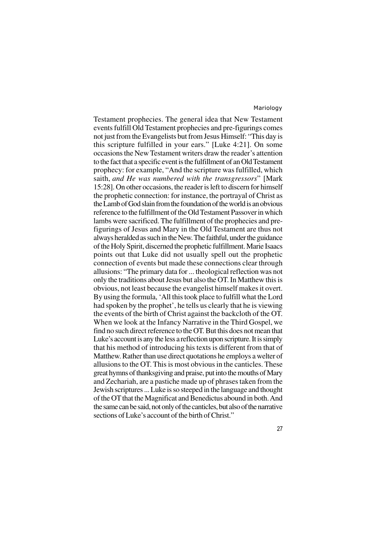Testament prophecies. The general idea that New Testament events fulfill Old Testament prophecies and pre-figurings comes not just from the Evangelists but from Jesus Himself: "This day is this scripture fulfilled in your ears." [Luke 4:21]. On some occasions the New Testament writers draw the reader's attention to the fact that a specific event is the fulfillment of an Old Testament prophecy: for example, "And the scripture was fulfilled, which saith, *and He was numbered with the transgressors*" [Mark 15:28]. On other occasions, the reader is left to discern for himself the prophetic connection: for instance, the portrayal of Christ as the Lamb of God slain from the foundation of the world is an obvious reference to the fulfillment of the Old Testament Passover in which lambs were sacrificed. The fulfillment of the prophecies and prefigurings of Jesus and Mary in the Old Testament are thus not always heralded as such in the New. The faithful, under the guidance of the Holy Spirit, discerned the prophetic fulfillment. Marie Isaacs points out that Luke did not usually spell out the prophetic connection of events but made these connections clear through allusions: "The primary data for ... theological reflection was not only the traditions about Jesus but also the OT. In Matthew this is obvious, not least because the evangelist himself makes it overt. By using the formula, 'All this took place to fulfill what the Lord had spoken by the prophet', he tells us clearly that he is viewing the events of the birth of Christ against the backcloth of the OT. When we look at the Infancy Narrative in the Third Gospel, we find no such direct reference to the OT. But this does not mean that Luke's account is any the less a reflection upon scripture. It is simply that his method of introducing his texts is different from that of Matthew. Rather than use direct quotations he employs a welter of allusions to the OT. This is most obvious in the canticles. These great hymns of thanksgiving and praise, put into the mouths of Mary and Zechariah, are a pastiche made up of phrases taken from the Jewish scriptures ... Luke is so steeped in the language and thought of the OT that the Magnificat and Benedictus abound in both. And the same can be said, not only of the canticles, but also of the narrative sections of Luke's account of the birth of Christ."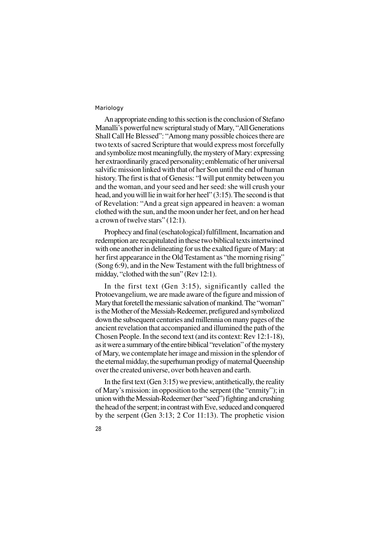An appropriate ending to this section is the conclusion of Stefano Manalli's powerful new scriptural study of Mary, "All Generations Shall Call He Blessed": "Among many possible choices there are two texts of sacred Scripture that would express most forcefully and symbolize most meaningfully, the mystery of Mary: expressing her extraordinarily graced personality; emblematic of her universal salvific mission linked with that of her Son until the end of human history. The first is that of Genesis: "I will put enmity between you and the woman, and your seed and her seed: she will crush your head, and you will lie in wait for her heel" (3:15). The second is that of Revelation: "And a great sign appeared in heaven: a woman clothed with the sun, and the moon under her feet, and on her head a crown of twelve stars" (12:1).

Prophecy and final (eschatological) fulfillment, Incarnation and redemption are recapitulated in these two biblical texts intertwined with one another in delineating for us the exalted figure of Mary: at her first appearance in the Old Testament as "the morning rising" (Song 6:9), and in the New Testament with the full brightness of midday, "clothed with the sun" (Rev 12:1).

In the first text (Gen 3:15), significantly called the Protoevangelium, we are made aware of the figure and mission of Mary that foretell the messianic salvation of mankind. The "woman" is the Mother of the Messiah-Redeemer, prefigured and symbolized down the subsequent centuries and millennia on many pages of the ancient revelation that accompanied and illumined the path of the Chosen People. In the second text (and its context: Rev 12:1-18), as it were a summary of the entire biblical "revelation" of the mystery of Mary, we contemplate her image and mission in the splendor of the eternal midday, the superhuman prodigy of maternal Queenship over the created universe, over both heaven and earth.

In the first text (Gen 3:15) we preview, antithetically, the reality of Mary's mission: in opposition to the serpent (the "enmity"); in union with the Messiah-Redeemer (her "seed") fighting and crushing the head of the serpent; in contrast with Eve, seduced and conquered by the serpent (Gen 3:13; 2 Cor 11:13). The prophetic vision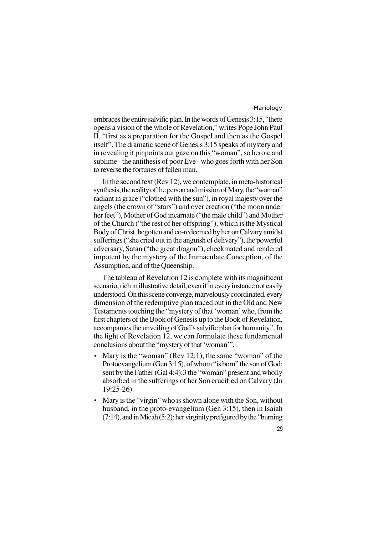embraces the entire salvific plan. In the words of Genesis 3:15, "there opens a vision of the whole of Revelation," writes Pope John Paul II, "first as a preparation for the Gospel and then as the Gospel itself". The dramatic scene of Genesis 3:15 speaks of mystery and in revealing it pinpoints our gaze on this "woman", so heroic and sublime - the antithesis of poor Eve - who goes forth with her Son to reverse the fortunes of fallen man.

In the second text (Rev 12), we contemplate, in meta-historical synthesis, the reality of the person and mission of Mary, the "woman" radiant in grace ("clothed with the sun"), in royal majesty over the angels (the crown of "stars") and over creation ("the moon under her feet"), Mother of God incarnate ("the male child") and Mother of the Church ("the rest of her offspring"), which is the Mystical Body of Christ, begotten and co-redeemed by her on Calvary amidst sufferings ("she cried out in the anguish of delivery"), the powerful adversary, Satan ("the great dragon"), checkmated and rendered impotent by the mystery of the Immaculate Conception, of the Assumption, and of the Queenship.

The tableau of Revelation 12 is complete with its magnificent scenario, rich in illustrative detail, even if in every instance not easily understood. On this scene converge, marvelously coordinated, every dimension of the redemptive plan traced out in the Old and New Testaments touching the "mystery of that 'woman' who, from the first chapters of the Book of Genesis up to the Book of Revelation, accompanies the unveiling of God's salvific plan for humanity.', In the light of Revelation 12, we can formulate these fundamental conclusions about the "mystery of that 'woman'".

- Mary is the "woman" (Rev 12:1), the same "woman" of the Protoevangelium (Gen 3:15), of whom "is born" the son of God; sent by the Father (Gal 4:4);3 the "woman" present and wholly absorbed in the sufferings of her Son crucified on Calvary (Jn 19:25-26).
- Mary is the "virgin" who is shown alone with the Son, without husband, in the proto-evangelium (Gen 3:15), then in Isaiah (7:14), and in Micah (5:2); her virginity prefigured by the "burning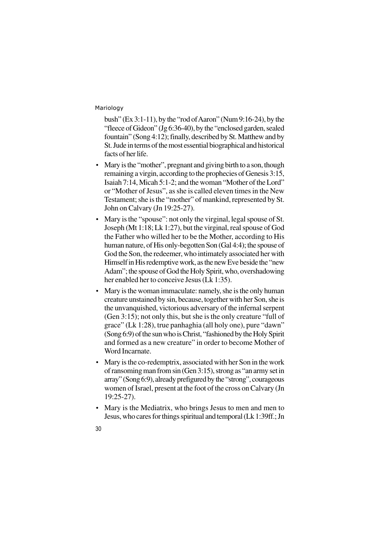bush" (Ex 3:1-11), by the "rod of Aaron" (Num 9:16-24), by the "fleece of Gideon" (Jg 6:36-40), by the "enclosed garden, sealed fountain" (Song 4:12); finally, described by St. Matthew and by St. Jude in terms of the most essential biographical and historical facts of her life.

- Mary is the "mother", pregnant and giving birth to a son, though remaining a virgin, according to the prophecies of Genesis 3:15, Isaiah 7:14, Micah 5:1-2; and the woman "Mother of the Lord" or "Mother of Jesus", as she is called eleven times in the New Testament; she is the "mother" of mankind, represented by St. John on Calvary (Jn 19:25-27).
- Mary is the "spouse": not only the virginal, legal spouse of St. Joseph (Mt 1:18; Lk 1:27), but the virginal, real spouse of God the Father who willed her to be the Mother, according to His human nature, of His only-begotten Son (Gal 4:4); the spouse of God the Son, the redeemer, who intimately associated her with Himself in His redemptive work, as the new Eve beside the "new Adam"; the spouse of God the Holy Spirit, who, overshadowing her enabled her to conceive Jesus (Lk 1:35).
- Mary is the woman immaculate: namely, she is the only human creature unstained by sin, because, together with her Son, she is the unvanquished, victorious adversary of the infernal serpent (Gen 3:15); not only this, but she is the only creature "full of grace" (Lk 1:28), true panhaghia (all holy one), pure "dawn" (Song 6:9) of the sun who is Christ, "fashioned by the Holy Spirit and formed as a new creature" in order to become Mother of Word Incarnate.
- Mary is the co-redemptrix, associated with her Son in the work of ransoming man from sin (Gen 3:15), strong as "an army set in array" (Song 6:9), already prefigured by the "strong", courageous women of Israel, present at the foot of the cross on Calvary (Jn 19:25-27).
- Mary is the Mediatrix, who brings Jesus to men and men to Jesus, who cares for things spiritual and temporal (Lk 1:39ff.; Jn
- 30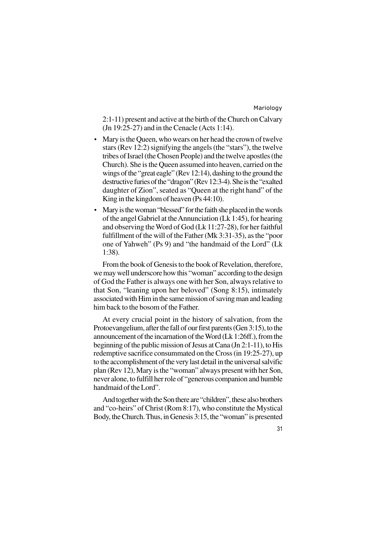2:1-11) present and active at the birth of the Church on Calvary (Jn 19:25-27) and in the Cenacle (Acts 1:14).

- Mary is the Queen, who wears on her head the crown of twelve stars (Rev 12:2) signifying the angels (the "stars"), the twelve tribes of Israel (the Chosen People) and the twelve apostles (the Church). She is the Queen assumed into heaven, carried on the wings of the "great eagle" (Rev 12:14), dashing to the ground the destructive furies of the "dragon" (Rev 12:3-4). She is the "exalted daughter of Zion", seated as "Queen at the right hand" of the King in the kingdom of heaven (Ps 44:10).
- Mary is the woman "blessed" for the faith she placed in the words of the angel Gabriel at the Annunciation (Lk 1:45), for hearing and observing the Word of God (Lk 11:27-28), for her faithful fulfillment of the will of the Father (Mk 3:31-35), as the "poor one of Yahweh" (Ps 9) and "the handmaid of the Lord" (Lk 1:38).

From the book of Genesis to the book of Revelation, therefore, we may well underscore how this "woman" according to the design of God the Father is always one with her Son, always relative to that Son, "leaning upon her beloved" (Song 8:15), intimately associated with Him in the same mission of saving man and leading him back to the bosom of the Father.

At every crucial point in the history of salvation, from the Protoevangelium, after the fall of our first parents (Gen 3:15), to the announcement of the incarnation of the Word (Lk 1:26ff.), from the beginning of the public mission of Jesus at Cana (Jn 2:1-11), to His redemptive sacrifice consummated on the Cross (in 19:25-27), up to the accomplishment of the very last detail in the universal salvific plan (Rev 12), Mary is the "woman" always present with her Son, never alone, to fulfill her role of "generous companion and humble handmaid of the Lord".

And together with the Son there are "children", these also brothers and "co-heirs" of Christ (Rom 8:17), who constitute the Mystical Body, the Church. Thus, in Genesis 3:15, the "woman" is presented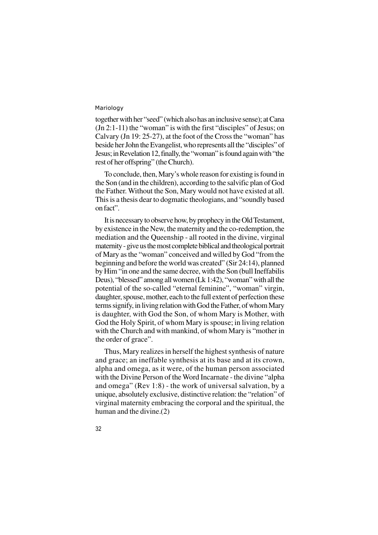together with her "seed" (which also has an inclusive sense); at Cana (Jn 2:1-11) the "woman" is with the first "disciples" of Jesus; on Calvary (Jn 19: 25-27), at the foot of the Cross the "woman" has beside her John the Evangelist, who represents all the "disciples" of Jesus; in Revelation 12, finally, the "woman" is found again with "the rest of her offspring" (the Church).

To conclude, then, Mary's whole reason for existing is found in the Son (and in the children), according to the salvific plan of God the Father. Without the Son, Mary would not have existed at all. This is a thesis dear to dogmatic theologians, and "soundly based on fact".

It is necessary to observe how, by prophecy in the Old Testament, by existence in the New, the maternity and the co-redemption, the mediation and the Queenship - all rooted in the divine, virginal maternity - give us the most complete biblical and theological portrait of Mary as the "woman" conceived and willed by God "from the beginning and before the world was created" (Sir 24:14), planned by Him "in one and the same decree, with the Son (bull Ineffabilis Deus), "blessed" among all women (Lk 1:42), "woman" with all the potential of the so-called "eternal feminine", "woman" virgin, daughter, spouse, mother, each to the full extent of perfection these terms signify, in living relation with God the Father, of whom Mary is daughter, with God the Son, of whom Mary is Mother, with God the Holy Spirit, of whom Mary is spouse; in living relation with the Church and with mankind, of whom Mary is "mother in the order of grace".

Thus, Mary realizes in herself the highest synthesis of nature and grace; an ineffable synthesis at its base and at its crown, alpha and omega, as it were, of the human person associated with the Divine Person of the Word Incarnate - the divine "alpha and omega" (Rev 1:8) - the work of universal salvation, by a unique, absolutely exclusive, distinctive relation: the "relation" of virginal maternity embracing the corporal and the spiritual, the human and the divine.(2)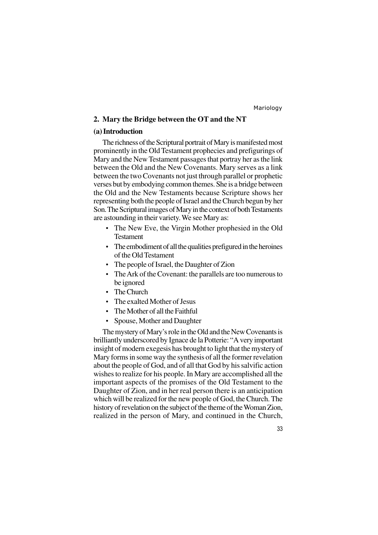33

#### **2. Mary the Bridge between the OT and the NT**

#### **(a) Introduction**

The richness of the Scriptural portrait of Mary is manifested most prominently in the Old Testament prophecies and prefigurings of Mary and the New Testament passages that portray her as the link between the Old and the New Covenants. Mary serves as a link between the two Covenants not just through parallel or prophetic verses but by embodying common themes. She is a bridge between the Old and the New Testaments because Scripture shows her representing both the people of Israel and the Church begun by her Son. The Scriptural images of Mary in the context of both Testaments are astounding in their variety. We see Mary as:

- The New Eve, the Virgin Mother prophesied in the Old Testament
- The embodiment of all the qualities prefigured in the heroines of the Old Testament
- The people of Israel, the Daughter of Zion
- The Ark of the Covenant: the parallels are too numerous to be ignored
- The Church
- The exalted Mother of Jesus
- The Mother of all the Faithful
- Spouse, Mother and Daughter

The mystery of Mary's role in the Old and the New Covenants is brilliantly underscored by Ignace de la Potterie: "A very important insight of modern exegesis has brought to light that the mystery of Mary forms in some way the synthesis of all the former revelation about the people of God, and of all that God by his salvific action wishes to realize for his people. In Mary are accomplished all the important aspects of the promises of the Old Testament to the Daughter of Zion, and in her real person there is an anticipation which will be realized for the new people of God, the Church. The history of revelation on the subject of the theme of the Woman Zion, realized in the person of Mary, and continued in the Church,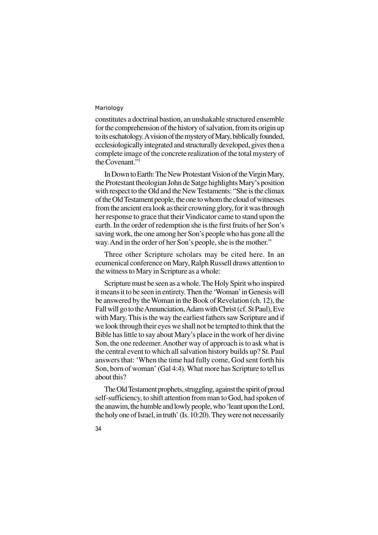constitutes a doctrinal bastion, an unshakable structured ensemble for the comprehension of the history of salvation, from its origin up to its eschatology. A vision of the mystery of Mary, biblically founded, ecclesiologically integrated and structurally developed, gives then a complete image of the concrete realization of the total mystery of the Covenant."<sup>1</sup>

In Down to Earth: The New Protestant Vision of the Virgin Mary, the Protestant theologian John de Satge highlights Mary's position with respect to the Old and the New Testaments: "She is the climax of the Old Testament people, the one to whom the cloud of witnesses from the ancient era look as their crowning glory, for it was through her response to grace that their Vindicator came to stand upon the earth. In the order of redemption she is the first fruits of her Son's saving work, the one among her Son's people who has gone all the way. And in the order of her Son's people, she is the mother."

Three other Scripture scholars may be cited here. In an ecumenical conference on Mary, Ralph Russell draws attention to the witness to Mary in Scripture as a whole:

Scripture must be seen as a whole. The Holy Spirit who inspired it means it to be seen in entirety. Then the 'Woman' in Genesis will be answered by the Woman in the Book of Revelation (ch. 12), the Fall will go to the Annunciation, Adam with Christ (cf. St Paul), Eve with Mary. This is the way the earliest fathers saw Scripture and if we look through their eyes we shall not be tempted to think that the Bible has little to say about Mary's place in the work of her divine Son, the one redeemer. Another way of approach is to ask what is the central event to which all salvation history builds up? St. Paul answers that: 'When the time had fully come, God sent forth his Son, born of woman' (Gal 4:4). What more has Scripture to tell us about this?

The Old Testament prophets, struggling, against the spirit of proud self-sufficiency, to shift attention from man to God, had spoken of the anawim, the humble and lowly people, who 'leant upon the Lord, the holy one of Israel, in truth' (Is. 10:20). They were not necessarily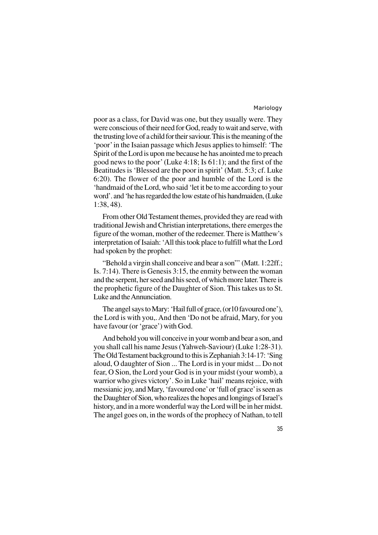poor as a class, for David was one, but they usually were. They were conscious of their need for God, ready to wait and serve, with the trusting love of a child for their saviour. This is the meaning of the 'poor' in the Isaian passage which Jesus applies to himself: 'The Spirit of the Lord is upon me because he has anointed me to preach good news to the poor' (Luke 4:18; Is 61:1); and the first of the Beatitudes is 'Blessed are the poor in spirit' (Matt. 5:3; cf. Luke 6:20). The flower of the poor and humble of the Lord is the 'handmaid of the Lord, who said 'let it be to me according to your word'. and 'he has regarded the low estate of his handmaiden, (Luke 1:38, 48).

From other Old Testament themes, provided they are read with traditional Jewish and Christian interpretations, there emerges the figure of the woman, mother of the redeemer. There is Matthew's interpretation of Isaiah: 'All this took place to fulfill what the Lord had spoken by the prophet:

"Behold a virgin shall conceive and bear a son"' (Matt. 1:22ff.; Is. 7:14). There is Genesis 3:15, the enmity between the woman and the serpent, her seed and his seed, of which more later. There is the prophetic figure of the Daughter of Sion. This takes us to St. Luke and the Annunciation.

The angel says to Mary: 'Hail full of grace, (or10 favoured one'), the Lord is with you,. And then 'Do not be afraid, Mary, for you have favour (or 'grace') with God.

And behold you will conceive in your womb and bear a son, and you shall call his name Jesus (Yahweh-Saviour) (Luke 1:28-31). The Old Testament background to this is Zephaniah 3:14-17: 'Sing aloud, O daughter of Sion ... The Lord is in your midst ... Do not fear, O Sion, the Lord your God is in your midst (your womb), a warrior who gives victory'. So in Luke 'hail' means rejoice, with messianic joy, and Mary, 'favoured one' or 'full of grace' is seen as the Daughter of Sion, who realizes the hopes and longings of Israel's history, and in a more wonderful way the Lord will be in her midst. The angel goes on, in the words of the prophecy of Nathan, to tell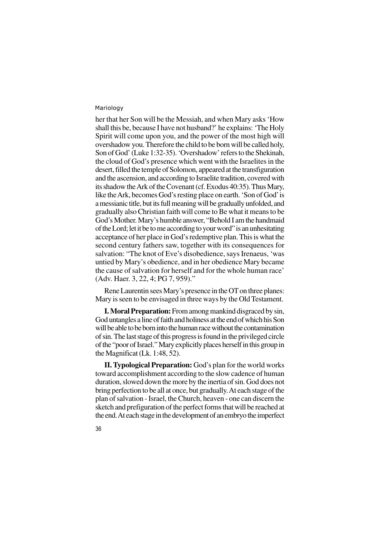36

her that her Son will be the Messiah, and when Mary asks 'How shall this be, because I have not husband?' he explains: 'The Holy Spirit will come upon you, and the power of the most high will overshadow you. Therefore the child to be born will be called holy, Son of God' (Luke 1:32-35). 'Overshadow' refers to the Shekinah, the cloud of God's presence which went with the Israelites in the desert, filled the temple of Solomon, appeared at the transfiguration and the ascension, and according to Israelite tradition, covered with its shadow the Ark of the Covenant (cf. Exodus 40:35). Thus Mary, like the Ark, becomes God's resting place on earth. 'Son of God' is a messianic title, but its full meaning will be gradually unfolded, and gradually also Christian faith will come to Be what it means to be God's Mother. Mary's humble answer, "Behold I am the handmaid of the Lord; let it be to me according to your word" is an unhesitating acceptance of her place in God's redemptive plan. This is what the second century fathers saw, together with its consequences for salvation: "The knot of Eve's disobedience, says Irenaeus, 'was untied by Mary's obedience, and in her obedience Mary became the cause of salvation for herself and for the whole human race' (Adv. Haer. 3, 22, 4; PG 7, 959)."

Rene Laurentin sees Mary's presence in the OT on three planes: Mary is seen to be envisaged in three ways by the Old Testament.

**I. Moral Preparation:** From among mankind disgraced by sin, God untangles a line of faith and holiness at the end of which his Son will be able to be born into the human race without the contamination of sin. The last stage of this progress is found in the privileged circle of the "poor of Israel." Mary explicitly places herself in this group in the Magnificat (Lk. 1:48, 52).

**II. Typological Preparation:** God's plan for the world works toward accomplishment according to the slow cadence of human duration, slowed down the more by the inertia of sin. God does not bring perfection to be all at once, but gradually. At each stage of the plan of salvation - Israel, the Church, heaven - one can discern the sketch and prefiguration of the perfect forms that will be reached at the end. At each stage in the development of an embryo the imperfect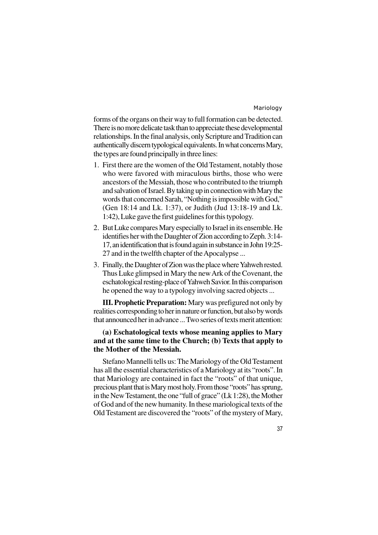forms of the organs on their way to full formation can be detected. There is no more delicate task than to appreciate these developmental relationships. In the final analysis, only Scripture and Tradition can authentically discern typological equivalents. In what concerns Mary, the types are found principally in three lines:

- 1. First there are the women of the Old Testament, notably those who were favored with miraculous births, those who were ancestors of the Messiah, those who contributed to the triumph and salvation of Israel. By taking up in connection with Mary the words that concerned Sarah, "Nothing is impossible with God," (Gen 18:14 and Lk. 1:37), or Judith (Jud 13:18-19 and Lk. 1:42), Luke gave the first guidelines for this typology.
- 2. But Luke compares Mary especially to Israel in its ensemble. He identifies her with the Daughter of Zion according to Zeph. 3:14- 17, an identification that is found again in substance in John 19:25- 27 and in the twelfth chapter of the Apocalypse ...
- 3. Finally, the Daughter of Zion was the place where Yahweh rested. Thus Luke glimpsed in Mary the new Ark of the Covenant, the eschatological resting-place of Yahweh Savior. In this comparison he opened the way to a typology involving sacred objects ...

**III. Prophetic Preparation:** Mary was prefigured not only by realities corresponding to her in nature or function, but also by words that announced her in advance ... Two series of texts merit attention:

# **(a) Eschatological texts whose meaning applies to Mary and at the same time to the Church; (b) Texts that apply to the Mother of the Messiah.**

Stefano Mannelli tells us: The Mariology of the Old Testament has all the essential characteristics of a Mariology at its "roots". In that Mariology are contained in fact the "roots" of that unique, precious plant that is Mary most holy. From those "roots" has sprung, in the New Testament, the one "full of grace" (Lk 1:28), the Mother of God and of the new humanity. In these mariological texts of the Old Testament are discovered the "roots" of the mystery of Mary,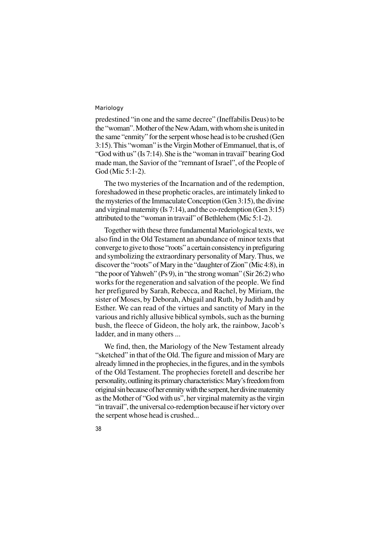predestined "in one and the same decree" (Ineffabilis Deus) to be the "woman". Mother of the New Adam, with whom she is united in the same "enmity" for the serpent whose head is to be crushed (Gen 3:15). This "woman" is the Virgin Mother of Emmanuel, that is, of "God with us" (Is 7:14). She is the "woman in travail" bearing God made man, the Savior of the "remnant of Israel", of the People of God (Mic 5:1-2).

The two mysteries of the Incarnation and of the redemption, foreshadowed in these prophetic oracles, are intimately linked to the mysteries of the Immaculate Conception (Gen 3:15), the divine and virginal maternity (Is 7:14), and the co-redemption (Gen 3:15) attributed to the "woman in travail" of Bethlehem (Mic 5:1-2).

Together with these three fundamental Mariological texts, we also find in the Old Testament an abundance of minor texts that converge to give to those "roots" a certain consistency in prefiguring and symbolizing the extraordinary personality of Mary. Thus, we discover the "roots" of Mary in the "daughter of Zion" (Mic 4:8), in "the poor of Yahweh" (Ps 9), in "the strong woman" (Sir 26:2) who works for the regeneration and salvation of the people. We find her prefigured by Sarah, Rebecca, and Rachel, by Miriam, the sister of Moses, by Deborah, Abigail and Ruth, by Judith and by Esther. We can read of the virtues and sanctity of Mary in the various and richly allusive biblical symbols, such as the burning bush, the fleece of Gideon, the holy ark, the rainbow, Jacob's ladder, and in many others ...

We find, then, the Mariology of the New Testament already "sketched" in that of the Old. The figure and mission of Mary are already limned in the prophecies, in the figures, and in the symbols of the Old Testament. The prophecies foretell and describe her personality, outlining its primary characteristics: Mary's freedom from original sin because of her enmity with the serpent, her divine maternity as the Mother of "God with us", her virginal maternity as the virgin "in travail", the universal co-redemption because if her victory over the serpent whose head is crushed...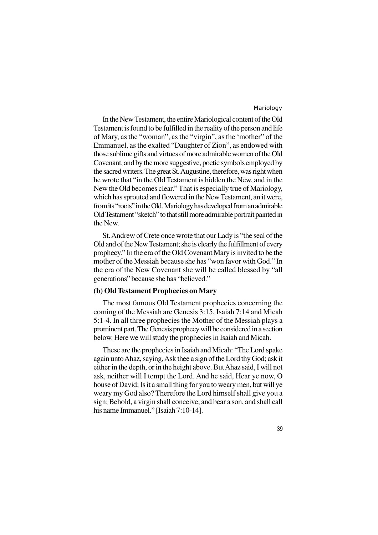39

In the New Testament, the entire Mariological content of the Old Testament is found to be fulfilled in the reality of the person and life of Mary, as the "woman", as the "virgin", as the 'mother" of the Emmanuel, as the exalted "Daughter of Zion", as endowed with those sublime gifts and virtues of more admirable women of the Old Covenant, and by the more suggestive, poetic symbols employed by the sacred writers. The great St. Augustine, therefore, was right when he wrote that "in the Old Testament is hidden the New, and in the New the Old becomes clear." That is especially true of Mariology, which has sprouted and flowered in the New Testament, an it were, from its "roots" in the Old. Mariology has developed from an admirable Old Testament "sketch" to that still more admirable portrait painted in the New.

St. Andrew of Crete once wrote that our Lady is "the seal of the Old and of the New Testament; she is clearly the fulfillment of every prophecy." In the era of the Old Covenant Mary is invited to be the mother of the Messiah because she has "won favor with God." In the era of the New Covenant she will be called blessed by "all generations" because she has "believed."

# **(b) Old Testament Prophecies on Mary**

The most famous Old Testament prophecies concerning the coming of the Messiah are Genesis 3:15, Isaiah 7:14 and Micah 5:1-4. In all three prophecies the Mother of the Messiah plays a prominent part. The Genesis prophecy will be considered in a section below. Here we will study the prophecies in Isaiah and Micah.

These are the prophecies in Isaiah and Micah: "The Lord spake again unto Ahaz, saying, Ask thee a sign of the Lord thy God; ask it either in the depth, or in the height above. But Ahaz said, I will not ask, neither will I tempt the Lord. And he said, Hear ye now, O house of David; Is it a small thing for you to weary men, but will ye weary my God also? Therefore the Lord himself shall give you a sign; Behold, a virgin shall conceive, and bear a son, and shall call his name Immanuel." [Isaiah 7:10-14].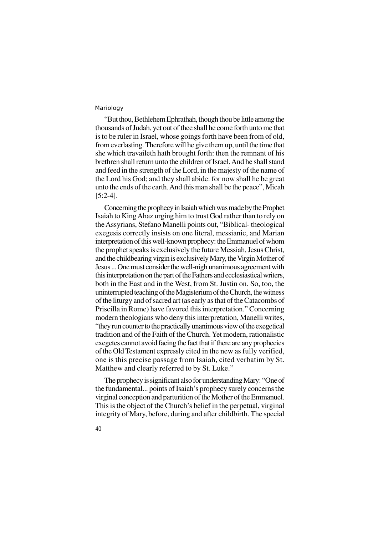40

"But thou, Bethlehem Ephrathah, though thou be little among the thousands of Judah, yet out of thee shall he come forth unto me that is to be ruler in Israel, whose goings forth have been from of old, from everlasting. Therefore will he give them up, until the time that she which travaileth hath brought forth: then the remnant of his brethren shall return unto the children of Israel. And he shall stand and feed in the strength of the Lord, in the majesty of the name of the Lord his God; and they shall abide: for now shall he be great unto the ends of the earth. And this man shall be the peace", Micah [5:2-4].

Concerning the prophecy in Isaiah which was made by the Prophet Isaiah to King Ahaz urging him to trust God rather than to rely on the Assyrians, Stefano Manelli points out, "Biblical- theological exegesis correctly insists on one literal, messianic, and Marian interpretation of this well-known prophecy: the Emmanuel of whom the prophet speaks is exclusively the future Messiah, Jesus Christ, and the childbearing virgin is exclusively Mary, the Virgin Mother of Jesus ... One must consider the well-nigh unanimous agreement with this interpretation on the part of the Fathers and ecclesiastical writers, both in the East and in the West, from St. Justin on. So, too, the uninterrupted teaching of the Magisterium of the Church, the witness of the liturgy and of sacred art (as early as that of the Catacombs of Priscilla in Rome) have favored this interpretation." Concerning modern theologians who deny this interpretation, Manelli writes, "they run counter to the practically unanimous view of the exegetical tradition and of the Faith of the Church. Yet modern, rationalistic exegetes cannot avoid facing the fact that if there are any prophecies of the Old Testament expressly cited in the new as fully verified, one is this precise passage from Isaiah, cited verbatim by St. Matthew and clearly referred to by St. Luke."

The prophecy is significant also for understanding Mary: "One of the fundamental... points of Isaiah's prophecy surely concerns the virginal conception and parturition of the Mother of the Emmanuel. This is the object of the Church's belief in the perpetual, virginal integrity of Mary, before, during and after childbirth. The special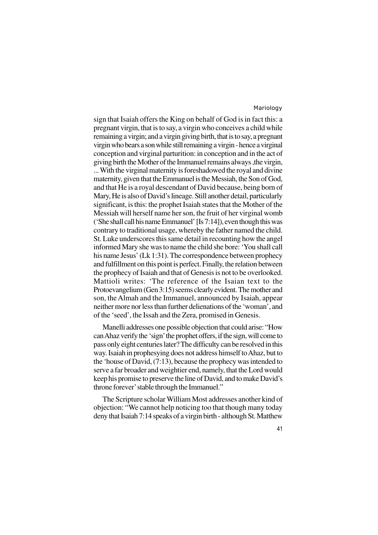sign that Isaiah offers the King on behalf of God is in fact this: a pregnant virgin, that is to say, a virgin who conceives a child while remaining a virgin; and a virgin giving birth, that is to say, a pregnant virgin who bears a son while still remaining a virgin - hence a virginal conception and virginal parturition: in conception and in the act of giving birth the Mother of the Immanuel remains always ,the virgin, ... With the virginal maternity is foreshadowed the royal and divine maternity, given that the Emmanuel is the Messiah, the Son of God, and that He is a royal descendant of David because, being born of Mary, He is also of David's lineage. Still another detail, particularly significant, is this: the prophet Isaiah states that the Mother of the Messiah will herself name her son, the fruit of her virginal womb ('She shall call his name Emmanuel' [Is 7:14]), even though this was contrary to traditional usage, whereby the father named the child. St. Luke underscores this same detail in recounting how the angel informed Mary she was to name the child she bore: 'You shall call his name Jesus' (Lk 1:31). The correspondence between prophecy and fulfillment on this point is perfect. Finally, the relation between the prophecy of Isaiah and that of Genesis is not to be overlooked. Mattioli writes: 'The reference of the Isaian text to the Protoevangelium (Gen 3:15) seems clearly evident. The mother and son, the Almah and the Immanuel, announced by Isaiah, appear neither more nor less than further delienations of the 'woman', and of the 'seed', the Issah and the Zera, promised in Genesis.

Manelli addresses one possible objection that could arise: "How can Ahaz verify the 'sign' the prophet offers, if the sign, will come to pass only eight centuries later? The difficulty can be resolved in this way. Isaiah in prophesying does not address himself to Ahaz, but to the 'house of David, (7:13), because the prophecy was intended to serve a far broader and weightier end, namely, that the Lord would keep his promise to preserve the line of David, and to make David's throne forever' stable through the Immanuel."

The Scripture scholar William Most addresses another kind of objection: "We cannot help noticing too that though many today deny that Isaiah 7:14 speaks of a virgin birth - although St. Matthew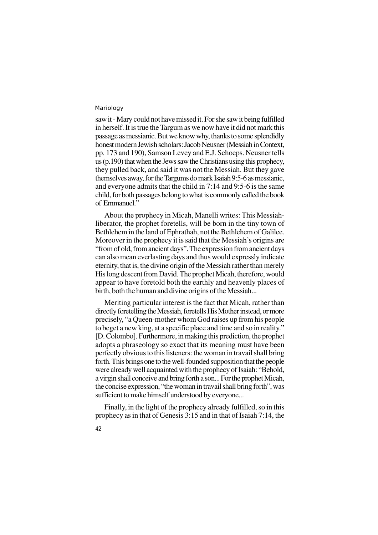saw it - Mary could not have missed it. For she saw it being fulfilled in herself. It is true the Targum as we now have it did not mark this passage as messianic. But we know why, thanks to some splendidly honest modern Jewish scholars: Jacob Neusner (Messiah in Context, pp. 173 and 190), Samson Levey and E.J. Schoeps. Neusner tells us (p.190) that when the Jews saw the Christians using this prophecy, they pulled back, and said it was not the Messiah. But they gave themselves away, for the Targums do mark Isaiah 9:5-6 as messianic, and everyone admits that the child in 7:14 and 9:5-6 is the same child, for both passages belong to what is commonly called the book of Emmanuel."

About the prophecy in Micah, Manelli writes: This Messiahliberator, the prophet foretells, will be born in the tiny town of Bethlehem in the land of Ephrathah, not the Bethlehem of Galilee. Moreover in the prophecy it is said that the Messiah's origins are "from of old, from ancient days". The expression from ancient days can also mean everlasting days and thus would expressly indicate eternity, that is, the divine origin of the Messiah rather than merely His long descent from David. The prophet Micah, therefore, would appear to have foretold both the earthly and heavenly places of birth, both the human and divine origins of the Messiah...

Meriting particular interest is the fact that Micah, rather than directly foretelling the Messiah, foretells His Mother instead, or more precisely, "a Queen-mother whom God raises up from his people to beget a new king, at a specific place and time and so in reality." [D. Colombo]. Furthermore, in making this prediction, the prophet adopts a phraseology so exact that its meaning must have been perfectly obvious to this listeners: the woman in travail shall bring forth. This brings one to the well-founded supposition that the people were already well acquainted with the prophecy of Isaiah: "Behold, a virgin shall conceive and bring forth a son... For the prophet Micah, the concise expression, "the woman in travail shall bring forth", was sufficient to make himself understood by everyone...

Finally, in the light of the prophecy already fulfilled, so in this prophecy as in that of Genesis 3:15 and in that of Isaiah 7:14, the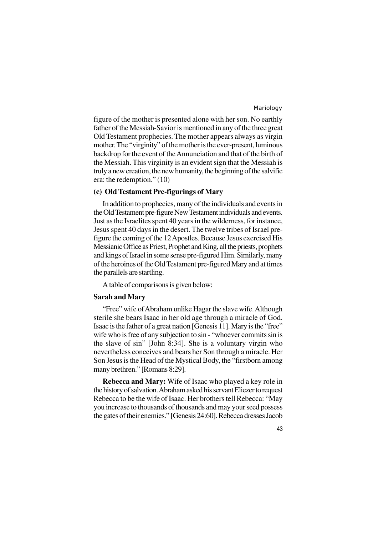figure of the mother is presented alone with her son. No earthly father of the Messiah-Savior is mentioned in any of the three great Old Testament prophecies. The mother appears always as virgin mother. The "virginity" of the mother is the ever-present, luminous backdrop for the event of the Annunciation and that of the birth of the Messiah. This virginity is an evident sign that the Messiah is truly a new creation, the new humanity, the beginning of the salvific era: the redemption." (10)

# **(c) Old Testament Pre-figurings of Mary**

In addition to prophecies, many of the individuals and events in the Old Testament pre-figure New Testament individuals and events. Just as the Israelites spent 40 years in the wilderness, for instance, Jesus spent 40 days in the desert. The twelve tribes of Israel prefigure the coming of the 12 Apostles. Because Jesus exercised His Messianic Office as Priest, Prophet and King, all the priests, prophets and kings of Israel in some sense pre-figured Him. Similarly, many of the heroines of the Old Testament pre-figured Mary and at times the parallels are startling.

A table of comparisons is given below:

# **Sarah and Mary**

"Free" wife of Abraham unlike Hagar the slave wife. Although sterile she bears Isaac in her old age through a miracle of God. Isaac is the father of a great nation [Genesis 11]. Mary is the "free" wife who is free of any subjection to sin - "whoever commits sin is the slave of sin" [John 8:34]. She is a voluntary virgin who nevertheless conceives and bears her Son through a miracle. Her Son Jesus is the Head of the Mystical Body, the "firstborn among many brethren." [Romans 8:29].

**Rebecca and Mary:** Wife of Isaac who played a key role in the history of salvation. Abraham asked his servant Eliezer to request Rebecca to be the wife of Isaac. Her brothers tell Rebecca: "May you increase to thousands of thousands and may your seed possess the gates of their enemies." [Genesis 24:60]. Rebecca dresses Jacob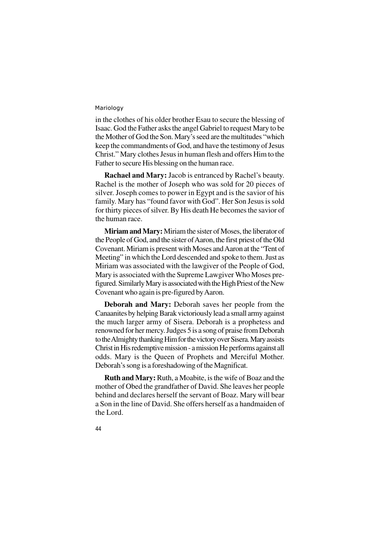in the clothes of his older brother Esau to secure the blessing of Isaac. God the Father asks the angel Gabriel to request Mary to be the Mother of God the Son. Mary's seed are the multitudes "which keep the commandments of God, and have the testimony of Jesus Christ." Mary clothes Jesus in human flesh and offers Him to the Father to secure His blessing on the human race.

**Rachael and Mary:** Jacob is entranced by Rachel's beauty. Rachel is the mother of Joseph who was sold for 20 pieces of silver. Joseph comes to power in Egypt and is the savior of his family. Mary has "found favor with God". Her Son Jesus is sold for thirty pieces of silver. By His death He becomes the savior of the human race.

**Miriam and Mary:** Miriam the sister of Moses, the liberator of the People of God, and the sister of Aaron, the first priest of the Old Covenant. Miriam is present with Moses and Aaron at the "Tent of Meeting" in which the Lord descended and spoke to them. Just as Miriam was associated with the lawgiver of the People of God, Mary is associated with the Supreme Lawgiver Who Moses prefigured. Similarly Mary is associated with the High Priest of the New Covenant who again is pre-figured by Aaron.

**Deborah and Mary:** Deborah saves her people from the Canaanites by helping Barak victoriously lead a small army against the much larger army of Sisera. Deborah is a prophetess and renowned for her mercy. Judges 5 is a song of praise from Deborah to the Almighty thanking Him for the victory over Sisera. Mary assists Christ in His redemptive mission - a mission He performs against all odds. Mary is the Queen of Prophets and Merciful Mother. Deborah's song is a foreshadowing of the Magnificat.

**Ruth and Mary:** Ruth, a Moabite, is the wife of Boaz and the mother of Obed the grandfather of David. She leaves her people behind and declares herself the servant of Boaz. Mary will bear a Son in the line of David. She offers herself as a handmaiden of the Lord.

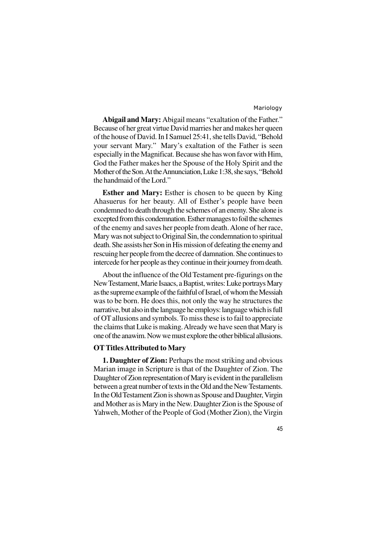**Abigail and Mary:** Abigail means "exaltation of the Father." Because of her great virtue David marries her and makes her queen of the house of David. In I Samuel 25:41, she tells David, "Behold your servant Mary." Mary's exaltation of the Father is seen especially in the Magnificat. Because she has won favor with Him, God the Father makes her the Spouse of the Holy Spirit and the Mother of the Son. At the Annunciation, Luke 1:38, she says, "Behold the handmaid of the Lord."

**Esther and Mary:** Esther is chosen to be queen by King Ahasuerus for her beauty. All of Esther's people have been condemned to death through the schemes of an enemy. She alone is excepted from this condemnation. Esther manages to foil the schemes of the enemy and saves her people from death. Alone of her race, Mary was not subject to Original Sin, the condemnation to spiritual death. She assists her Son in His mission of defeating the enemy and rescuing her people from the decree of damnation. She continues to intercede for her people as they continue in their journey from death.

About the influence of the Old Testament pre-figurings on the New Testament, Marie Isaacs, a Baptist, writes: Luke portrays Mary as the supreme example of the faithful of Israel, of whom the Messiah was to be born. He does this, not only the way he structures the narrative, but also in the language he employs: language which is full of OT allusions and symbols. To miss these is to fail to appreciate the claims that Luke is making. Already we have seen that Mary is one of the anawim. Now we must explore the other biblical allusions.

# **OT Titles Attributed to Mary**

**1. Daughter of Zion:** Perhaps the most striking and obvious Marian image in Scripture is that of the Daughter of Zion. The Daughter of Zion representation of Mary is evident in the parallelism between a great number of texts in the Old and the New Testaments. In the Old Testament Zion is shown as Spouse and Daughter, Virgin and Mother as is Mary in the New. Daughter Zion is the Spouse of Yahweh, Mother of the People of God (Mother Zion), the Virgin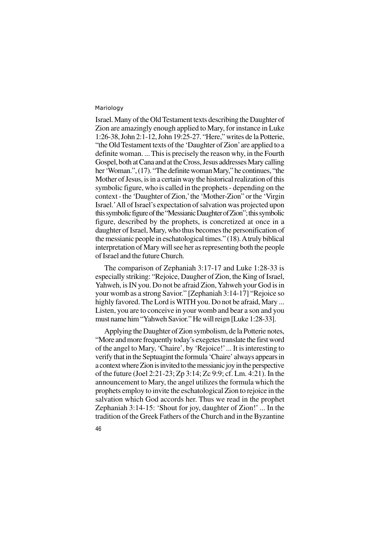46

Israel. Many of the Old Testament texts describing the Daughter of Zion are amazingly enough applied to Mary, for instance in Luke 1:26-38, John 2:1-12, John 19:25-27. "Here," writes de la Potterie, "the Old Testament texts of the 'Daughter of Zion' are applied to a definite woman. ... This is precisely the reason why, in the Fourth Gospel, both at Cana and at the Cross, Jesus addresses Mary calling her 'Woman.", (17). "The definite woman Mary," he continues, "the Mother of Jesus, is in a certain way the historical realization of this symbolic figure, who is called in the prophets - depending on the context - the 'Daughter of Zion,' the 'Mother-Zion" or the 'Virgin Israel.'All of Israel's expectation of salvation was projected upon this symbolic figure of the "Messianic Daughter of Zion"; this symbolic figure, described by the prophets, is concretized at once in a daughter of Israel, Mary, who thus becomes the personification of the messianic people in eschatological times." (18). A truly biblical interpretation of Mary will see her as representing both the people of Israel and the future Church.

The comparison of Zephaniah 3:17-17 and Luke 1:28-33 is especially striking: "Rejoice, Daugher of Zion, the King of Israel, Yahweh, is IN you. Do not be afraid Zion, Yahweh your God is in your womb as a strong Savior." [Zephaniah 3:14-17] "Rejoice so highly favored. The Lord is WITH you. Do not be afraid, Mary ... Listen, you are to conceive in your womb and bear a son and you must name him "Yahweh Savior." He will reign [Luke 1:28-33].

Applying the Daughter of Zion symbolism, de la Potterie notes, "More and more frequently today's exegetes translate the first word of the angel to Mary, 'Chaire', by 'Rejoice!' ... It is interesting to verify that in the Septuagint the formula 'Chaire' always appears in a context where Zion is invited to the messianic joy in the perspective of the future (Joel 2:21-23; Zp 3:14; Zc 9:9; cf. Lm. 4:21). In the announcement to Mary, the angel utilizes the formula which the prophets employ to invite the eschatological Zion to rejoice in the salvation which God accords her. Thus we read in the prophet Zephaniah 3:14-15: 'Shout for joy, daughter of Zion!' ... In the tradition of the Greek Fathers of the Church and in the Byzantine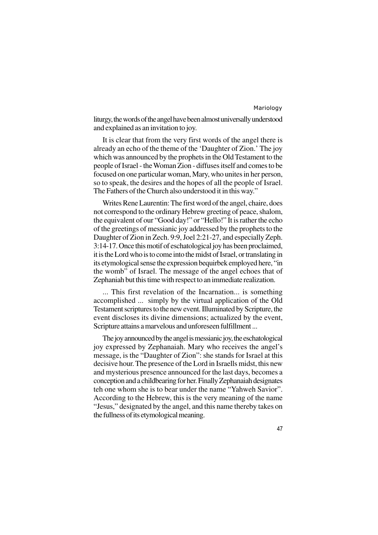liturgy, the words of the angel have been almost universally understood and explained as an invitation to joy.

It is clear that from the very first words of the angel there is already an echo of the theme of the 'Daughter of Zion.' The joy which was announced by the prophets in the Old Testament to the people of Israel - the Woman Zion - diffuses itself and comes to be focused on one particular woman, Mary, who unites in her person, so to speak, the desires and the hopes of all the people of Israel. The Fathers of the Church also understood it in this way."

Writes Rene Laurentin: The first word of the angel, chaire, does not correspond to the ordinary Hebrew greeting of peace, shalom, the equivalent of our "Good day!" or "Hello!" It is rather the echo of the greetings of messianic joy addressed by the prophets to the Daughter of Zion in Zech. 9:9, Joel 2:21-27, and especially Zeph. 3:14-17. Once this motif of eschatological joy has been proclaimed, it is the Lord who is to come into the midst of Israel, or translating in its etymological sense the expression bequirbek employed here, "in the womb" of Israel. The message of the angel echoes that of Zephaniah but this time with respect to an immediate realization.

... This first revelation of the Incarnation... is something accomplished ... simply by the virtual application of the Old Testament scriptures to the new event. Illuminated by Scripture, the event discloses its divine dimensions; actualized by the event, Scripture attains a marvelous and unforeseen fulfillment ...

The joy announced by the angel is messianic joy, the eschatological joy expressed by Zephanaiah. Mary who receives the angel's message, is the "Daughter of Zion": she stands for Israel at this decisive hour. The presence of the Lord in Israells midst, this new and mysterious presence announced for the last days, becomes a conception and a childbearing for her. Finally Zephanaiah designates teh one whom she is to bear under the name "Yahweh Savior". According to the Hebrew, this is the very meaning of the name "Jesus," designated by the angel, and this name thereby takes on the fullness of its etymological meaning.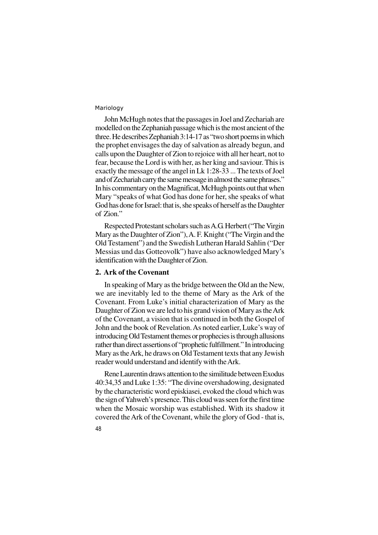John McHugh notes that the passages in Joel and Zechariah are modelled on the Zephaniah passage which is the most ancient of the three. He describes Zephaniah 3:14-17 as "two short poems in which the prophet envisages the day of salvation as already begun, and calls upon the Daughter of Zion to rejoice with all her heart, not to fear, because the Lord is with her, as her king and saviour. This is exactly the message of the angel in Lk 1:28-33 ... The texts of Joel and of Zechariah carry the same message in almost the same phrases." In his commentary on the Magnificat, McHugh points out that when Mary "speaks of what God has done for her, she speaks of what God has done for Israel: that is, she speaks of herself as the Daughter of Zion."

Respected Protestant scholars such as A.G. Herbert ("The Virgin Mary as the Daughter of Zion"), A. F. Knight ("The Virgin and the Old Testament") and the Swedish Lutheran Harald Sahlin ("Der Messias und das Gotteovolk") have also acknowledged Mary's identification with the Daughter of Zion.

#### **2. Ark of the Covenant**

In speaking of Mary as the bridge between the Old an the New, we are inevitably led to the theme of Mary as the Ark of the Covenant. From Luke's initial characterization of Mary as the Daughter of Zion we are led to his grand vision of Mary as the Ark of the Covenant, a vision that is continued in both the Gospel of John and the book of Revelation. As noted earlier, Luke's way of introducing Old Testament themes or prophecies is through allusions rather than direct assertions of "prophetic fulfillment." In introducing Mary as the Ark, he draws on Old Testament texts that any Jewish reader would understand and identify with the Ark.

Rene Laurentin draws attention to the similitude between Exodus 40:34,35 and Luke 1:35: "The divine overshadowing, designated by the characteristic word episkiasei, evoked the cloud which was the sign of Yahweh's presence. This cloud was seen for the first time when the Mosaic worship was established. With its shadow it covered the Ark of the Covenant, while the glory of God - that is,

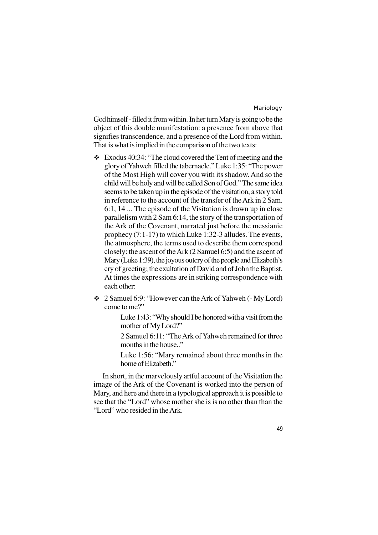God himself - filled it from within. In her turn Mary is going to be the object of this double manifestation: a presence from above that signifies transcendence, and a presence of the Lord from within. That is what is implied in the comparison of the two texts:

- $\div$  Exodus 40:34: "The cloud covered the Tent of meeting and the glory of Yahweh filled the tabernacle." Luke 1:35: "The power of the Most High will cover you with its shadow. And so the child will be holy and will be called Son of God." The same idea seems to be taken up in the episode of the visitation, a story told in reference to the account of the transfer of the Ark in 2 Sam. 6:1, 14 ... The episode of the Visitation is drawn up in close parallelism with 2 Sam 6:14, the story of the transportation of the Ark of the Covenant, narrated just before the messianic prophecy (7:1-17) to which Luke 1:32-3 alludes. The events, the atmosphere, the terms used to describe them correspond closely: the ascent of the Ark (2 Samuel 6:5) and the ascent of Mary (Luke 1:39), the joyous outcry of the people and Elizabeth's cry of greeting; the exultation of David and of John the Baptist. At times the expressions are in striking correspondence with each other:
- v 2 Samuel 6:9: "However can the Ark of Yahweh (- My Lord) come to me?"

Luke 1:43: "Why should I be honored with a visit from the mother of My Lord?"

2 Samuel 6:11: "The Ark of Yahweh remained for three months in the house...

Luke 1:56: "Mary remained about three months in the home of Elizabeth."

In short, in the marvelously artful account of the Visitation the image of the Ark of the Covenant is worked into the person of Mary, and here and there in a typological approach it is possible to see that the "Lord" whose mother she is is no other than than the "Lord" who resided in the Ark.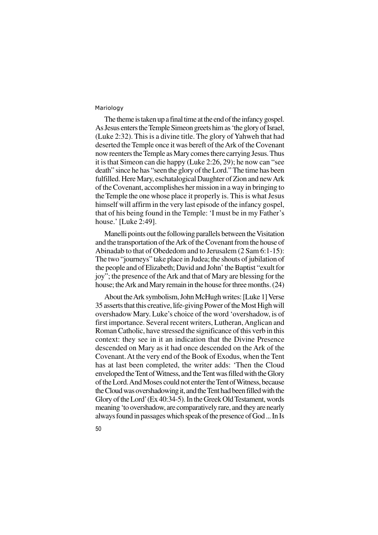The theme is taken up a final time at the end of the infancy gospel. As Jesus enters the Temple Simeon greets him as 'the glory of Israel, (Luke 2:32). This is a divine title. The glory of Yahweh that had deserted the Temple once it was bereft of the Ark of the Covenant now reenters the Temple as Mary comes there carrying Jesus. Thus it is that Simeon can die happy (Luke 2:26, 29); he now can "see death" since he has "seen the glory of the Lord." The time has been fulfilled. Here Mary, eschatalogical Daughter of Zion and new Ark of the Covenant, accomplishes her mission in a way in bringing to the Temple the one whose place it properly is. This is what Jesus himself will affirm in the very last episode of the infancy gospel, that of his being found in the Temple: 'I must be in my Father's house.' [Luke 2:49].

Manelli points out the following parallels between the Visitation and the transportation of the Ark of the Covenant from the house of Abinadab to that of Obededom and to Jerusalem (2 Sam 6:1-15): The two "journeys" take place in Judea; the shouts of jubilation of the people and of Elizabeth; David and John' the Baptist "exult for joy"; the presence of the Ark and that of Mary are blessing for the house; the Ark and Mary remain in the house for three months. (24)

About the Ark symbolism, John McHugh writes: [Luke 1] Verse 35 asserts that this creative, life-giving Power of the Most High will overshadow Mary. Luke's choice of the word 'overshadow, is of first importance. Several recent writers, Lutheran, Anglican and Roman Catholic, have stressed the significance of this verb in this context: they see in it an indication that the Divine Presence descended on Mary as it had once descended on the Ark of the Covenant. At the very end of the Book of Exodus, when the Tent has at last been completed, the writer adds: 'Then the Cloud enveloped the Tent of Witness, and the Tent was filled with the Glory of the Lord. And Moses could not enter the Tent of Witness, because the Cloud was overshadowing it, and the Tent had been filled with the Glory of the Lord' (Ex 40:34-5). In the Greek Old Testament, words meaning 'to overshadow, are comparatively rare, and they are nearly always found in passages which speak of the presence of God ... In Is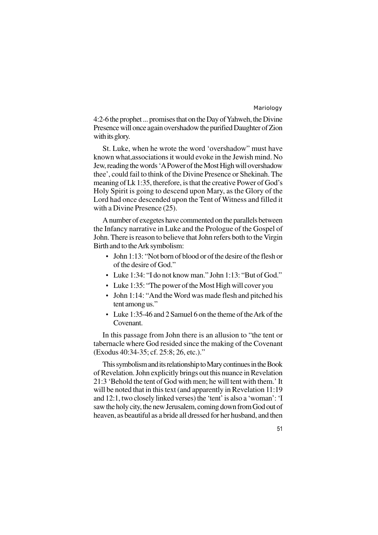4:2-6 the prophet ... promises that on the Day of Yahweh, the Divine Presence will once again overshadow the purified Daughter of Zion with its glory.

St. Luke, when he wrote the word 'overshadow" must have known what,associations it would evoke in the Jewish mind. No Jew, reading the words 'A Power of the Most High will overshadow thee', could fail to think of the Divine Presence or Shekinah. The meaning of Lk 1:35, therefore, is that the creative Power of God's Holy Spirit is going to descend upon Mary, as the Glory of the Lord had once descended upon the Tent of Witness and filled it with a Divine Presence (25).

A number of exegetes have commented on the parallels between the Infancy narrative in Luke and the Prologue of the Gospel of John. There is reason to believe that John refers both to the Virgin Birth and to the Ark symbolism:

- John 1:13: "Not born of blood or of the desire of the flesh or of the desire of God."
- Luke 1:34: "I do not know man." John 1:13: "But of God."
- Luke 1:35: "The power of the Most High will cover you
- John 1:14: "And the Word was made flesh and pitched his tent among us."
- Luke 1:35-46 and 2 Samuel 6 on the theme of the Ark of the Covenant.

In this passage from John there is an allusion to "the tent or tabernacle where God resided since the making of the Covenant (Exodus 40:34-35; cf. 25:8; 26, etc.)."

This symbolism and its relationship to Mary continues in the Book of Revelation. John explicitly brings out this nuance in Revelation 21:3 'Behold the tent of God with men; he will tent with them.' It will be noted that in this text (and apparently in Revelation 11:19) and 12:1, two closely linked verses) the 'tent' is also a 'woman': 'I saw the holy city, the new Jerusalem, coming down from God out of heaven, as beautiful as a bride all dressed for her husband, and then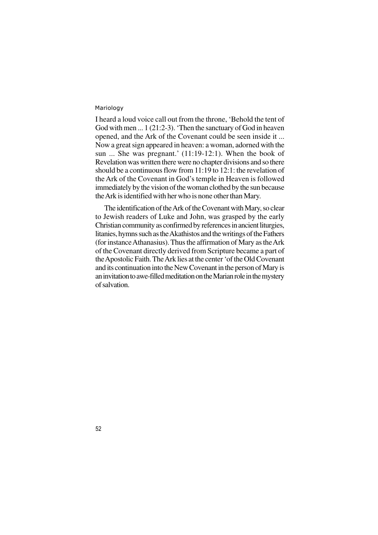I heard a loud voice call out from the throne, 'Behold the tent of God with men ... 1 (21:2-3). 'Then the sanctuary of God in heaven opened, and the Ark of the Covenant could be seen inside it ... Now a great sign appeared in heaven: a woman, adorned with the sun ... She was pregnant.' (11:19-12:1). When the book of Revelation was written there were no chapter divisions and so there should be a continuous flow from 11:19 to 12:1: the revelation of the Ark of the Covenant in God's temple in Heaven is followed immediately by the vision of the woman clothed by the sun because the Ark is identified with her who is none other than Mary.

The identification of the Ark of the Covenant with Mary, so clear to Jewish readers of Luke and John, was grasped by the early Christian community as confirmed by references in ancient liturgies, litanies, hymns such as the Akathistos and the writings of the Fathers (for instance Athanasius). Thus the affirmation of Mary as the Ark of the Covenant directly derived from Scripture became a part of the Apostolic Faith. The Ark lies at the center 'of the Old Covenant and its continuation into the New Covenant in the person of Mary is an invitation to awe-filled meditation on the Marian role in the mystery of salvation.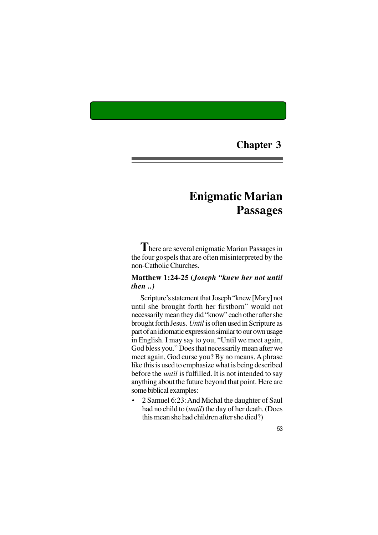# **Chapter 3**

# **Enigmatic Marian Passages**

**T**here are several enigmatic Marian Passages in the four gospels that are often misinterpreted by the non-Catholic Churches.

# **Matthew 1:24-25 (***Joseph "knew her not until then ..)*

Scripture's statement that Joseph "knew [Mary] not until she brought forth her firstborn" would not necessarily mean they did "know" each other after she brought forth Jesus. *Until* is often used in Scripture as part of an idiomatic expression similar to our own usage in English. I may say to you, "Until we meet again, God bless you." Does that necessarily mean after we meet again, God curse you? By no means. A phrase like this is used to emphasize what is being described before the *until* is fulfilled. It is not intended to say anything about the future beyond that point. Here are some biblical examples:

• 2 Samuel 6:23: And Michal the daughter of Saul had no child to (*until*) the day of her death. (Does this mean she had children after she died?)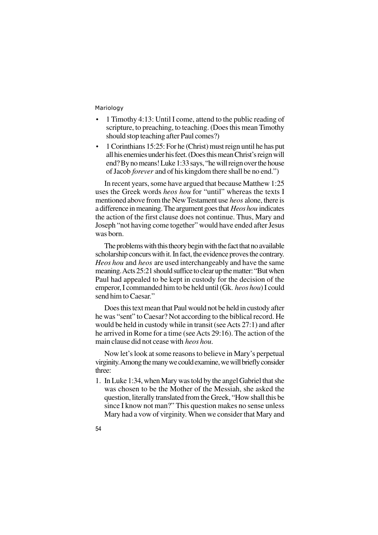- 1 Timothy 4:13: Until I come, attend to the public reading of scripture, to preaching, to teaching. (Does this mean Timothy should stop teaching after Paul comes?)
- 1 Corinthians 15:25: For he (Christ) must reign until he has put all his enemies under his feet. (Does this mean Christ's reign will end? By no means! Luke 1:33 says, "he will reign over the house of Jacob *forever* and of his kingdom there shall be no end.")

In recent years, some have argued that because Matthew 1:25 uses the Greek words *heos hou* for "until" whereas the texts I mentioned above from the New Testament use *heos* alone, there is a difference in meaning. The argument goes that *Heos hou* indicates the action of the first clause does not continue. Thus, Mary and Joseph "not having come together" would have ended after Jesus was born.

The problems with this theory begin with the fact that no available scholarship concurs with it. In fact, the evidence proves the contrary. *Heos hou* and *heos* are used interchangeably and have the same meaning. Acts 25:21 should suffice to clear up the matter: "But when Paul had appealed to be kept in custody for the decision of the emperor, I commanded him to be held until (Gk. *heos hou*) I could send him to Caesar."

Does this text mean that Paul would not be held in custody after he was "sent" to Caesar? Not according to the biblical record. He would be held in custody while in transit (see Acts 27:1) and after he arrived in Rome for a time (see Acts 29:16). The action of the main clause did not cease with *heos hou*.

Now let's look at some reasons to believe in Mary's perpetual virginity. Among the many we could examine, we will briefly consider three:

- 1. In Luke 1:34, when Mary was told by the angel Gabriel that she was chosen to be the Mother of the Messiah, she asked the question, literally translated from the Greek, "How shall this be since I know not man?" This question makes no sense unless Mary had a vow of virginity. When we consider that Mary and
- 54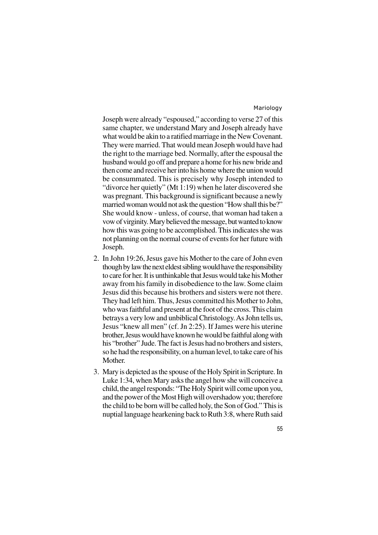Joseph were already "espoused," according to verse 27 of this same chapter, we understand Mary and Joseph already have what would be akin to a ratified marriage in the New Covenant. They were married. That would mean Joseph would have had the right to the marriage bed. Normally, after the espousal the husband would go off and prepare a home for his new bride and then come and receive her into his home where the union would be consummated. This is precisely why Joseph intended to "divorce her quietly" (Mt 1:19) when he later discovered she was pregnant. This background is significant because a newly married woman would not ask the question "How shall this be?" She would know - unless, of course, that woman had taken a vow of virginity. Mary believed the message, but wanted to know how this was going to be accomplished. This indicates she was not planning on the normal course of events for her future with Joseph.

- 2. In John 19:26, Jesus gave his Mother to the care of John even though by law the next eldest sibling would have the responsibility to care for her. It is unthinkable that Jesus would take his Mother away from his family in disobedience to the law. Some claim Jesus did this because his brothers and sisters were not there. They had left him. Thus, Jesus committed his Mother to John, who was faithful and present at the foot of the cross. This claim betrays a very low and unbiblical Christology. As John tells us, Jesus "knew all men" (cf. Jn 2:25). If James were his uterine brother, Jesus would have known he would be faithful along with his "brother" Jude. The fact is Jesus had no brothers and sisters, so he had the responsibility, on a human level, to take care of his Mother.
- 3. Mary is depicted as the spouse of the Holy Spirit in Scripture. In Luke 1:34, when Mary asks the angel how she will conceive a child, the angel responds: "The Holy Spirit will come upon you, and the power of the Most High will overshadow you; therefore the child to be born will be called holy, the Son of God." This is nuptial language hearkening back to Ruth 3:8, where Ruth said
	- 55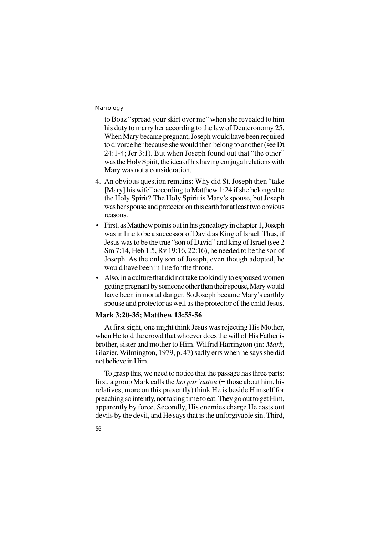to Boaz "spread your skirt over me" when she revealed to him his duty to marry her according to the law of Deuteronomy 25. When Mary became pregnant, Joseph would have been required to divorce her because she would then belong to another (see Dt 24:1-4; Jer 3:1). But when Joseph found out that "the other" was the Holy Spirit, the idea of his having conjugal relations with Mary was not a consideration.

- 4. An obvious question remains: Why did St. Joseph then "take [Mary] his wife" according to Matthew 1:24 if she belonged to the Holy Spirit? The Holy Spirit is Mary's spouse, but Joseph was her spouse and protector on this earth for at least two obvious reasons.
- First, as Matthew points out in his genealogy in chapter 1, Joseph was in line to be a successor of David as King of Israel. Thus, if Jesus was to be the true "son of David" and king of Israel (see 2 Sm 7:14, Heb 1:5, Rv 19:16, 22:16), he needed to be the son of Joseph. As the only son of Joseph, even though adopted, he would have been in line for the throne.
- Also, in a culture that did not take too kindly to espoused women getting pregnant by someone other than their spouse, Mary would have been in mortal danger. So Joseph became Mary's earthly spouse and protector as well as the protector of the child Jesus.

#### **Mark 3:20-35; Matthew 13:55-56**

At first sight, one might think Jesus was rejecting His Mother, when He told the crowd that whoever does the will of His Father is brother, sister and mother to Him. Wilfrid Harrington (in: *Mark*, Glazier, Wilmington, 1979, p. 47) sadly errs when he says she did not believe in Him.

To grasp this, we need to notice that the passage has three parts: first, a group Mark calls the *hoi par' autou* (= those about him, his relatives, more on this presently) think He is beside Himself for preaching so intently, not taking time to eat. They go out to get Him, apparently by force. Secondly, His enemies charge He casts out devils by the devil, and He says that is the unforgivable sin. Third,

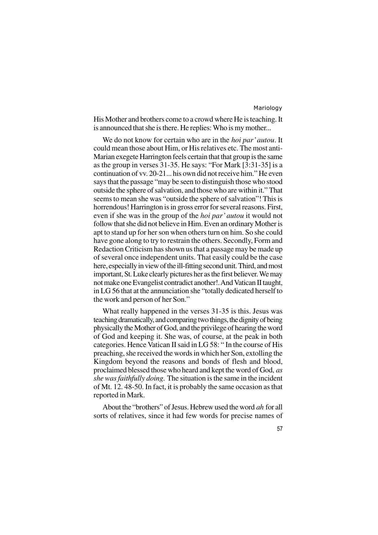His Mother and brothers come to a crowd where He is teaching. It is announced that she is there. He replies: Who is my mother...

We do not know for certain who are in the *hoi par' autou*. It could mean those about Him, or His relatives etc. The most anti-Marian exegete Harrington feels certain that that group is the same as the group in verses 31-35. He says: "For Mark [3:31-35] is a continuation of vv. 20-21... his own did not receive him." He even says that the passage "may be seen to distinguish those who stood outside the sphere of salvation, and those who are within it." That seems to mean she was "outside the sphere of salvation"! This is horrendous! Harrington is in gross error for several reasons. First, even if she was in the group of the *hoi par' autou* it would not follow that she did not believe in Him. Even an ordinary Mother is apt to stand up for her son when others turn on him. So she could have gone along to try to restrain the others. Secondly, Form and Redaction Criticism has shown us that a passage may be made up of several once independent units. That easily could be the case here, especially in view of the ill-fitting second unit. Third, and most important, St. Luke clearly pictures her as the first believer. We may not make one Evangelist contradict another!. And Vatican II taught, in LG 56 that at the annunciation she "totally dedicated herself to the work and person of her Son."

What really happened in the verses 31-35 is this. Jesus was teaching dramatically, and comparing two things, the dignity of being physically the Mother of God, and the privilege of hearing the word of God and keeping it. She was, of course, at the peak in both categories. Hence Vatican II said in LG 58: " In the course of His preaching, she received the words in which her Son, extolling the Kingdom beyond the reasons and bonds of flesh and blood, proclaimed blessed those who heard and kept the word of God, *as she was faithfully doing.* The situation is the same in the incident of Mt. 12. 48-50. In fact, it is probably the same occasion as that reported in Mark.

About the "brothers" of Jesus. Hebrew used the word *ah* for all sorts of relatives, since it had few words for precise names of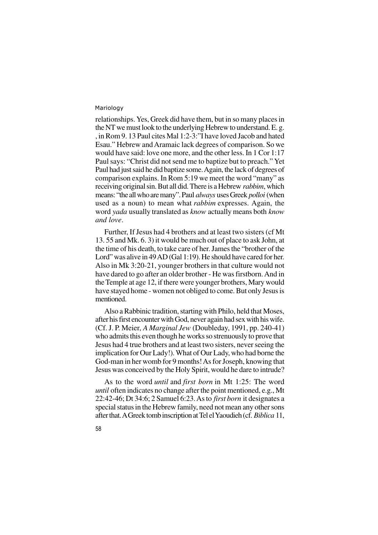relationships. Yes, Greek did have them, but in so many places in the NT we must look to the underlying Hebrew to understand. E. g. , in Rom 9. 13 Paul cites Mal 1:2-3:"I have loved Jacob and hated Esau." Hebrew and Aramaic lack degrees of comparison. So we would have said: love one more, and the other less. In 1 Cor 1:17 Paul says: "Christ did not send me to baptize but to preach." Yet Paul had just said he did baptize some. Again, the lack of degrees of comparison explains. In Rom 5:19 we meet the word "many" as receiving original sin. But all did. There is a Hebrew *rabbim*, which means: "the all who are many". Paul *always* uses Greek *polloi* (when used as a noun) to mean what *rabbim* expresses. Again, the word *yada* usually translated as *know* actually means both *know and love*.

Further, If Jesus had 4 brothers and at least two sisters (cf Mt 13. 55 and Mk. 6. 3) it would be much out of place to ask John, at the time of his death, to take care of her. James the "brother of the Lord" was alive in 49 AD (Gal 1:19). He should have cared for her. Also in Mk 3:20-21, younger brothers in that culture would not have dared to go after an older brother - He was firstborn. And in the Temple at age 12, if there were younger brothers, Mary would have stayed home - women not obliged to come. But only Jesus is mentioned.

Also a Rabbinic tradition, starting with Philo, held that Moses, after his first encounter with God, never again had sex with his wife. (Cf. J. P. Meier, *A Marginal Jew* (Doubleday, 1991, pp. 240-41) who admits this even though he works so strenuously to prove that Jesus had 4 true brothers and at least two sisters, never seeing the implication for Our Lady!). What of Our Lady, who had borne the God-man in her womb for 9 months! As for Joseph, knowing that Jesus was conceived by the Holy Spirit, would he dare to intrude?

As to the word *until* and *first born* in Mt 1:25: The word *until* often indicates no change after the point mentioned, e.g., Mt 22:42-46; Dt 34:6; 2 Samuel 6:23. As to *first born* it designates a special status in the Hebrew family, need not mean any other sons after that. A Greek tomb inscription at Tel el Yaoudieh (cf. *Biblica* 11,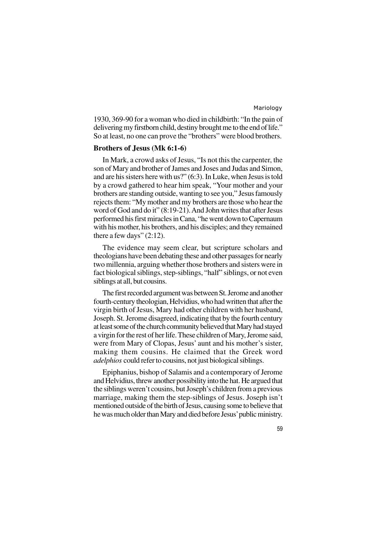1930, 369-90 for a woman who died in childbirth: "In the pain of delivering my firstborn child, destiny brought me to the end of life." So at least, no one can prove the "brothers" were blood brothers.

#### **Brothers of Jesus (Mk 6:1-6)**

In Mark, a crowd asks of Jesus, "Is not this the carpenter, the son of Mary and brother of James and Joses and Judas and Simon, and are his sisters here with us?" (6:3). In Luke, when Jesus is told by a crowd gathered to hear him speak, "Your mother and your brothers are standing outside, wanting to see you," Jesus famously rejects them: "My mother and my brothers are those who hear the word of God and do it" (8:19-21). And John writes that after Jesus performed his first miracles in Cana, "he went down to Capernaum with his mother, his brothers, and his disciples; and they remained there a few days"  $(2:12)$ .

The evidence may seem clear, but scripture scholars and theologians have been debating these and other passages for nearly two millennia, arguing whether those brothers and sisters were in fact biological siblings, step-siblings, "half" siblings, or not even siblings at all, but cousins.

The first recorded argument was between St. Jerome and another fourth-century theologian, Helvidius, who had written that after the virgin birth of Jesus, Mary had other children with her husband, Joseph. St. Jerome disagreed, indicating that by the fourth century at least some of the church community believed that Mary had stayed a virgin for the rest of her life. These children of Mary, Jerome said, were from Mary of Clopas, Jesus' aunt and his mother's sister, making them cousins. He claimed that the Greek word *adelphios* could refer to cousins, not just biological siblings.

Epiphanius, bishop of Salamis and a contemporary of Jerome and Helvidius, threw another possibility into the hat. He argued that the siblings weren't cousins, but Joseph's children from a previous marriage, making them the step-siblings of Jesus. Joseph isn't mentioned outside of the birth of Jesus, causing some to believe that he was much older than Mary and died before Jesus' public ministry.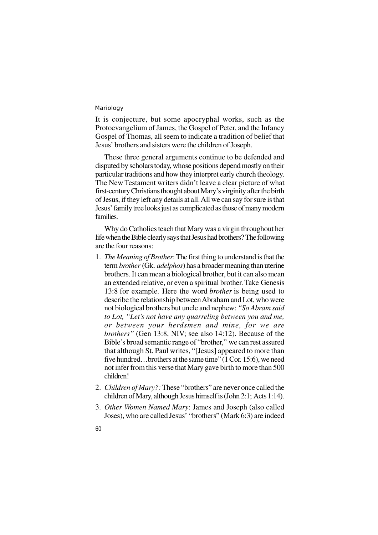It is conjecture, but some apocryphal works, such as the Protoevangelium of James, the Gospel of Peter, and the Infancy Gospel of Thomas, all seem to indicate a tradition of belief that Jesus' brothers and sisters were the children of Joseph.

These three general arguments continue to be defended and disputed by scholars today, whose positions depend mostly on their particular traditions and how they interpret early church theology. The New Testament writers didn't leave a clear picture of what first-century Christians thought about Mary's virginity after the birth of Jesus, if they left any details at all. All we can say for sure is that Jesus' family tree looks just as complicated as those of many modern families.

Why do Catholics teach that Mary was a virgin throughout her life when the Bible clearly says that Jesus had brothers? The following are the four reasons:

- 1. *The Meaning of Brother*: The first thing to understand is that the term *brother* (Gk. *adelphos*) has a broader meaning than uterine brothers. It can mean a biological brother, but it can also mean an extended relative, or even a spiritual brother. Take Genesis 13:8 for example. Here the word *brother* is being used to describe the relationship between Abraham and Lot, who were not biological brothers but uncle and nephew: *"So Abram said to Lot, "Let's not have any quarreling between you and me, or between your herdsmen and mine, for we are brothers"* (Gen 13:8, NIV; see also 14:12). Because of the Bible's broad semantic range of "brother," we can rest assured that although St. Paul writes, "[Jesus] appeared to more than five hundred…brothers at the same time" (1 Cor. 15:6), we need not infer from this verse that Mary gave birth to more than 500 children!
- 2. *Children of Mary?:*These "brothers" are never once called the children of Mary, although Jesus himself is (John 2:1; Acts 1:14).
- 3. *Other Women Named Mary*: James and Joseph (also called Joses), who are called Jesus' "brothers" (Mark 6:3) are indeed
- 60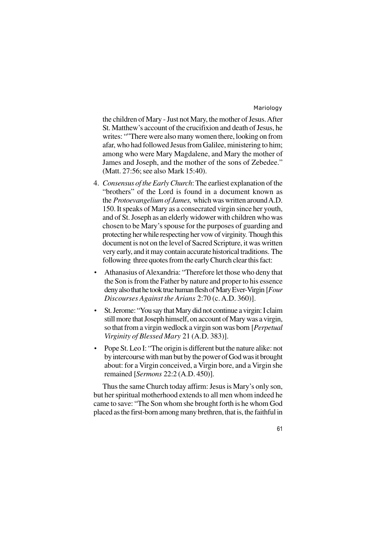61

the children of Mary - Just not Mary, the mother of Jesus. After St. Matthew's account of the crucifixion and death of Jesus, he writes: ""There were also many women there, looking on from afar, who had followed Jesus from Galilee, ministering to him; among who were Mary Magdalene, and Mary the mother of James and Joseph, and the mother of the sons of Zebedee." (Matt. 27:56; see also Mark 15:40).

- 4. *Consensus of the Early Church*: The earliest explanation of the "brothers" of the Lord is found in a document known as the *Protoevangelium of James,* which was written around A.D. 150. It speaks of Mary as a consecrated virgin since her youth, and of St. Joseph as an elderly widower with children who was chosen to be Mary's spouse for the purposes of guarding and protecting her while respecting her vow of virginity. Though this document is not on the level of Sacred Scripture, it was written very early, and it may contain accurate historical traditions. The following three quotes from the early Church clear this fact:
- Athanasius of Alexandria: "Therefore let those who deny that the Son is from the Father by nature and proper to his essence deny also that he took true human flesh of Mary Ever-Virgin [*Four Discourses Against the Arians* 2:70 (c. A.D. 360)].
- St. Jerome: "You say that Mary did not continue a virgin: I claim still more that Joseph himself, on account of Mary was a virgin, so that from a virgin wedlock a virgin son was born [*Perpetual Virginity of Blessed Mary* 21 (A.D. 383)].
- Pope St. Leo I: "The origin is different but the nature alike: not by intercourse with man but by the power of God was it brought about: for a Virgin conceived, a Virgin bore, and a Virgin she remained [*Sermons* 22:2 (A.D. 450)].

Thus the same Church today affirm: Jesus is Mary's only son, but her spiritual motherhood extends to all men whom indeed he came to save: "The Son whom she brought forth is he whom God placed as the first-born among many brethren, that is, the faithful in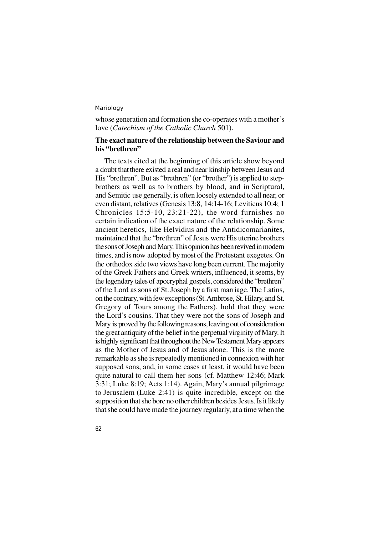62

whose generation and formation she co-operates with a mother's love (*Catechism of the Catholic Church* 501).

# **The exact nature of the relationship between the Saviour and his "brethren"**

The texts cited at the beginning of this article show beyond a doubt that there existed a real and near kinship between Jesus and His "brethren". But as "brethren" (or "brother") is applied to stepbrothers as well as to brothers by blood, and in Scriptural, and Semitic use generally, is often loosely extended to all near, or even distant, relatives (Genesis 13:8, 14:14-16; Leviticus 10:4; 1 Chronicles 15:5-10, 23:21-22), the word furnishes no certain indication of the exact nature of the relationship. Some ancient heretics, like Helvidius and the Antidicomarianites, maintained that the "brethren" of Jesus were His uterine brothers the sons of Joseph and Mary. This opinion has been revived in modern times, and is now adopted by most of the Protestant exegetes. On the orthodox side two views have long been current. The majority of the Greek Fathers and Greek writers, influenced, it seems, by the legendary tales of apocryphal gospels, considered the "brethren" of the Lord as sons of St. Joseph by a first marriage. The Latins, on the contrary, with few exceptions (St. Ambrose, St. Hilary, and St. Gregory of Tours among the Fathers), hold that they were the Lord's cousins. That they were not the sons of Joseph and Mary is proved by the following reasons, leaving out of consideration the great antiquity of the belief in the perpetual virginity of Mary. It is highly significant that throughout the New Testament Mary appears as the Mother of Jesus and of Jesus alone. This is the more remarkable as she is repeatedly mentioned in connexion with her supposed sons, and, in some cases at least, it would have been quite natural to call them her sons (cf. Matthew 12:46; Mark 3:31; Luke 8:19; Acts 1:14). Again, Mary's annual pilgrimage to Jerusalem (Luke 2:41) is quite incredible, except on the supposition that she bore no other children besides Jesus. Is it likely that she could have made the journey regularly, at a time when the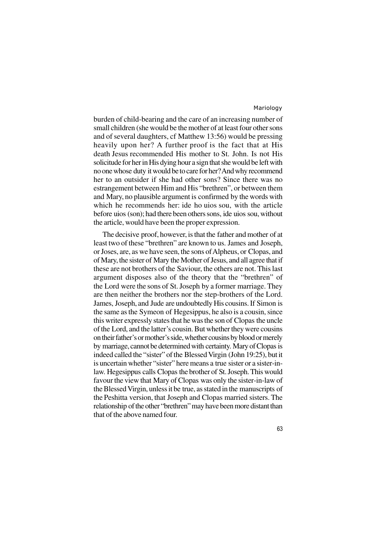burden of child-bearing and the care of an increasing number of small children (she would be the mother of at least four other sons and of several daughters, cf Matthew 13:56) would be pressing heavily upon her? A further proof is the fact that at His death Jesus recommended His mother to St. John. Is not His solicitude for her in His dying hour a sign that she would be left with no one whose duty it would be to care for her? And why recommend her to an outsider if she had other sons? Since there was no estrangement between Him and His "brethren", or between them and Mary, no plausible argument is confirmed by the words with which he recommends her: ide ho uios sou, with the article before uios (son); had there been others sons, ide uios sou, without the article, would have been the proper expression.

The decisive proof, however, is that the father and mother of at least two of these "brethren" are known to us. James and Joseph, or Joses, are, as we have seen, the sons of Alpheus, or Clopas, and of Mary, the sister of Mary the Mother of Jesus, and all agree that if these are not brothers of the Saviour, the others are not. This last argument disposes also of the theory that the "brethren" of the Lord were the sons of St. Joseph by a former marriage. They are then neither the brothers nor the step-brothers of the Lord. James, Joseph, and Jude are undoubtedly His cousins. If Simon is the same as the Symeon of Hegesippus, he also is a cousin, since this writer expressly states that he was the son of Clopas the uncle of the Lord, and the latter's cousin. But whether they were cousins on their father's or mother's side, whether cousins by blood or merely by marriage, cannot be determined with certainty. Mary of Clopas is indeed called the "sister" of the Blessed Virgin (John 19:25), but it is uncertain whether "sister" here means a true sister or a sister-inlaw. Hegesippus calls Clopas the brother of St. Joseph. This would favour the view that Mary of Clopas was only the sister-in-law of the Blessed Virgin, unless it be true, as stated in the manuscripts of the Peshitta version, that Joseph and Clopas married sisters. The relationship of the other "brethren" may have been more distant than that of the above named four.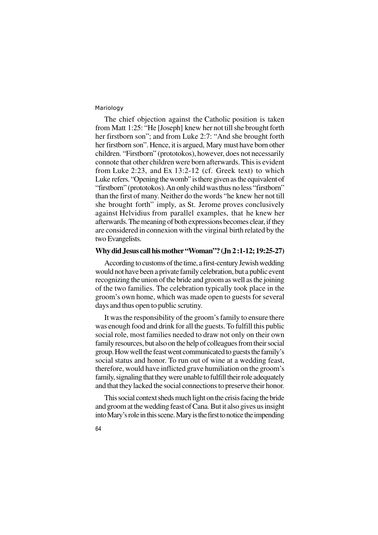The chief objection against the Catholic position is taken from Matt 1:25: "He [Joseph] knew her not till she brought forth her firstborn son"; and from Luke 2:7: "And she brought forth her firstborn son". Hence, it is argued, Mary must have born other children. "Firstborn" (prototokos), however, does not necessarily connote that other children were born afterwards. This is evident from Luke 2:23, and Ex 13:2-12 (cf. Greek text) to which Luke refers. "Opening the womb" is there given as the equivalent of "firstborn" (prototokos). An only child was thus no less "firstborn" than the first of many. Neither do the words "he knew her not till she brought forth" imply, as St. Jerome proves conclusively against Helvidius from parallel examples, that he knew her afterwards. The meaning of both expressions becomes clear, if they are considered in connexion with the virginal birth related by the two Evangelists.

### **Why did Jesus call his mother "Woman"? (Jn 2 :1-12; 19:25-27)**

According to customs of the time, a first-century Jewish wedding would not have been a private family celebration, but a public event recognizing the union of the bride and groom as well as the joining of the two families. The celebration typically took place in the groom's own home, which was made open to guests for several days and thus open to public scrutiny.

It was the responsibility of the groom's family to ensure there was enough food and drink for all the guests. To fulfill this public social role, most families needed to draw not only on their own family resources, but also on the help of colleagues from their social group. How well the feast went communicated to guests the family's social status and honor. To run out of wine at a wedding feast, therefore, would have inflicted grave humiliation on the groom's family, signaling that they were unable to fulfill their role adequately and that they lacked the social connections to preserve their honor.

This social context sheds much light on the crisis facing the bride and groom at the wedding feast of Cana. But it also gives us insight into Mary's role in this scene. Mary is the first to notice the impending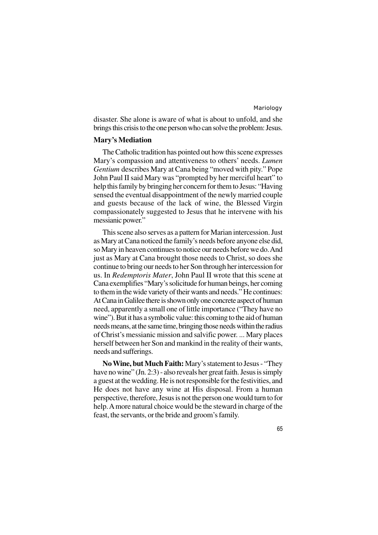disaster. She alone is aware of what is about to unfold, and she brings this crisis to the one person who can solve the problem: Jesus.

#### **Mary's Mediation**

The Catholic tradition has pointed out how this scene expresses Mary's compassion and attentiveness to others' needs. *Lumen Gentium* describes Mary at Cana being "moved with pity." Pope John Paul II said Mary was "prompted by her merciful heart" to help this family by bringing her concern for them to Jesus: "Having sensed the eventual disappointment of the newly married couple and guests because of the lack of wine, the Blessed Virgin compassionately suggested to Jesus that he intervene with his messianic power."

This scene also serves as a pattern for Marian intercession. Just as Mary at Cana noticed the family's needs before anyone else did, so Mary in heaven continues to notice our needs before we do. And just as Mary at Cana brought those needs to Christ, so does she continue to bring our needs to her Son through her intercession for us. In *Redemptoris Mater*, John Paul II wrote that this scene at Cana exemplifies "Mary's solicitude for human beings, her coming to them in the wide variety of their wants and needs." He continues: At Cana in Galilee there is shown only one concrete aspect of human need, apparently a small one of little importance ("They have no wine"). But it has a symbolic value: this coming to the aid of human needs means, at the same time, bringing those needs within the radius of Christ's messianic mission and salvific power. ... Mary places herself between her Son and mankind in the reality of their wants, needs and sufferings.

**No Wine, but Much Faith:** Mary's statement to Jesus - "They have no wine" (Jn. 2:3) - also reveals her great faith. Jesus is simply a guest at the wedding. He is not responsible for the festivities, and He does not have any wine at His disposal. From a human perspective, therefore, Jesus is not the person one would turn to for help. A more natural choice would be the steward in charge of the feast, the servants, or the bride and groom's family.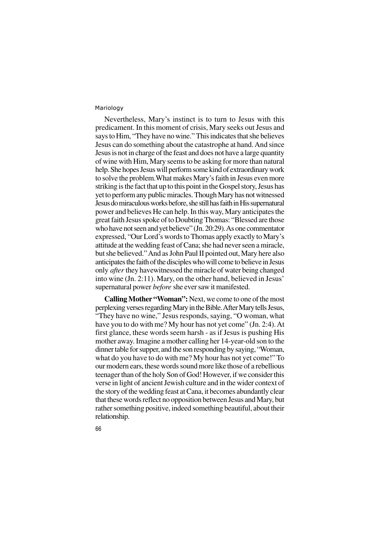Nevertheless, Mary's instinct is to turn to Jesus with this predicament. In this moment of crisis, Mary seeks out Jesus and says to Him, "They have no wine." This indicates that she believes Jesus can do something about the catastrophe at hand. And since Jesus is not in charge of the feast and does not have a large quantity of wine with Him, Mary seems to be asking for more than natural help. She hopes Jesus will perform some kind of extraordinary work to solve the problem.What makes Mary's faith in Jesus even more striking is the fact that up to this point in the Gospel story, Jesus has yet to perform any public miracles. Though Mary has not witnessed Jesus do miraculous works before, she still has faith in His supernatural power and believes He can help. In this way, Mary anticipates the great faith Jesus spoke of to Doubting Thomas: "Blessed are those who have not seen and yet believe" (Jn. 20:29). As one commentator expressed, "Our Lord's words to Thomas apply exactly to Mary's attitude at the wedding feast of Cana; she had never seen a miracle, but she believed." And as John Paul II pointed out, Mary here also anticipates the faith of the disciples who will come to believe in Jesus only *after* they havewitnessed the miracle of water being changed into wine (Jn. 2:11). Mary, on the other hand, believed in Jesus' supernatural power *before* she ever saw it manifested.

**Calling Mother "Woman":** Next, we come to one of the most perplexing verses regarding Mary in the Bible. After Mary tells Jesus, "They have no wine," Jesus responds, saying, "O woman, what have you to do with me? My hour has not yet come" (Jn. 2:4). At first glance, these words seem harsh - as if Jesus is pushing His mother away. Imagine a mother calling her 14-year-old son to the dinner table for supper, and the son responding by saying, "Woman, what do you have to do with me? My hour has not yet come!" To our modern ears, these words sound more like those of a rebellious teenager than of the holy Son of God! However, if we consider this verse in light of ancient Jewish culture and in the wider context of the story of the wedding feast at Cana, it becomes abundantly clear that these words reflect no opposition between Jesus and Mary, but rather something positive, indeed something beautiful, about their relationship.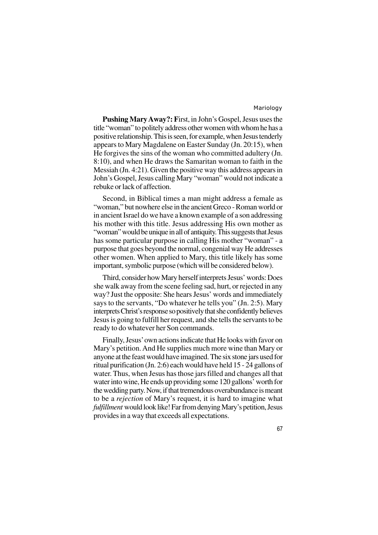**Pushing Mary Away?: F**irst, in John's Gospel, Jesus uses the title "woman" to politely address other women with whom he has a positive relationship. This is seen, for example, when Jesus tenderly appears to Mary Magdalene on Easter Sunday (Jn. 20:15), when He forgives the sins of the woman who committed adultery (Jn. 8:10), and when He draws the Samaritan woman to faith in the Messiah (Jn. 4:21). Given the positive way this address appears in John's Gospel, Jesus calling Mary "woman" would not indicate a rebuke or lack of affection.

Second, in Biblical times a man might address a female as "woman," but nowhere else in the ancient Greco - Roman world or in ancient Israel do we have a known example of a son addressing his mother with this title. Jesus addressing His own mother as "woman" would be unique in all of antiquity. This suggests that Jesus has some particular purpose in calling His mother "woman" - a purpose that goes beyond the normal, congenial way He addresses other women. When applied to Mary, this title likely has some important, symbolic purpose (which will be considered below).

Third, consider how Mary herself interprets Jesus' words: Does she walk away from the scene feeling sad, hurt, or rejected in any way? Just the opposite: She hears Jesus' words and immediately says to the servants, "Do whatever he tells you" (Jn. 2:5). Mary interprets Christ's response so positively that she confidently believes Jesus is going to fulfill her request, and she tells the servants to be ready to do whatever her Son commands.

Finally, Jesus' own actions indicate that He looks with favor on Mary's petition. And He supplies much more wine than Mary or anyone at the feast would have imagined. The six stone jars used for ritual purification (Jn. 2:6) each would have held 15 - 24 gallons of water. Thus, when Jesus has those jars filled and changes all that water into wine, He ends up providing some 120 gallons' worth for the wedding party. Now, if that tremendous overabundance is meant to be a *rejection* of Mary's request, it is hard to imagine what *fulfillment* would look like! Far from denying Mary's petition, Jesus provides in a way that exceeds all expectations.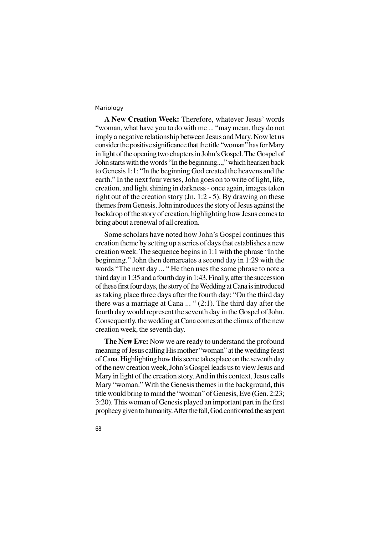**A New Creation Week:** Therefore, whatever Jesus' words "woman, what have you to do with me ... "may mean, they do not imply a negative relationship between Jesus and Mary. Now let us consider the positive significance that the title "woman" has for Mary in light of the opening two chapters in John's Gospel. The Gospel of John starts with the words "In the beginning...," which hearken back to Genesis 1:1: "In the beginning God created the heavens and the earth." In the next four verses, John goes on to write of light, life, creation, and light shining in darkness - once again, images taken right out of the creation story (Jn. 1:2 - 5). By drawing on these themes from Genesis, John introduces the story of Jesus against the backdrop of the story of creation, highlighting how Jesus comes to bring about a renewal of all creation.

Some scholars have noted how John's Gospel continues this creation theme by setting up a series of days that establishes a new creation week. The sequence begins in 1:1 with the phrase "In the beginning." John then demarcates a second day in 1:29 with the words "The next day ... " He then uses the same phrase to note a third day in 1:35 and a fourth day in 1:43. Finally, after the succession of these first four days, the story of the Wedding at Cana is introduced as taking place three days after the fourth day: "On the third day there was a marriage at Cana ... " (2:1). The third day after the fourth day would represent the seventh day in the Gospel of John. Consequently, the wedding at Cana comes at the climax of the new creation week, the seventh day.

**The New Eve:** Now we are ready to understand the profound meaning of Jesus calling His mother "woman" at the wedding feast of Cana. Highlighting how this scene takes place on the seventh day of the new creation week, John's Gospel leads us to view Jesus and Mary in light of the creation story. And in this context, Jesus calls Mary "woman." With the Genesis themes in the background, this title would bring to mind the "woman" of Genesis, Eve (Gen. 2:23; 3:20). This woman of Genesis played an important part in the first prophecy given to humanity. After the fall, God confronted the serpent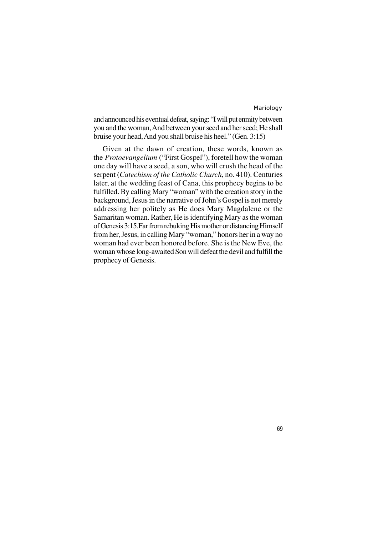69

and announced his eventual defeat, saying: "I will put enmity between you and the woman, And between your seed and her seed; He shall bruise your head, And you shall bruise his heel." (Gen. 3:15)

Given at the dawn of creation, these words, known as the *Protoevangelium* ("First Gospel"), foretell how the woman one day will have a seed, a son, who will crush the head of the serpent (*Catechism of the Catholic Church*, no. 410). Centuries later, at the wedding feast of Cana, this prophecy begins to be fulfilled. By calling Mary "woman" with the creation story in the background, Jesus in the narrative of John's Gospel is not merely addressing her politely as He does Mary Magdalene or the Samaritan woman. Rather, He is identifying Mary as the woman of Genesis 3:15.Far from rebuking His mother or distancing Himself from her, Jesus, in calling Mary "woman," honors her in a way no woman had ever been honored before. She is the New Eve, the woman whose long-awaited Son will defeat the devil and fulfill the prophecy of Genesis.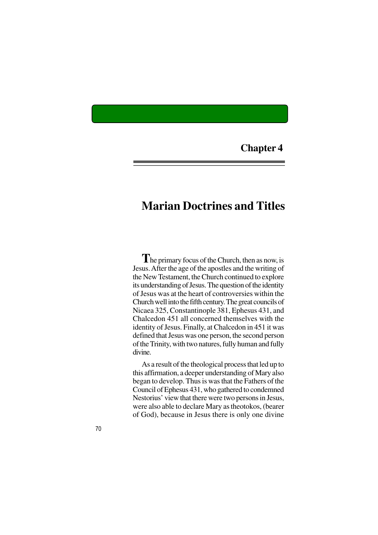# **Chapter 4**

# **Marian Doctrines and Titles**

**T**he primary focus of the Church, then as now, is Jesus. After the age of the apostles and the writing of the New Testament, the Church continued to explore its understanding of Jesus. The question of the identity of Jesus was at the heart of controversies within the Church well into the fifth century. The great councils of Nicaea 325, Constantinople 381, Ephesus 431, and Chalcedon 451 all concerned themselves with the identity of Jesus. Finally, at Chalcedon in 451 it was defined that Jesus was one person, the second person of the Trinity, with two natures, fully human and fully divine.

As a result of the theological process that led up to this affirmation, a deeper understanding of Mary also began to develop. Thus is was that the Fathers of the Council of Ephesus 431, who gathered to condemned Nestorius' view that there were two persons in Jesus, were also able to declare Mary as theotokos, (bearer of God), because in Jesus there is only one divine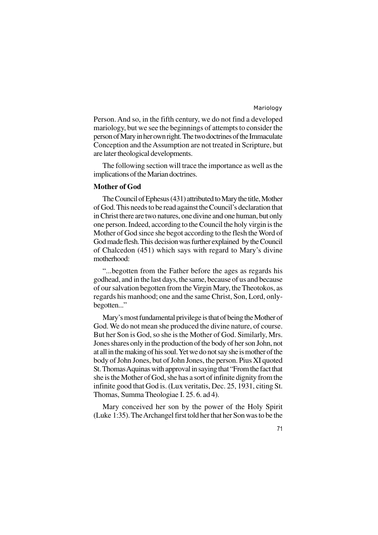71

Person. And so, in the fifth century, we do not find a developed mariology, but we see the beginnings of attempts to consider the person of Mary in her own right. The two doctrines of the Immaculate Conception and the Assumption are not treated in Scripture, but are later theological developments.

The following section will trace the importance as well as the implications of the Marian doctrines.

#### **Mother of God**

The Council of Ephesus (431) attributed to Mary the title, Mother of God. This needs to be read against the Council's declaration that in Christ there are two natures, one divine and one human, but only one person. Indeed, according to the Council the holy virgin is the Mother of God since she begot according to the flesh the Word of God made flesh. This decision was further explained by the Council of Chalcedon (451) which says with regard to Mary's divine motherhood:

"...begotten from the Father before the ages as regards his godhead, and in the last days, the same, because of us and because of our salvation begotten from the Virgin Mary, the Theotokos, as regards his manhood; one and the same Christ, Son, Lord, onlybegotten..."

Mary's most fundamental privilege is that of being the Mother of God. We do not mean she produced the divine nature, of course. But her Son is God, so she is the Mother of God. Similarly, Mrs. Jones shares only in the production of the body of her son John, not at all in the making of his soul. Yet we do not say she is mother of the body of John Jones, but of John Jones, the person. Pius XI quoted St. Thomas Aquinas with approval in saying that "From the fact that she is the Mother of God, she has a sort of infinite dignity from the infinite good that God is. (Lux veritatis, Dec. 25, 1931, citing St. Thomas, Summa Theologiae I. 25. 6. ad 4).

Mary conceived her son by the power of the Holy Spirit (Luke 1:35). The Archangel first told her that her Son was to be the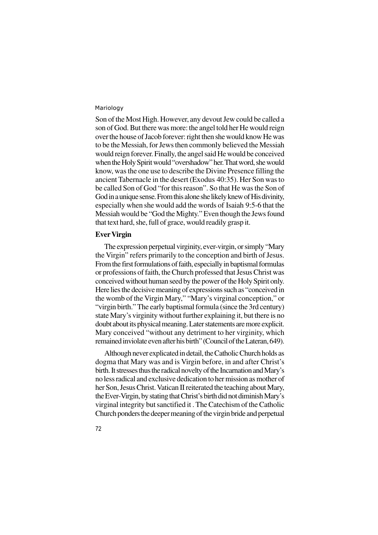Son of the Most High. However, any devout Jew could be called a son of God. But there was more: the angel told her He would reign over the house of Jacob forever: right then she would know He was to be the Messiah, for Jews then commonly believed the Messiah would reign forever. Finally, the angel said He would be conceived when the Holy Spirit would "overshadow" her. That word, she would know, was the one use to describe the Divine Presence filling the ancient Tabernacle in the desert (Exodus 40:35). Her Son was to be called Son of God "for this reason". So that He was the Son of God in a unique sense. From this alone she likely knew of His divinity, especially when she would add the words of Isaiah 9:5-6 that the Messiah would be "God the Mighty." Even though the Jews found that text hard, she, full of grace, would readily grasp it.

# **Ever Virgin**

The expression perpetual virginity, ever-virgin, or simply "Mary the Virgin" refers primarily to the conception and birth of Jesus. From the first formulations of faith, especially in baptismal formulas or professions of faith, the Church professed that Jesus Christ was conceived without human seed by the power of the Holy Spirit only. Here lies the decisive meaning of expressions such as "conceived in the womb of the Virgin Mary," "Mary's virginal conception," or "virgin birth." The early baptismal formula (since the 3rd century) state Mary's virginity without further explaining it, but there is no doubt about its physical meaning. Later statements are more explicit. Mary conceived "without any detriment to her virginity, which remained inviolate even after his birth" (Council of the Lateran, 649).

Although never explicated in detail, the Catholic Church holds as dogma that Mary was and is Virgin before, in and after Christ's birth. It stresses thus the radical novelty of the Incarnation and Mary's no less radical and exclusive dedication to her mission as mother of her Son, Jesus Christ. Vatican II reiterated the teaching about Mary, the Ever-Virgin, by stating that Christ's birth did not diminish Mary's virginal integrity but sanctified it . The Catechism of the Catholic Church ponders the deeper meaning of the virgin bride and perpetual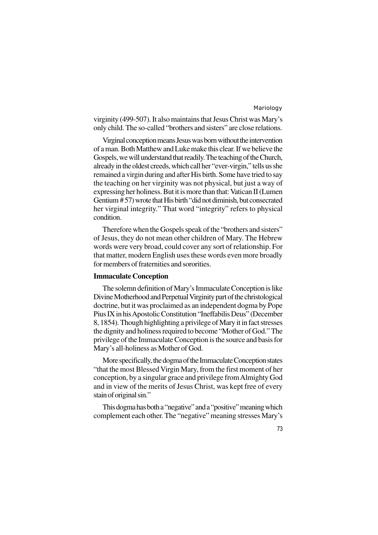73

virginity (499-507). It also maintains that Jesus Christ was Mary's only child. The so-called "brothers and sisters" are close relations.

Virginal conception means Jesus was born without the intervention of a man. Both Matthew and Luke make this clear. If we believe the Gospels, we will understand that readily. The teaching of the Church, already in the oldest creeds, which call her "ever-virgin," tells us she remained a virgin during and after His birth. Some have tried to say the teaching on her virginity was not physical, but just a way of expressing her holiness. But it is more than that: Vatican II (Lumen Gentium # 57) wrote that His birth "did not diminish, but consecrated her virginal integrity." That word "integrity" refers to physical condition.

Therefore when the Gospels speak of the "brothers and sisters" of Jesus, they do not mean other children of Mary. The Hebrew words were very broad, could cover any sort of relationship. For that matter, modern English uses these words even more broadly for members of fraternities and sororities.

### **Immaculate Conception**

The solemn definition of Mary's Immaculate Conception is like Divine Motherhood and Perpetual Virginity part of the christological doctrine, but it was proclaimed as an independent dogma by Pope Pius IX in his Apostolic Constitution "Ineffabilis Deus" (December 8, 1854). Though highlighting a privilege of Mary it in fact stresses the dignity and holiness required to become "Mother of God." The privilege of the Immaculate Conception is the source and basis for Mary's all-holiness as Mother of God.

More specifically, the dogma of the Immaculate Conception states "that the most Blessed Virgin Mary, from the first moment of her conception, by a singular grace and privilege from Almighty God and in view of the merits of Jesus Christ, was kept free of every stain of original sin."

This dogma has both a "negative" and a "positive" meaning which complement each other. The "negative" meaning stresses Mary's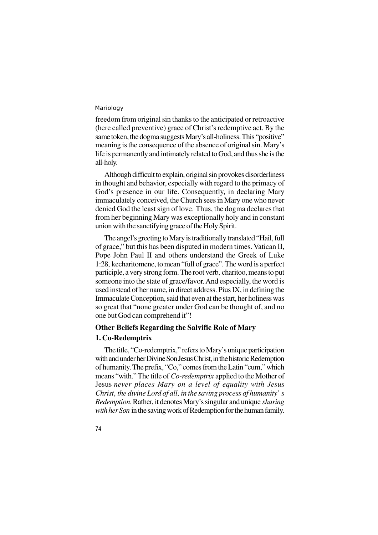freedom from original sin thanks to the anticipated or retroactive (here called preventive) grace of Christ's redemptive act. By the same token, the dogma suggests Mary's all-holiness. This "positive" meaning is the consequence of the absence of original sin. Mary's life is permanently and intimately related to God, and thus she is the all-holy.

Although difficult to explain, original sin provokes disorderliness in thought and behavior, especially with regard to the primacy of God's presence in our life. Consequently, in declaring Mary immaculately conceived, the Church sees in Mary one who never denied God the least sign of love. Thus, the dogma declares that from her beginning Mary was exceptionally holy and in constant union with the sanctifying grace of the Holy Spirit.

The angel's greeting to Mary is traditionally translated "Hail, full of grace," but this has been disputed in modern times. Vatican II, Pope John Paul II and others understand the Greek of Luke 1:28, kecharitomene, to mean "full of grace". The word is a perfect participle, a very strong form. The root verb, charitoo, means to put someone into the state of grace/favor. And especially, the word is used instead of her name, in direct address. Pius IX, in defining the Immaculate Conception, said that even at the start, her holiness was so great that "none greater under God can be thought of, and no one but God can comprehend it"!

## **Other Beliefs Regarding the Salvific Role of Mary**

#### **1. Co-Redemptrix**

74

The title, "Co-redemptrix," refers to Mary's unique participation with and under her Divine Son Jesus Christ, in the historic Redemption of humanity. The prefix, "Co," comes from the Latin "cum," which means "with." The title of *Co-redemptrix* applied to the Mother of Jesus *never places Mary on a level of equality with Jesus Christ*, *the divine Lord of all*, *in the saving process of humanity*' *s Redemption*. Rather, it denotes Mary's singular and unique *sharing with her Son* in the saving work of Redemption for the human family.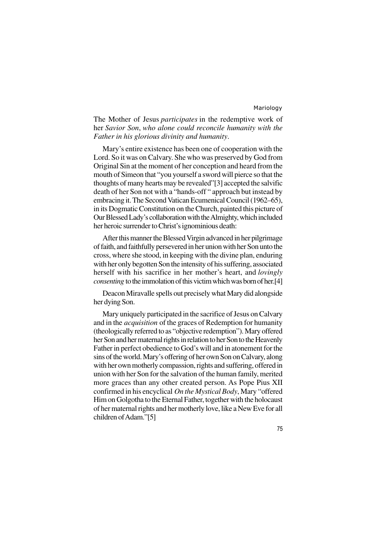The Mother of Jesus *participates* in the redemptive work of her *Savior Son*, *who alone could reconcile humanity with the Father in his glorious divinity and humanity*.

Mary's entire existence has been one of cooperation with the Lord. So it was on Calvary. She who was preserved by God from Original Sin at the moment of her conception and heard from the mouth of Simeon that "you yourself a sword will pierce so that the thoughts of many hearts may be revealed"[3] accepted the salvific death of her Son not with a "hands-off " approach but instead by embracing it. The Second Vatican Ecumenical Council (1962–65), in its Dogmatic Constitution on the Church, painted this picture of Our Blessed Lady's collaboration with the Almighty, which included her heroic surrender to Christ's ignominious death:

After this manner the Blessed Virgin advanced in her pilgrimage of faith, and faithfully persevered in her union with her Son unto the cross, where she stood, in keeping with the divine plan, enduring with her only begotten Son the intensity of his suffering, associated herself with his sacrifice in her mother's heart, and *lovingly consenting* to the immolation of this victim which was born of her.[4]

Deacon Miravalle spells out precisely what Mary did alongside her dying Son.

Mary uniquely participated in the sacrifice of Jesus on Calvary and in the *acquisition* of the graces of Redemption for humanity (theologically referred to as "objective redemption"). Mary offered her Son and her maternal rights in relation to her Son to the Heavenly Father in perfect obedience to God's will and in atonement for the sins of the world. Mary's offering of her own Son on Calvary, along with her own motherly compassion, rights and suffering, offered in union with her Son for the salvation of the human family, merited more graces than any other created person. As Pope Pius XII confirmed in his encyclical *On the Mystical Body*, Mary "offered Him on Golgotha to the Eternal Father, together with the holocaust of her maternal rights and her motherly love, like a New Eve for all children of Adam."[5]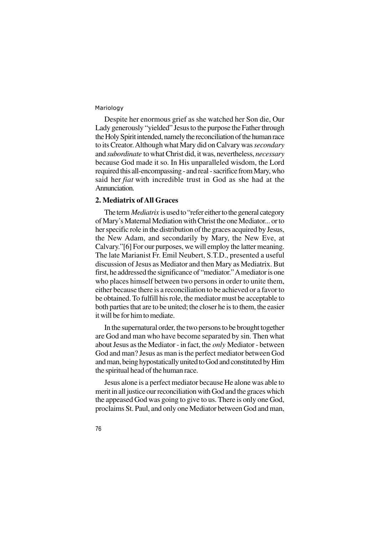Despite her enormous grief as she watched her Son die, Our Lady generously "yielded" Jesus to the purpose the Father through the Holy Spirit intended, namely the reconciliation of the human race to its Creator. Although what Mary did on Calvary was *secondary* and *subordinate* to what Christ did, it was, nevertheless, *necessary* because God made it so. In His unparalleled wisdom, the Lord required this all-encompassing - and real - sacrifice from Mary, who said her *fiat* with incredible trust in God as she had at the Annunciation.

## **2. Mediatrix of All Graces**

The term *Mediatrix* is used to "refer either to the general category of Mary's Maternal Mediation with Christ the one Mediator... or to her specific role in the distribution of the graces acquired by Jesus, the New Adam, and secondarily by Mary, the New Eve, at Calvary."[6] For our purposes, we will employ the latter meaning. The late Marianist Fr. Emil Neubert, S.T.D., presented a useful discussion of Jesus as Mediator and then Mary as Mediatrix. But first, he addressed the significance of "mediator." A mediator is one who places himself between two persons in order to unite them, either because there is a reconciliation to be achieved or a favor to be obtained. To fulfill his role, the mediator must be acceptable to both parties that are to be united; the closer he is to them, the easier it will be for him to mediate.

In the supernatural order, the two persons to be brought together are God and man who have become separated by sin. Then what about Jesus as the Mediator - in fact, the *only* Mediator - between God and man? Jesus as man is the perfect mediator between God and man, being hypostatically united to God and constituted by Him the spiritual head of the human race.

Jesus alone is a perfect mediator because He alone was able to merit in all justice our reconciliation with God and the graces which the appeased God was going to give to us. There is only one God, proclaims St. Paul, and only one Mediator between God and man,

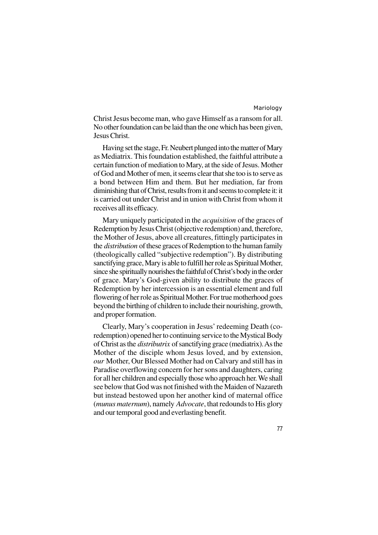Christ Jesus become man, who gave Himself as a ransom for all. No other foundation can be laid than the one which has been given, Jesus Christ.

Having set the stage, Fr. Neubert plunged into the matter of Mary as Mediatrix. This foundation established, the faithful attribute a certain function of mediation to Mary, at the side of Jesus. Mother of God and Mother of men, it seems clear that she too is to serve as a bond between Him and them. But her mediation, far from diminishing that of Christ, results from it and seems to complete it: it is carried out under Christ and in union with Christ from whom it receives all its efficacy.

Mary uniquely participated in the *acquisition* of the graces of Redemption by Jesus Christ (objective redemption) and, therefore, the Mother of Jesus, above all creatures, fittingly participates in the *distribution* of these graces of Redemption to the human family (theologically called "subjective redemption"). By distributing sanctifying grace, Mary is able to fulfill her role as Spiritual Mother, since she spiritually nourishes the faithful of Christ's body in the order of grace. Mary's God-given ability to distribute the graces of Redemption by her intercession is an essential element and full flowering of her role as Spiritual Mother. For true motherhood goes beyond the birthing of children to include their nourishing, growth, and proper formation.

Clearly, Mary's cooperation in Jesus' redeeming Death (coredemption) opened her to continuing service to the Mystical Body of Christ as the *distributrix* of sanctifying grace (mediatrix). As the Mother of the disciple whom Jesus loved, and by extension, *our* Mother, Our Blessed Mother had on Calvary and still has in Paradise overflowing concern for her sons and daughters, caring for all her children and especially those who approach her. We shall see below that God was not finished with the Maiden of Nazareth but instead bestowed upon her another kind of maternal office (*munus maternum*), namely *Advocate*, that redounds to His glory and our temporal good and everlasting benefit.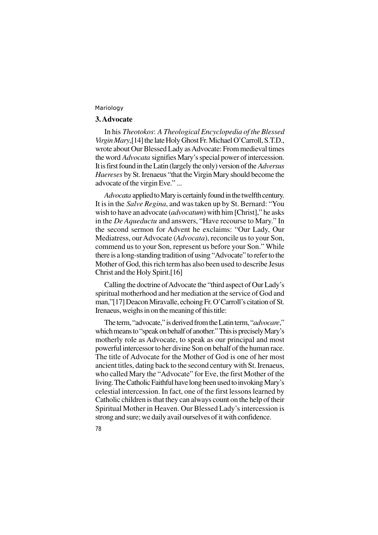78

## **3. Advocate**

In his *Theotokos*: *A Theological Encyclopedia of the Blessed Virgin Mary*,[14] the late Holy Ghost Fr. Michael O'Carroll, S.T.D., wrote about Our Blessed Lady as Advocate: From medieval times the word *Advocata* signifies Mary's special power of intercession. It is first found in the Latin (largely the only) version of the *Adversus Haereses* by St. Irenaeus "that the Virgin Mary should become the advocate of the virgin Eve." ...

*Advocata* applied to Mary is certainly found in the twelfth century. It is in the *Salve Regina*, and was taken up by St. Bernard: "You wish to have an advocate (*advocatum*) with him [Christ]," he asks in the *De Aqueductu* and answers, "Have recourse to Mary." In the second sermon for Advent he exclaims: "Our Lady, Our Mediatress, our Advocate (*Advocata*), reconcile us to your Son, commend us to your Son, represent us before your Son." While there is a long-standing tradition of using "Advocate" to refer to the Mother of God, this rich term has also been used to describe Jesus Christ and the Holy Spirit.[16]

Calling the doctrine of Advocate the "third aspect of Our Lady's spiritual motherhood and her mediation at the service of God and man,"[17] Deacon Miravalle, echoing Fr. O'Carroll's citation of St. Irenaeus, weighs in on the meaning of this title:

The term, "advocate," is derived from the Latin term, "*advocare*," which means to "speak on behalf of another." This is precisely Mary's motherly role as Advocate, to speak as our principal and most powerful intercessor to her divine Son on behalf of the human race. The title of Advocate for the Mother of God is one of her most ancient titles, dating back to the second century with St. Irenaeus, who called Mary the "Advocate" for Eve, the first Mother of the living. The Catholic Faithful have long been used to invoking Mary's celestial intercession. In fact, one of the first lessons learned by Catholic children is that they can always count on the help of their Spiritual Mother in Heaven. Our Blessed Lady's intercession is strong and sure; we daily avail ourselves of it with confidence.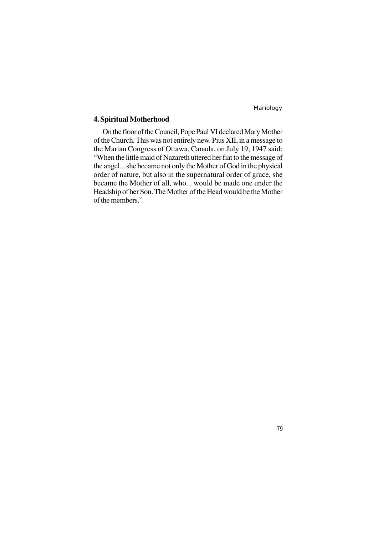## **4. Spiritual Motherhood**

On the floor of the Council, Pope Paul VI declared Mary Mother of the Church. This was not entirely new. Pius XII, in a message to the Marian Congress of Ottawa, Canada, on July 19, 1947 said: "When the little maid of Nazareth uttered her fiat to the message of the angel... she became not only the Mother of God in the physical order of nature, but also in the supernatural order of grace, she became the Mother of all, who... would be made one under the Headship of her Son. The Mother of the Head would be the Mother of the members."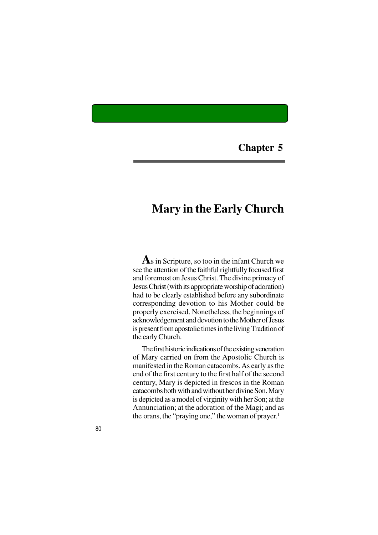**Chapter 5**

## **Mary in the Early Church**

**A**s in Scripture, so too in the infant Church we see the attention of the faithful rightfully focused first and foremost on Jesus Christ. The divine primacy of Jesus Christ (with its appropriate worship of adoration) had to be clearly established before any subordinate corresponding devotion to his Mother could be properly exercised. Nonetheless, the beginnings of acknowledgement and devotion to the Mother of Jesus is present from apostolic times in the living Tradition of the early Church.

The first historic indications of the existing veneration of Mary carried on from the Apostolic Church is manifested in the Roman catacombs. As early as the end of the first century to the first half of the second century, Mary is depicted in frescos in the Roman catacombs both with and without her divine Son. Mary is depicted as a model of virginity with her Son; at the Annunciation; at the adoration of the Magi; and as the orans, the "praying one," the woman of prayer. 1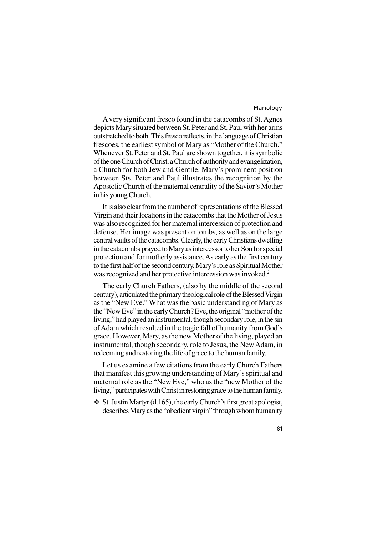A very significant fresco found in the catacombs of St. Agnes depicts Mary situated between St. Peter and St. Paul with her arms outstretched to both. This fresco reflects, in the language of Christian frescoes, the earliest symbol of Mary as "Mother of the Church." Whenever St. Peter and St. Paul are shown together, it is symbolic of the one Church of Christ, a Church of authority and evangelization, a Church for both Jew and Gentile. Mary's prominent position between Sts. Peter and Paul illustrates the recognition by the Apostolic Church of the maternal centrality of the Savior's Mother in his young Church.

It is also clear from the number of representations of the Blessed Virgin and their locations in the catacombs that the Mother of Jesus was also recognized for her maternal intercession of protection and defense. Her image was present on tombs, as well as on the large central vaults of the catacombs. Clearly, the early Christians dwelling in the catacombs prayed to Mary as intercessor to her Son for special protection and for motherly assistance. As early as the first century to the first half of the second century, Mary's role as Spiritual Mother was recognized and her protective intercession was invoked.<sup>2</sup>

The early Church Fathers, (also by the middle of the second century), articulated the primary theological role of the Blessed Virgin as the "New Eve." What was the basic understanding of Mary as the "New Eve" in the early Church? Eve, the original "mother of the living," had played an instrumental, though secondary role, in the sin of Adam which resulted in the tragic fall of humanity from God's grace. However, Mary, as the new Mother of the living, played an instrumental, though secondary, role to Jesus, the New Adam, in redeeming and restoring the life of grace to the human family.

Let us examine a few citations from the early Church Fathers that manifest this growing understanding of Mary's spiritual and maternal role as the "New Eve," who as the "new Mother of the living," participates with Christ in restoring grace to the human family.

 $\div$  St. Justin Martyr (d.165), the early Church's first great apologist, describes Mary as the "obedient virgin" through whom humanity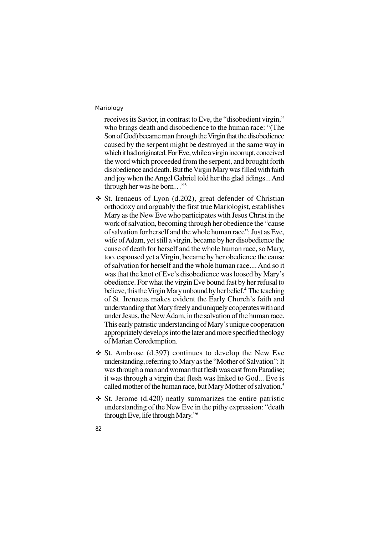receives its Savior, in contrast to Eve, the "disobedient virgin," who brings death and disobedience to the human race: "(The Son of God) became man through the Virgin that the disobedience caused by the serpent might be destroyed in the same way in which it had originated. For Eve, while a virgin incorrupt, conceived the word which proceeded from the serpent, and brought forth disobedience and death. But the Virgin Mary was filled with faith and joy when the Angel Gabriel told her the glad tidings... And through her was he born…"<sup>3</sup>

- $\div$  St. Irenaeus of Lyon (d.202), great defender of Christian orthodoxy and arguably the first true Mariologist, establishes Mary as the New Eve who participates with Jesus Christ in the work of salvation, becoming through her obedience the "cause of salvation for herself and the whole human race": Just as Eve, wife of Adam, yet still a virgin, became by her disobedience the cause of death for herself and the whole human race, so Mary, too, espoused yet a Virgin, became by her obedience the cause of salvation for herself and the whole human race.... And so it was that the knot of Eve's disobedience was loosed by Mary's obedience. For what the virgin Eve bound fast by her refusal to believe, this the Virgin Mary unbound by her belief.<sup>4</sup> The teaching of St. Irenaeus makes evident the Early Church's faith and understanding that Mary freely and uniquely cooperates with and under Jesus, the New Adam, in the salvation of the human race. This early patristic understanding of Mary's unique cooperation appropriately develops into the later and more specified theology of Marian Coredemption.
- $\div$  St. Ambrose (d.397) continues to develop the New Eve understanding, referring to Mary as the "Mother of Salvation": It was through a man and woman that flesh was cast from Paradise; it was through a virgin that flesh was linked to God... Eve is called mother of the human race, but Mary Mother of salvation.<sup>5</sup>
- $\div$  St. Jerome (d.420) neatly summarizes the entire patristic understanding of the New Eve in the pithy expression: "death through Eve, life through Mary."6
- 82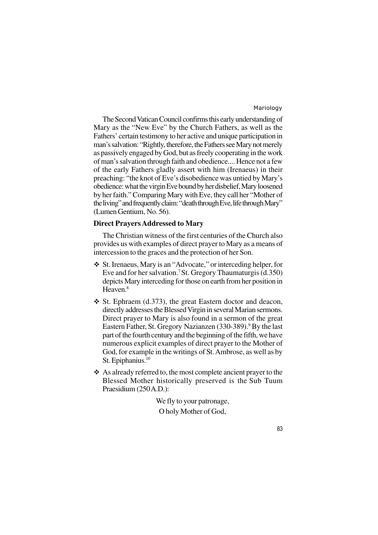The Second Vatican Council confirms this early understanding of Mary as the "New Eve" by the Church Fathers, as well as the Fathers' certain testimony to her active and unique participation in man's salvation: "Rightly, therefore, the Fathers see Mary not merely as passively engaged by God, but as freely cooperating in the work of man's salvation through faith and obedience.... Hence not a few of the early Fathers gladly assert with him (Irenaeus) in their preaching: "the knot of Eve's disobedience was untied by Mary's obedience: what the virgin Eve bound by her disbelief, Mary loosened by her faith." Comparing Mary with Eve, they call her "Mother of the living" and frequently claim: "death through Eve, life through Mary" (Lumen Gentium, No. 56).

## **Direct Prayers Addressed to Mary**

The Christian witness of the first centuries of the Church also provides us with examples of direct prayer to Mary as a means of intercession to the graces and the protection of her Son.

- v St. Irenaeus, Mary is an "Advocate," or interceding helper, for Eve and for her salvation.<sup>7</sup>St. Gregory Thaumaturgis (d.350) depicts Mary interceding for those on earth from her position in Heaven.<sup>8</sup>
- $\div$  St. Ephraem (d.373), the great Eastern doctor and deacon, directly addresses the Blessed Virgin in several Marian sermons. Direct prayer to Mary is also found in a sermon of the great Eastern Father, St. Gregory Nazianzen (330-389).<sup>9</sup> By the last part of the fourth century and the beginning of the fifth, we have numerous explicit examples of direct prayer to the Mother of God, for example in the writings of St. Ambrose, as well as by St. Epiphanius.<sup>10</sup>
- v As already referred to, the most complete ancient prayer to the Blessed Mother historically preserved is the Sub Tuum Praesidium (250 A.D.):

We fly to your patronage, O holy Mother of God,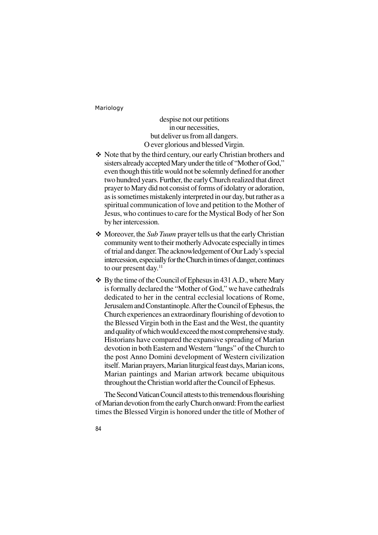despise not our petitions in our necessities, but deliver us from all dangers. O ever glorious and blessed Virgin.

- Note that by the third century, our early Christian brothers and sisters already accepted Mary under the title of "Mother of God," even though this title would not be solemnly defined for another two hundred years. Further, the early Church realized that direct prayer to Mary did not consist of forms of idolatry or adoration, as is sometimes mistakenly interpreted in our day, but rather as a spiritual communication of love and petition to the Mother of Jesus, who continues to care for the Mystical Body of her Son by her intercession.
- v Moreover, the *Sub Tuum* prayer tells us that the early Christian community went to their motherly Advocate especially in times of trial and danger. The acknowledgement of Our Lady's special intercession, especially for the Church in times of danger, continues to our present day.<sup>11</sup>
- $\div$  By the time of the Council of Ephesus in 431 A.D., where Mary is formally declared the "Mother of God," we have cathedrals dedicated to her in the central ecclesial locations of Rome, Jerusalem and Constantinople. After the Council of Ephesus, the Church experiences an extraordinary flourishing of devotion to the Blessed Virgin both in the East and the West, the quantity and quality of which would exceed the most comprehensive study. Historians have compared the expansive spreading of Marian devotion in both Eastern and Western "lungs" of the Church to the post Anno Domini development of Western civilization itself. Marian prayers, Marian liturgical feast days, Marian icons, Marian paintings and Marian artwork became ubiquitous throughout the Christian world after the Council of Ephesus.

The Second Vatican Council attests to this tremendous flourishing of Marian devotion from the early Church onward: From the earliest times the Blessed Virgin is honored under the title of Mother of

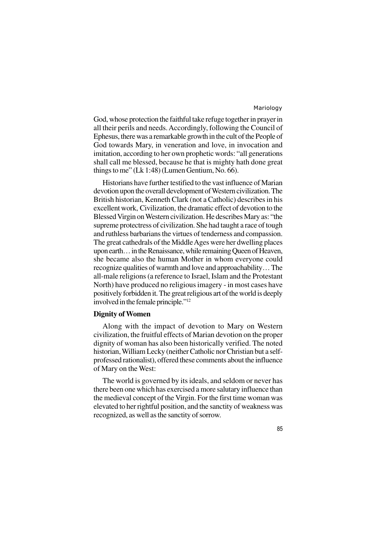God, whose protection the faithful take refuge together in prayer in all their perils and needs. Accordingly, following the Council of Ephesus, there was a remarkable growth in the cult of the People of God towards Mary, in veneration and love, in invocation and imitation, according to her own prophetic words: "all generations shall call me blessed, because he that is mighty hath done great things to me" (Lk 1:48) (Lumen Gentium, No. 66).

Historians have further testified to the vast influence of Marian devotion upon the overall development of Western civilization. The British historian, Kenneth Clark (not a Catholic) describes in his excellent work, Civilization, the dramatic effect of devotion to the Blessed Virgin on Western civilization. He describes Mary as: "the supreme protectress of civilization. She had taught a race of tough and ruthless barbarians the virtues of tenderness and compassion. The great cathedrals of the Middle Ages were her dwelling places upon earth… in the Renaissance, while remaining Queen of Heaven, she became also the human Mother in whom everyone could recognize qualities of warmth and love and approachability… The all-male religions (a reference to Israel, Islam and the Protestant North) have produced no religious imagery - in most cases have positively forbidden it. The great religious art of the world is deeply involved in the female principle."<sup>12</sup>

## **Dignity of Women**

Along with the impact of devotion to Mary on Western civilization, the fruitful effects of Marian devotion on the proper dignity of woman has also been historically verified. The noted historian, William Lecky (neither Catholic nor Christian but a selfprofessed rationalist), offered these comments about the influence of Mary on the West:

The world is governed by its ideals, and seldom or never has there been one which has exercised a more salutary influence than the medieval concept of the Virgin. For the first time woman was elevated to her rightful position, and the sanctity of weakness was recognized, as well as the sanctity of sorrow.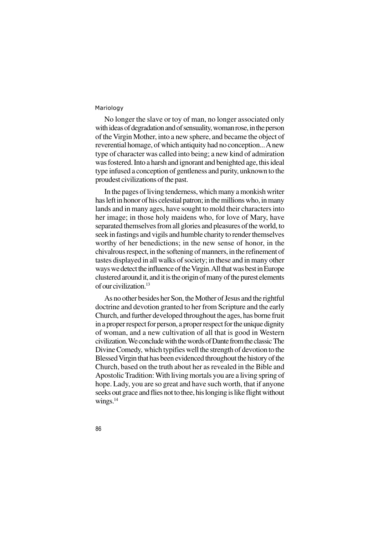No longer the slave or toy of man, no longer associated only with ideas of degradation and of sensuality, woman rose, in the person of the Virgin Mother, into a new sphere, and became the object of reverential homage, of which antiquity had no conception... A new type of character was called into being; a new kind of admiration was fostered. Into a harsh and ignorant and benighted age, this ideal type infused a conception of gentleness and purity, unknown to the proudest civilizations of the past.

In the pages of living tenderness, which many a monkish writer has left in honor of his celestial patron; in the millions who, in many lands and in many ages, have sought to mold their characters into her image; in those holy maidens who, for love of Mary, have separated themselves from all glories and pleasures of the world, to seek in fastings and vigils and humble charity to render themselves worthy of her benedictions; in the new sense of honor, in the chivalrous respect, in the softening of manners, in the refinement of tastes displayed in all walks of society; in these and in many other ways we detect the influence of the Virgin. All that was best in Europe clustered around it, and it is the origin of many of the purest elements of our civilization.<sup>13</sup>

As no other besides her Son, the Mother of Jesus and the rightful doctrine and devotion granted to her from Scripture and the early Church, and further developed throughout the ages, has borne fruit in a proper respect for person, a proper respect for the unique dignity of woman, and a new cultivation of all that is good in Western civilization. We conclude with the words of Dante from the classic The Divine Comedy, which typifies well the strength of devotion to the Blessed Virgin that has been evidenced throughout the history of the Church, based on the truth about her as revealed in the Bible and Apostolic Tradition: With living mortals you are a living spring of hope. Lady, you are so great and have such worth, that if anyone seeks out grace and flies not to thee, his longing is like flight without wings.<sup>14</sup>

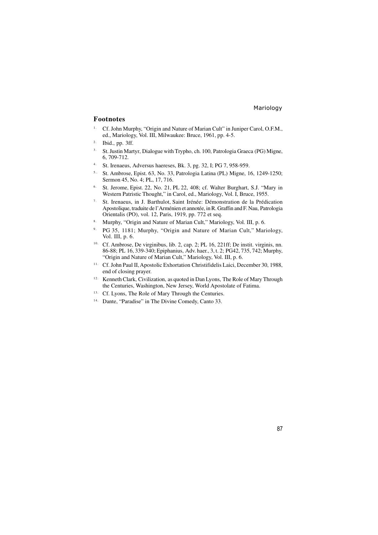#### **Footnotes**

- <sup>1.</sup> Cf. John Murphy, "Origin and Nature of Marian Cult" in Juniper Carol, O.F.M., ed., Mariology, Vol. III, Milwaukee: Bruce, 1961, pp. 4-5.
- 2. Ibid., pp. 3ff.
- <sup>3.</sup> St. Justin Martyr, Dialogue with Trypho, ch. 100, Patrologia Graeca (PG) Migne, 6, 709-712.
- 4. St. Irenaeus, Adversus haereses, Bk. 3, pg. 32, I; PG 7, 958-959.
- 5.. St. Ambrose, Epist. 63, No. 33, Patrologia Latina (PL) Migne, 16, 1249-1250; Sermon 45, No. 4; PL, 17, 716.
- 6. St. Jerome, Epist. 22, No. 21, PL 22, 408; cf. Walter Burghart, S.J. "Mary in Western Patristic Thought," in Carol, ed., Mariology, Vol. I, Bruce, 1955.
- 7. St. Irenaeus, in J. Barthulot, Saint Irénée: Démonstration de la Prédication Apostolique, traduite de l'Arménien et annotée, in R. Graffin and F. Nau, Patrologia Orientalis (PO), vol. 12, Paris, 1919, pp. 772 et seq.
- 8. Murphy, "Origin and Nature of Marian Cult," Mariology, Vol. III, p. 6.
- 9. PG 35, 1181; Murphy, "Origin and Nature of Marian Cult," Mariology, Vol. III, p. 6.
- 10. Cf. Ambrose, De virginibus, lib. 2, cap. 2; PL 16, 221ff; De instit. virginis, nn. 86-88; PL 16, 339-340; Epiphanius, Adv. haer., 3, t. 2; PG42, 735, 742; Murphy, "Origin and Nature of Marian Cult," Mariology, Vol. III, p. 6.
- 11. Cf. John Paul II, Apostolic Exhortation Christifidelis Laici, December 30, 1988, end of closing prayer.
- 12. Kenneth Clark, Civilization, as quoted in Dan Lyons, The Role of Mary Through the Centuries, Washington, New Jersey, World Apostolate of Fatima.
- 13. Cf. Lyons, The Role of Mary Through the Centuries.
- 14. Dante, "Paradise" in The Divine Comedy, Canto 33.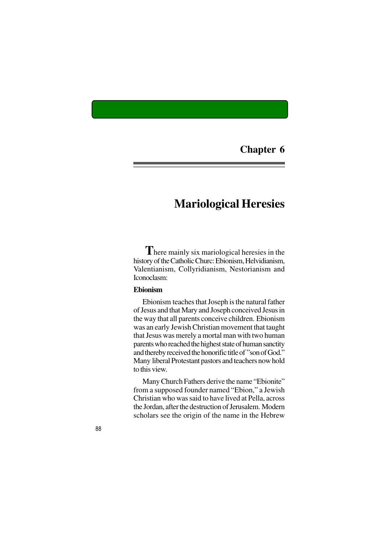**Chapter 6**

# **Mariological Heresies**

 **T**here mainly six mariological heresies in the history of the Catholic Churc: Ebionism, Helvidianism, Valentianism, Collyridianism, Nestorianism and Iconoclasm:

## **Ebionism**

Ebionism teaches that Joseph is the natural father of Jesus and that Mary and Joseph conceived Jesus in the way that all parents conceive children. Ebionism was an early Jewish Christian movement that taught that Jesus was merely a mortal man with two human parents who reached the highest state of human sanctity and thereby received the honorific title of "son of God." Many liberal Protestant pastors and teachers now hold to this view.

Many Church Fathers derive the name "Ebionite" from a supposed founder named "Ebion," a Jewish Christian who was said to have lived at Pella, across the Jordan, after the destruction of Jerusalem. Modern scholars see the origin of the name in the Hebrew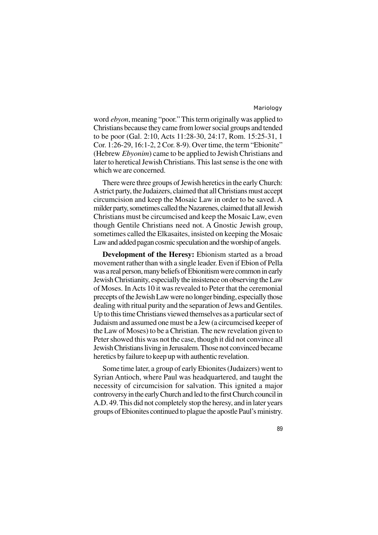word *ebyon*, meaning "poor." This term originally was applied to Christians because they came from lower social groups and tended to be poor (Gal. 2:10, Acts 11:28-30, 24:17, Rom. 15:25-31, 1 Cor. 1:26-29, 16:1-2, 2 Cor. 8-9). Over time, the term "Ebionite" (Hebrew *Ebyonim*) came to be applied to Jewish Christians and later to heretical Jewish Christians. This last sense is the one with which we are concerned.

There were three groups of Jewish heretics in the early Church: A strict party, the Judaizers, claimed that all Christians must accept circumcision and keep the Mosaic Law in order to be saved. A milder party, sometimes called the Nazarenes, claimed that all Jewish Christians must be circumcised and keep the Mosaic Law, even though Gentile Christians need not. A Gnostic Jewish group, sometimes called the Elkasaites, insisted on keeping the Mosaic Law and added pagan cosmic speculation and the worship of angels.

**Development of the Heresy:** Ebionism started as a broad movement rather than with a single leader. Even if Ebion of Pella was a real person, many beliefs of Ebionitism were common in early Jewish Christianity, especially the insistence on observing the Law of Moses. In Acts 10 it was revealed to Peter that the ceremonial precepts of the Jewish Law were no longer binding, especially those dealing with ritual purity and the separation of Jews and Gentiles. Up to this time Christians viewed themselves as a particular sect of Judaism and assumed one must be a Jew (a circumcised keeper of the Law of Moses) to be a Christian. The new revelation given to Peter showed this was not the case, though it did not convince all Jewish Christians living in Jerusalem. Those not convinced became heretics by failure to keep up with authentic revelation.

Some time later, a group of early Ebionites (Judaizers) went to Syrian Antioch, where Paul was headquartered, and taught the necessity of circumcision for salvation. This ignited a major controversy in the early Church and led to the first Church council in A.D. 49. This did not completely stop the heresy, and in later years groups of Ebionites continued to plague the apostle Paul's ministry.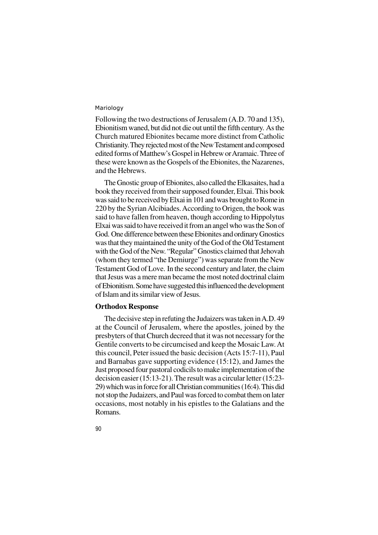Following the two destructions of Jerusalem (A.D. 70 and 135), Ebionitism waned, but did not die out until the fifth century. As the Church matured Ebionites became more distinct from Catholic Christianity. They rejected most of the New Testament and composed edited forms of Matthew's Gospel in Hebrew or Aramaic. Three of these were known as the Gospels of the Ebionites, the Nazarenes, and the Hebrews.

The Gnostic group of Ebionites, also called the Elkasaites, had a book they received from their supposed founder, Elxai. This book was said to be received by Elxai in 101 and was brought to Rome in 220 by the Syrian Alcibiades. According to Origen, the book was said to have fallen from heaven, though according to Hippolytus Elxai was said to have received it from an angel who was the Son of God. One difference between these Ebionites and ordinary Gnostics was that they maintained the unity of the God of the Old Testament with the God of the New. "Regular" Gnostics claimed that Jehovah (whom they termed "the Demiurge") was separate from the New Testament God of Love. In the second century and later, the claim that Jesus was a mere man became the most noted doctrinal claim of Ebionitism. Some have suggested this influenced the development of Islam and its similar view of Jesus.

#### **Orthodox Response**

The decisive step in refuting the Judaizers was taken in A.D. 49 at the Council of Jerusalem, where the apostles, joined by the presbyters of that Church decreed that it was not necessary for the Gentile converts to be circumcised and keep the Mosaic Law. At this council, Peter issued the basic decision (Acts 15:7-11), Paul and Barnabas gave supporting evidence (15:12), and James the Just proposed four pastoral codicils to make implementation of the decision easier (15:13-21). The result was a circular letter (15:23- 29) which was in force for all Christian communities (16:4). This did not stop the Judaizers, and Paul was forced to combat them on later occasions, most notably in his epistles to the Galatians and the Romans.

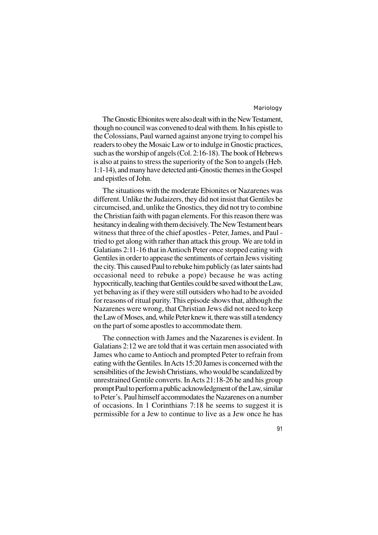The Gnostic Ebionites were also dealt with in the New Testament, though no council was convened to deal with them. In his epistle to the Colossians, Paul warned against anyone trying to compel his readers to obey the Mosaic Law or to indulge in Gnostic practices, such as the worship of angels (Col. 2:16-18). The book of Hebrews is also at pains to stress the superiority of the Son to angels (Heb. 1:1-14), and many have detected anti-Gnostic themes in the Gospel and epistles of John.

The situations with the moderate Ebionites or Nazarenes was different. Unlike the Judaizers, they did not insist that Gentiles be circumcised, and, unlike the Gnostics, they did not try to combine the Christian faith with pagan elements. For this reason there was hesitancy in dealing with them decisively. The New Testament bears witness that three of the chief apostles - Peter, James, and Paul tried to get along with rather than attack this group. We are told in Galatians 2:11-16 that in Antioch Peter once stopped eating with Gentiles in order to appease the sentiments of certain Jews visiting the city. This caused Paul to rebuke him publicly (as later saints had occasional need to rebuke a pope) because he was acting hypocritically, teaching that Gentiles could be saved without the Law, yet behaving as if they were still outsiders who had to be avoided for reasons of ritual purity. This episode shows that, although the Nazarenes were wrong, that Christian Jews did not need to keep the Law of Moses, and, while Peter knew it, there was still a tendency on the part of some apostles to accommodate them.

The connection with James and the Nazarenes is evident. In Galatians 2:12 we are told that it was certain men associated with James who came to Antioch and prompted Peter to refrain from eating with the Gentiles. In Acts 15:20 James is concerned with the sensibilities of the Jewish Christians, who would be scandalized by unrestrained Gentile converts. In Acts 21:18-26 he and his group prompt Paul to perform a public acknowledgment of the Law, similar to Peter's. Paul himself accommodates the Nazarenes on a number of occasions. In 1 Corinthians 7:18 he seems to suggest it is permissible for a Jew to continue to live as a Jew once he has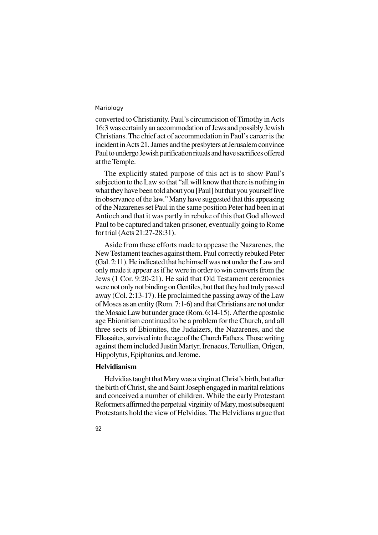converted to Christianity. Paul's circumcision of Timothy in Acts 16:3 was certainly an accommodation of Jews and possibly Jewish Christians. The chief act of accommodation in Paul's career is the incident in Acts 21. James and the presbyters at Jerusalem convince Paul to undergo Jewish purification rituals and have sacrifices offered at the Temple.

The explicitly stated purpose of this act is to show Paul's subjection to the Law so that "all will know that there is nothing in what they have been told about you [Paul] but that you yourself live in observance of the law." Many have suggested that this appeasing of the Nazarenes set Paul in the same position Peter had been in at Antioch and that it was partly in rebuke of this that God allowed Paul to be captured and taken prisoner, eventually going to Rome for trial (Acts 21:27-28:31).

Aside from these efforts made to appease the Nazarenes, the New Testament teaches against them. Paul correctly rebuked Peter (Gal. 2:11). He indicated that he himself was not under the Law and only made it appear as if he were in order to win converts from the Jews (1 Cor. 9:20-21). He said that Old Testament ceremonies were not only not binding on Gentiles, but that they had truly passed away (Col. 2:13-17). He proclaimed the passing away of the Law of Moses as an entity (Rom. 7:1-6) and that Christians are not under the Mosaic Law but under grace (Rom. 6:14-15). After the apostolic age Ebionitism continued to be a problem for the Church, and all three sects of Ebionites, the Judaizers, the Nazarenes, and the Elkasaites, survived into the age of the Church Fathers. Those writing against them included Justin Martyr, Irenaeus, Tertullian, Origen, Hippolytus, Epiphanius, and Jerome.

## **Helvidianism**

Helvidias taught that Mary was a virgin at Christ's birth, but after the birth of Christ, she and Saint Joseph engaged in marital relations and conceived a number of children. While the early Protestant Reformers affirmed the perpetual virginity of Mary, most subsequent Protestants hold the view of Helvidias. The Helvidians argue that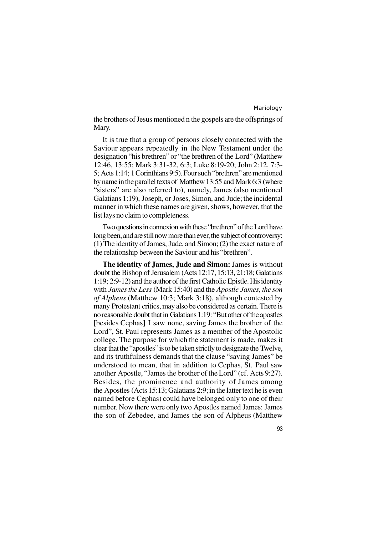the brothers of Jesus mentioned n the gospels are the offsprings of Mary.

It is true that a group of persons closely connected with the Saviour appears repeatedly in the New Testament under the designation "his brethren" or "the brethren of the Lord" (Matthew 12:46, 13:55; Mark 3:31-32, 6:3; Luke 8:19-20; John 2:12, 7:3- 5; Acts 1:14; 1 Corinthians 9:5). Four such "brethren" are mentioned by name in the parallel texts of Matthew 13:55 and Mark 6:3 (where "sisters" are also referred to), namely, James (also mentioned Galatians 1:19), Joseph, or Joses, Simon, and Jude; the incidental manner in which these names are given, shows, however, that the list lays no claim to completeness.

Two questions in connexion with these "brethren" of the Lord have long been, and are still now more than ever, the subject of controversy: (1) The identity of James, Jude, and Simon; (2) the exact nature of the relationship between the Saviour and his "brethren".

**The identity of James, Jude and Simon:** James is without doubt the Bishop of Jerusalem (Acts 12:17, 15:13, 21:18; Galatians 1:19; 2:9-12) and the author of the first Catholic Epistle. His identity with *James the Less* (Mark 15:40) and the *Apostle James, the son of Alpheus* (Matthew 10:3; Mark 3:18), although contested by many Protestant critics, may also be considered as certain. There is no reasonable doubt that in Galatians 1:19: "But other of the apostles [besides Cephas] I saw none, saving James the brother of the Lord", St. Paul represents James as a member of the Apostolic college. The purpose for which the statement is made, makes it clear that the "apostles" is to be taken strictly to designate the Twelve, and its truthfulness demands that the clause "saving James" be understood to mean, that in addition to Cephas, St. Paul saw another Apostle, "James the brother of the Lord" (cf. Acts 9:27). Besides, the prominence and authority of James among the Apostles (Acts 15:13; Galatians 2:9; in the latter text he is even named before Cephas) could have belonged only to one of their number. Now there were only two Apostles named James: James the son of Zebedee, and James the son of Alpheus (Matthew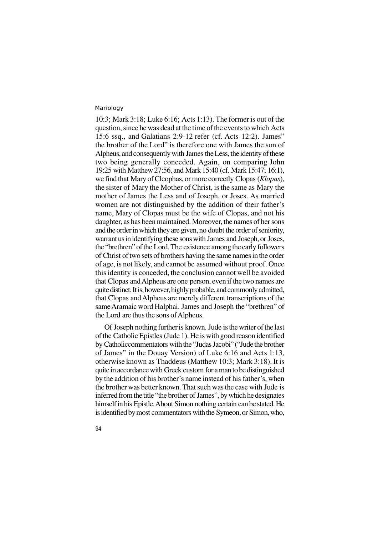10:3; Mark 3:18; Luke 6:16; Acts 1:13). The former is out of the question, since he was dead at the time of the events to which Acts 15:6 ssq., and Galatians 2:9-12 refer (cf. Acts 12:2). James" the brother of the Lord" is therefore one with James the son of Alpheus, and consequently with James the Less, the identity of these two being generally conceded. Again, on comparing John 19:25 with Matthew 27:56, and Mark 15:40 (cf. Mark 15:47; 16:1), we find that Mary of Cleophas, or more correctly Clopas (*Klopas*), the sister of Mary the Mother of Christ, is the same as Mary the mother of James the Less and of Joseph, or Joses. As married women are not distinguished by the addition of their father's name, Mary of Clopas must be the wife of Clopas, and not his daughter, as has been maintained. Moreover, the names of her sons and the order in which they are given, no doubt the order of seniority, warrant us in identifying these sons with James and Joseph, or Joses, the "brethren" of the Lord. The existence among the early followers of Christ of two sets of brothers having the same names in the order of age, is not likely, and cannot be assumed without proof. Once this identity is conceded, the conclusion cannot well be avoided that Clopas and Alpheus are one person, even if the two names are quite distinct. It is, however, highly probable, and commonly admitted, that Clopas and Alpheus are merely different transcriptions of the same Aramaic word Halphai. James and Joseph the "brethren" of the Lord are thus the sons of Alpheus.

Of Joseph nothing further is known. Jude is the writer of the last of the Catholic Epistles (Jude 1). He is with good reason identified by Catholiccommentators with the "Judas Jacobi" ("Jude the brother of James" in the Douay Version) of Luke 6:16 and Acts 1:13, otherwise known as Thaddeus (Matthew 10:3; Mark 3:18). It is quite in accordance with Greek custom for a man to be distinguished by the addition of his brother's name instead of his father's, when the brother was better known. That such was the case with Jude is inferred from the title "the brother of James", by which he designates himself in his Epistle. About Simon nothing certain can be stated. He is identified by most commentators with the Symeon, or Simon, who,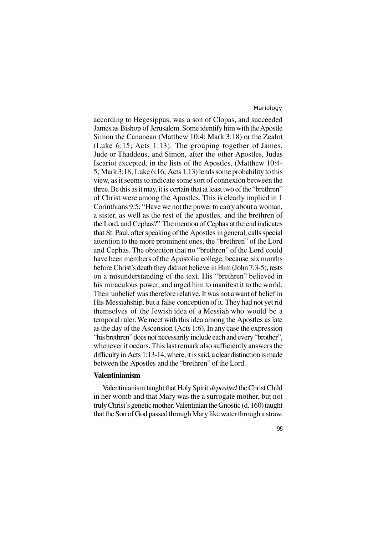according to Hegesippus, was a son of Clopas, and succeeded James as Bishop of Jerusalem. Some identify him with the Apostle Simon the Cananean (Matthew 10:4; Mark 3:18) or the Zealot (Luke 6:15; Acts 1:13). The grouping together of James, Jude or Thaddeus, and Simon, after the other Apostles, Judas Iscariot excepted, in the lists of the Apostles, (Matthew 10:4- 5; Mark 3:18; Luke 6:16; Acts 1:13) lends some probability to this view, as it seems to indicate some sort of connexion between the three. Be this as it may, it is certain that at least two of the "brethren" of Christ were among the Apostles. This is clearly implied in 1 Corinthians 9:5: "Have we not the power to carry about a woman, a sister, as well as the rest of the apostles, and the brethren of the Lord, and Cephas?" The mention of Cephas at the end indicates that St. Paul, after speaking of the Apostles in general, calls special attention to the more prominent ones, the "brethren" of the Lord and Cephas. The objection that no "brethren" of the Lord could have been members of the Apostolic college, because six months before Christ's death they did not believe in Him (John 7:3-5), rests on a misunderstanding of the text. His "brethren" believed in his miraculous power, and urged him to manifest it to the world. Their unbelief was therefore relative. It was not a want of belief in His Messiahship, but a false conception of it. They had not yet rid themselves of the Jewish idea of a Messiah who would be a temporal ruler. We meet with this idea among the Apostles as late as the day of the Ascension (Acts 1:6). In any case the expression "his brethren" does not necessarily include each and every "brother", whenever it occurs. This last remark also sufficiently answers the difficulty in Acts 1:13-14, where, it is said, a clear distinction is made between the Apostles and the "brethren" of the Lord.

#### **Valentinianism**

Valentinianism taught that Holy Spirit *deposited* the Christ Child in her womb and that Mary was the a surrogate mother, but not truly Christ's genetic mother. Valentinian the Gnostic (d. 160) taught that the Son of God passed through Mary like water through a straw.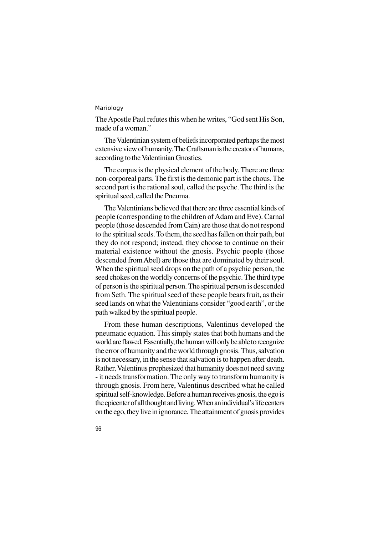The Apostle Paul refutes this when he writes, "God sent His Son, made of a woman."

The Valentinian system of beliefs incorporated perhaps the most extensive view of humanity. The Craftsman is the creator of humans, according to the Valentinian Gnostics.

The corpus is the physical element of the body. There are three non-corporeal parts. The first is the demonic part is the chous. The second part is the rational soul, called the psyche. The third is the spiritual seed, called the Pneuma.

The Valentinians believed that there are three essential kinds of people (corresponding to the children of Adam and Eve). Carnal people (those descended from Cain) are those that do not respond to the spiritual seeds. To them, the seed has fallen on their path, but they do not respond; instead, they choose to continue on their material existence without the gnosis. Psychic people (those descended from Abel) are those that are dominated by their soul. When the spiritual seed drops on the path of a psychic person, the seed chokes on the worldly concerns of the psychic. The third type of person is the spiritual person. The spiritual person is descended from Seth. The spiritual seed of these people bears fruit, as their seed lands on what the Valentinians consider "good earth", or the path walked by the spiritual people.

From these human descriptions, Valentinus developed the pneumatic equation. This simply states that both humans and the world are flawed. Essentially, the human will only be able to recognize the error of humanity and the world through gnosis. Thus, salvation is not necessary, in the sense that salvation is to happen after death. Rather, Valentinus prophesized that humanity does not need saving - it needs transformation. The only way to transform humanity is through gnosis. From here, Valentinus described what he called spiritual self-knowledge. Before a human receives gnosis, the ego is the epicenter of all thought and living. When an individual's life centers on the ego, they live in ignorance. The attainment of gnosis provides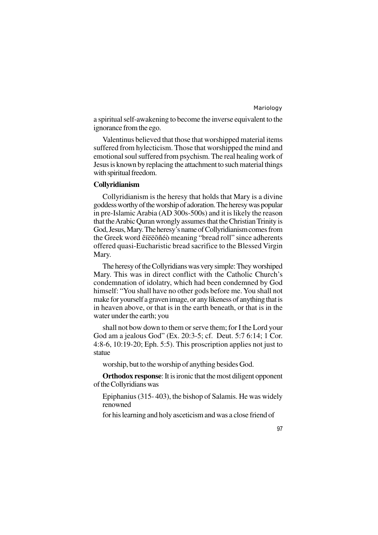a spiritual self-awakening to become the inverse equivalent to the ignorance from the ego.

Valentinus believed that those that worshipped material items suffered from hylecticism. Those that worshipped the mind and emotional soul suffered from psychism. The real healing work of Jesus is known by replacing the attachment to such material things with spiritual freedom.

## **Collyridianism**

Collyridianism is the heresy that holds that Mary is a divine goddess worthy of the worship of adoration. The heresy was popular in pre-Islamic Arabia (AD 300s-500s) and it is likely the reason that the Arabic Quran wrongly assumes that the Christian Trinity is God, Jesus, Mary. The heresy's name of Collyridianism comes from the Greek word êïëëõñéò meaning "bread roll" since adherents offered quasi-Eucharistic bread sacrifice to the Blessed Virgin Mary.

The heresy of the Collyridians was very simple: They worshiped Mary. This was in direct conflict with the Catholic Church's condemnation of idolatry, which had been condemned by God himself: "You shall have no other gods before me. You shall not make for yourself a graven image, or any likeness of anything that is in heaven above, or that is in the earth beneath, or that is in the water under the earth; you

shall not bow down to them or serve them; for I the Lord your God am a jealous God" (Ex. 20:3-5; cf. Deut. 5:7 6:14; 1 Cor. 4:8-6, 10:19-20; Eph. 5:5). This proscription applies not just to statue

worship, but to the worship of anything besides God.

**Orthodox response**: It is ironic that the most diligent opponent of the Collyridians was

- Epiphanius (315- 403), the bishop of Salamis. He was widely renowned
- for his learning and holy asceticism and was a close friend of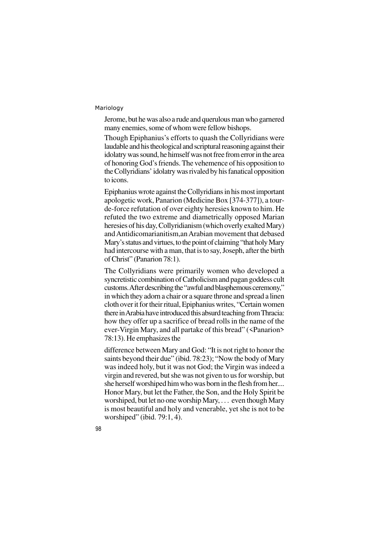Jerome, but he was also a rude and querulous man who garnered many enemies, some of whom were fellow bishops.

Though Epiphanius's efforts to quash the Collyridians were laudable and his theological and scriptural reasoning against their idolatry was sound, he himself was not free from error in the area of honoring God's friends. The vehemence of his opposition to the Collyridians' idolatry was rivaled by his fanatical opposition to icons.

Epiphanius wrote against the Collyridians in his most important apologetic work, Panarion (Medicine Box [374-377]), a tourde-force refutation of over eighty heresies known to him. He refuted the two extreme and diametrically opposed Marian heresies of his day, Collyridianism (which overly exalted Mary) and Antidicomarianitism,an Arabian movement that debased Mary's status and virtues, to the point of claiming "that holy Mary had intercourse with a man, that is to say, Joseph, after the birth of Christ" (Panarion 78:1).

The Collyridians were primarily women who developed a syncretistic combination of Catholicism and pagan goddess cult customs. After describing the "awful and blasphemous ceremony," in which they adorn a chair or a square throne and spread a linen cloth over it for their ritual, Epiphanius writes, "Certain women there in Arabia have introduced this absurd teaching from Thracia: how they offer up a sacrifice of bread rolls in the name of the ever-Virgin Mary, and all partake of this bread" (<Panarion> 78:13). He emphasizes the

difference between Mary and God: "It is not right to honor the saints beyond their due" (ibid. 78:23); "Now the body of Mary was indeed holy, but it was not God; the Virgin was indeed a virgin and revered, but she was not given to us for worship, but she herself worshiped him who was born in the flesh from her.... Honor Mary, but let the Father, the Son, and the Holy Spirit be worshiped, but let no one worship Mary, . . . even though Mary is most beautiful and holy and venerable, yet she is not to be worshiped" (ibid. 79:1, 4).

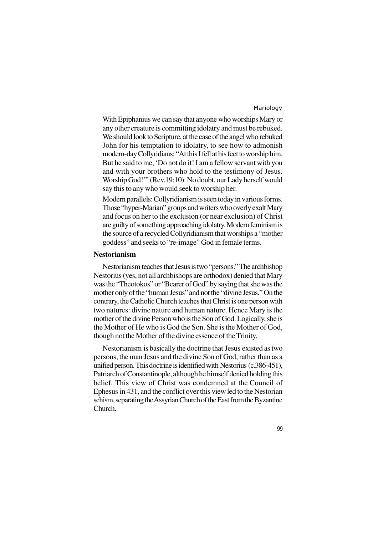With Epiphanius we can say that anyone who worships Mary or any other creature is committing idolatry and must be rebuked. We should look to Scripture, at the case of the angel who rebuked John for his temptation to idolatry, to see how to admonish modern-day Collyridians: "At this I fell at his feet to worship him. But he said to me, 'Do not do it! I am a fellow servant with you and with your brothers who hold to the testimony of Jesus. Worship God!'" (Rev.19:10). No doubt, our Lady herself would say this to any who would seek to worship her.

Modern parallels: Collyridianism is seen today in various forms. Those "hyper-Marian" groups and writers who overly exalt Mary and focus on her to the exclusion (or near exclusion) of Christ are guilty of something approaching idolatry. Modern feminism is the source of a recycled Collyridianism that worships a "mother goddess" and seeks to "re-image" God in female terms.

## **Nestorianism**

Nestorianism teaches that Jesus is two "persons." The archbishop Nestorius (yes, not all archbishops are orthodox) denied that Mary was the "Theotokos" or "Bearer of God" by saying that she was the mother only of the "human Jesus" and not the "divine Jesus." On the contrary, the Catholic Church teaches that Christ is one person with two natures: divine nature and human nature. Hence Mary is the mother of the divine Person who is the Son of God. Logically, she is the Mother of He who is God the Son. She is the Mother of God, though not the Mother of the divine essence of the Trinity.

Nestorianism is basically the doctrine that Jesus existed as two persons, the man Jesus and the divine Son of God, rather than as a unified person. This doctrine is identified with Nestorius (c.386-451), Patriarch of Constantinople, although he himself denied holding this belief. This view of Christ was condemned at the Council of Ephesus in 431, and the conflict over this view led to the Nestorian schism, separating the Assyrian Church of the East from the Byzantine Church.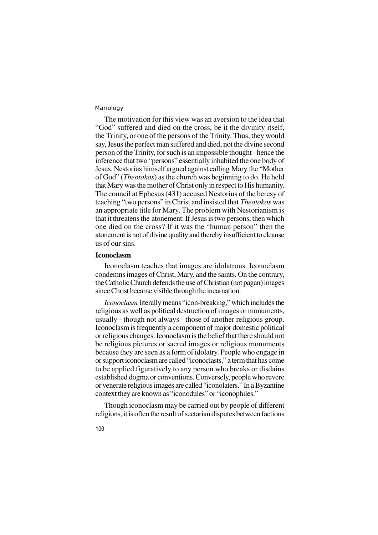The motivation for this view was an aversion to the idea that "God" suffered and died on the cross, be it the divinity itself, the Trinity, or one of the persons of the Trinity. Thus, they would say, Jesus the perfect man suffered and died, not the divine second person of the Trinity, for such is an impossible thought - hence the inference that two "persons" essentially inhabited the one body of Jesus. Nestorius himself argued against calling Mary the "Mother of God" (*Theotokos*) as the church was beginning to do. He held that Mary was the mother of Christ only in respect to His humanity. The council at Ephesus (431) accused Nestorius of the heresy of teaching "two persons" in Christ and insisted that *Theotokos* was an appropriate title for Mary. The problem with Nestorianism is that it threatens the atonement. If Jesus is two persons, then which one died on the cross? If it was the "human person" then the atonement is not of divine quality and thereby insufficient to cleanse us of our sins.

## **Iconoclasm**

Iconoclasm teaches that images are idolatrous. Iconoclasm condemns images of Christ, Mary, and the saints. On the contrary, the Catholic Church defends the use of Christian (not pagan) images since Christ became visible through the incarnation.

*Iconoclasm* literally means "icon-breaking," which includes the religious as well as political destruction of images or monuments, usually - though not always - those of another religious group. Iconoclasm is frequently a component of major domestic political or religious changes. Iconoclasm is the belief that there should not be religious pictures or sacred images or religious monuments because they are seen as a form of idolatry. People who engage in or support iconoclasm are called "iconoclasts," a term that has come to be applied figuratively to any person who breaks or disdains established dogma or conventions. Conversely, people who revere or venerate religious images are called "iconolaters." In a Byzantine context they are known as "iconodules" or "iconophiles."

Though iconoclasm may be carried out by people of different religions, it is often the result of sectarian disputes between factions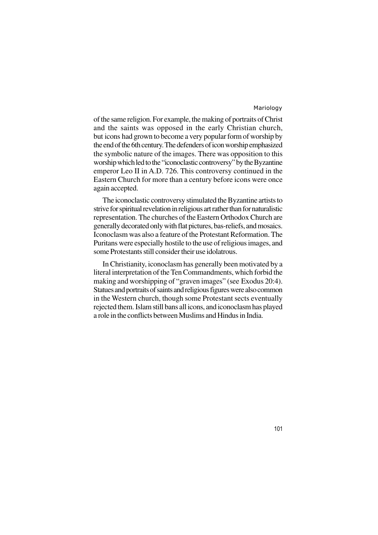of the same religion. For example, the making of portraits of Christ and the saints was opposed in the early Christian church, but icons had grown to become a very popular form of worship by the end of the 6th century. The defenders of icon worship emphasized the symbolic nature of the images. There was opposition to this worship which led to the "iconoclastic controversy" by the Byzantine emperor Leo II in A.D. 726. This controversy continued in the Eastern Church for more than a century before icons were once again accepted.

The iconoclastic controversy stimulated the Byzantine artists to strive for spiritual revelation in religious art rather than for naturalistic representation. The churches of the Eastern Orthodox Church are generally decorated only with flat pictures, bas-reliefs, and mosaics. Iconoclasm was also a feature of the Protestant Reformation. The Puritans were especially hostile to the use of religious images, and some Protestants still consider their use idolatrous.

In Christianity, iconoclasm has generally been motivated by a literal interpretation of the Ten Commandments, which forbid the making and worshipping of "graven images" (see Exodus 20:4). Statues and portraits of saints and religious figures were also common in the Western church, though some Protestant sects eventually rejected them. Islam still bans all icons, and iconoclasm has played a role in the conflicts between Muslims and Hindus in India.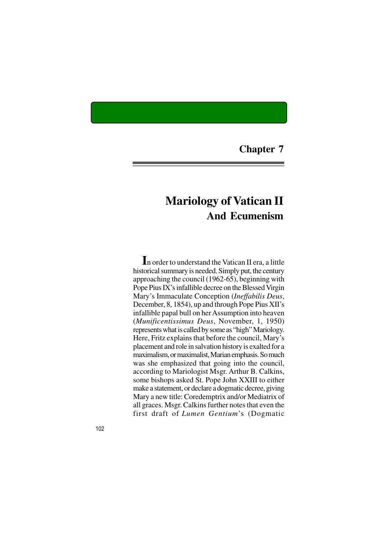**Chapter 7**

# **Mariology of Vatican II And Ecumenism**

**I**n order to understand the Vatican II era, a little historical summary is needed. Simply put, the century approaching the council (1962-65), beginning with Pope Pius IX's infallible decree on the Blessed Virgin Mary's Immaculate Conception (*Ineffabilis Deus*, December, 8, 1854), up and through Pope Pius XII's infallible papal bull on her Assumption into heaven (*Munificentissimus Deus*, November, 1, 1950) represents what is called by some as "high" Mariology. Here, Fritz explains that before the council, Mary's placement and role in salvation history is exalted for a maximalism, or maximalist, Marian emphasis. So much was she emphasized that going into the council, according to Mariologist Msgr. Arthur B. Calkins, some bishops asked St. Pope John XXIII to either make a statement, or declare a dogmatic decree, giving Mary a new title: Coredemptrix and/or Mediatrix of all graces. Msgr. Calkins further notes that even the first draft of *Lumen Gentium*'s (Dogmatic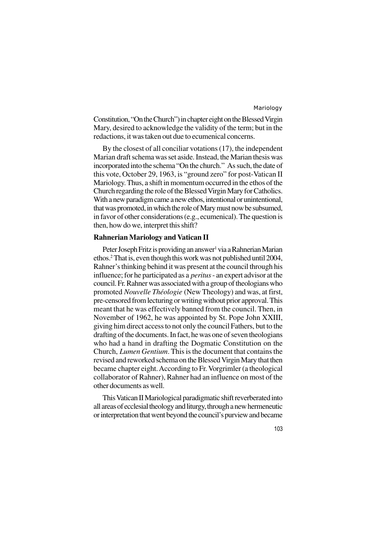Constitution, "On the Church") in chapter eight on the Blessed Virgin Mary, desired to acknowledge the validity of the term; but in the redactions, it was taken out due to ecumenical concerns.

By the closest of all conciliar votations (17), the independent Marian draft schema was set aside. Instead, the Marian thesis was incorporated into the schema "On the church." As such, the date of this vote, October 29, 1963, is "ground zero" for post-Vatican II Mariology. Thus, a shift in momentum occurred in the ethos of the Church regarding the role of the Blessed Virgin Mary for Catholics. With a new paradigm came a new ethos, intentional or unintentional, that was promoted, in which the role of Mary must now be subsumed, in favor of other considerations (e.g., ecumenical). The question is then, how do we, interpret this shift?

## **Rahnerian Mariology and Vatican II**

Peter Joseph Fritz is providing an answer<sup>1</sup> via a Rahnerian Marian ethos.<sup>2</sup> That is, even though this work was not published until 2004, Rahner's thinking behind it was present at the council through his influence; for he participated as a *peritus* - an expert advisor at the council. Fr. Rahner was associated with a group of theologians who promoted *Nouvelle Théologie* (New Theology) and was, at first, pre-censored from lecturing or writing without prior approval. This meant that he was effectively banned from the council. Then, in November of 1962, he was appointed by St. Pope John XXIII, giving him direct access to not only the council Fathers, but to the drafting of the documents. In fact, he was one of seven theologians who had a hand in drafting the Dogmatic Constitution on the Church, *Lumen Gentium*. This is the document that contains the revised and reworked schema on the Blessed Virgin Mary that then became chapter eight. According to Fr. Vorgrimler (a theological collaborator of Rahner), Rahner had an influence on most of the other documents as well.

This Vatican II Mariological paradigmatic shift reverberated into all areas of ecclesial theology and liturgy, through a new hermeneutic or interpretation that went beyond the council's purview and became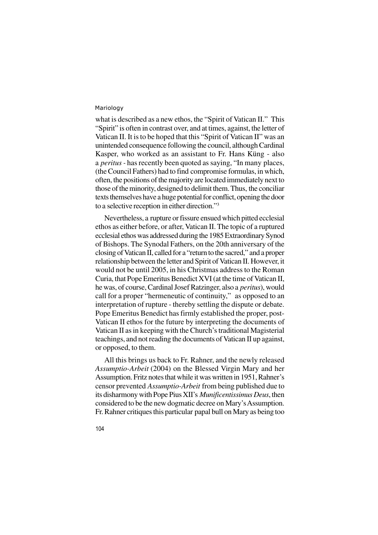what is described as a new ethos, the "Spirit of Vatican II." This "Spirit" is often in contrast over, and at times, against, the letter of Vatican II. It is to be hoped that this "Spirit of Vatican II" was an unintended consequence following the council, although Cardinal Kasper, who worked as an assistant to Fr. Hans Küng - also a *peritus -* has recently been quoted as saying, "In many places, (the Council Fathers) had to find compromise formulas, in which, often, the positions of the majority are located immediately next to those of the minority, designed to delimit them. Thus, the conciliar texts themselves have a huge potential for conflict, opening the door to a selective reception in either direction."<sup>3</sup>

Nevertheless, a rupture or fissure ensued which pitted ecclesial ethos as either before, or after, Vatican II. The topic of a ruptured ecclesial ethos was addressed during the 1985 Extraordinary Synod of Bishops. The Synodal Fathers, on the 20th anniversary of the closing of Vatican II, called for a "return to the sacred," and a proper relationship between the letter and Spirit of Vatican II. However, it would not be until 2005, in his Christmas address to the Roman Curia, that Pope Emeritus Benedict XVI (at the time of Vatican II, he was, of course, Cardinal Josef Ratzinger, also a *peritus*), would call for a proper "hermeneutic of continuity," as opposed to an interpretation of rupture - thereby settling the dispute or debate. Pope Emeritus Benedict has firmly established the proper, post-Vatican II ethos for the future by interpreting the documents of Vatican II as in keeping with the Church's traditional Magisterial teachings, and not reading the documents of Vatican II up against, or opposed, to them.

All this brings us back to Fr. Rahner, and the newly released *Assumptio-Arbeit* (2004) on the Blessed Virgin Mary and her Assumption. Fritz notes that while it was written in 1951, Rahner's censor prevented *Assumptio-Arbeit* from being published due to its disharmony with Pope Pius XII's *Munificentissimus Deus*, then considered to be the new dogmatic decree on Mary's Assumption. Fr. Rahner critiques this particular papal bull on Mary as being too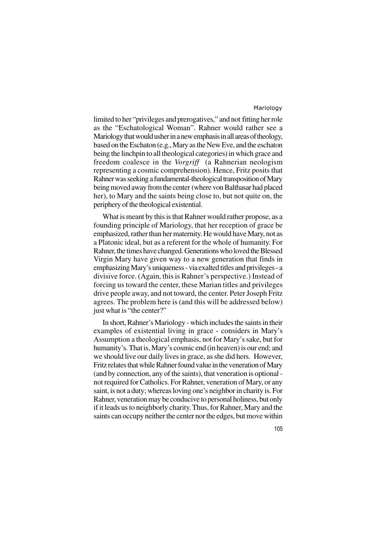limited to her "privileges and prerogatives," and not fitting her role as the "Eschatological Woman". Rahner would rather see a Mariology that would usher in a new emphasis in all areas of theology, based on the Eschaton (e.g., Mary as the New Eve, and the eschaton being the linchpin to all theological categories) in which grace and freedom coalesce in the *Vorgriff* (a Rahnerian neologism representing a cosmic comprehension). Hence, Fritz posits that Rahner was seeking a fundamental-theological transposition of Mary being moved away from the center (where von Balthasar had placed her), to Mary and the saints being close to, but not quite on, the periphery of the theological existential.

What is meant by this is that Rahner would rather propose, as a founding principle of Mariology, that her reception of grace be emphasized, rather than her maternity. He would have Mary, not as a Platonic ideal, but as a referent for the whole of humanity. For Rahner, the times have changed. Generations who loved the Blessed Virgin Mary have given way to a new generation that finds in emphasizing Mary's uniqueness - via exalted titles and privileges - a divisive force. (Again, this is Rahner's perspective.) Instead of forcing us toward the center, these Marian titles and privileges drive people away, and not toward, the center. Peter Joseph Fritz agrees. The problem here is (and this will be addressed below) just what is "the center?"

In short, Rahner's Mariology - which includes the saints in their examples of existential living in grace - considers in Mary's Assumption a theological emphasis, not for Mary's sake, but for humanity's. That is, Mary's cosmic end (in heaven) is our end; and we should live our daily lives in grace, as she did hers. However, Fritz relates that while Rahner found value in the veneration of Mary (and by connection, any of the saints), that veneration is optional not required for Catholics. For Rahner, veneration of Mary, or any saint, is not a duty; whereas loving one's neighbor in charity is. For Rahner, veneration may be conducive to personal holiness, but only if it leads us to neighborly charity. Thus, for Rahner, Mary and the saints can occupy neither the center nor the edges, but move within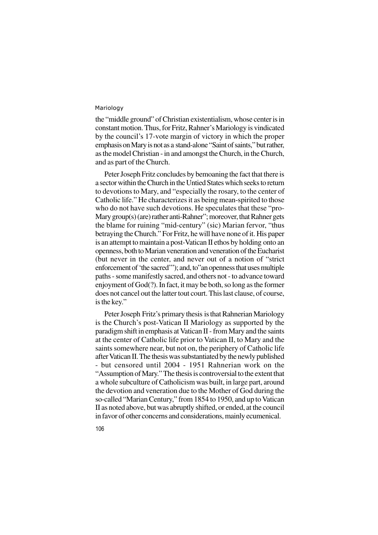106

the "middle ground" of Christian existentialism, whose center is in constant motion. Thus, for Fritz, Rahner's Mariology is vindicated by the council's 17-vote margin of victory in which the proper emphasis on Mary is not as a stand-alone "Saint of saints," but rather, as the model Christian - in and amongst the Church, in the Church, and as part of the Church.

Peter Joseph Fritz concludes by bemoaning the fact that there is a sector within the Church in the Untied States which seeks to return to devotions to Mary, and "especially the rosary, to the center of Catholic life." He characterizes it as being mean-spirited to those who do not have such devotions. He speculates that these "pro-Mary group(s) (are) rather anti-Rahner"; moreover, that Rahner gets the blame for ruining "mid-century" (sic) Marian fervor, "thus betraying the Church." For Fritz, he will have none of it. His paper is an attempt to maintain a post-Vatican II ethos by holding onto an openness, both to Marian veneration and veneration of the Eucharist (but never in the center, and never out of a notion of "strict enforcement of 'the sacred'"); and, to"an openness that uses multiple paths - some manifestly sacred, and others not - to advance toward enjoyment of God(?). In fact, it may be both, so long as the former does not cancel out the latter tout court. This last clause, of course, is the key."

Peter Joseph Fritz's primary thesis is that Rahnerian Mariology is the Church's post-Vatican II Mariology as supported by the paradigm shift in emphasis at Vatican II - from Mary and the saints at the center of Catholic life prior to Vatican II, to Mary and the saints somewhere near, but not on, the periphery of Catholic life after Vatican II. The thesis was substantiated by the newly published - but censored until 2004 - 1951 Rahnerian work on the "Assumption of Mary." The thesis is controversial to the extent that a whole subculture of Catholicism was built, in large part, around the devotion and veneration due to the Mother of God during the so-called "Marian Century," from 1854 to 1950, and up to Vatican II as noted above, but was abruptly shifted, or ended, at the council in favor of other concerns and considerations, mainly ecumenical.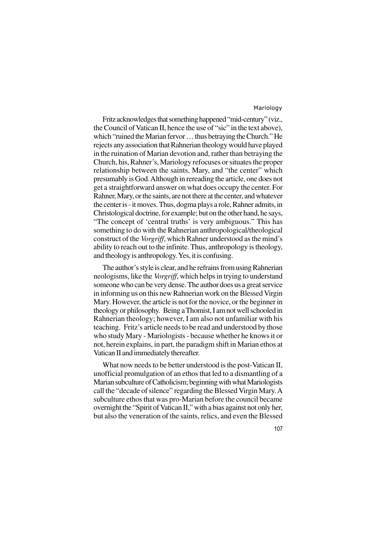Fritz acknowledges that something happened "mid-century" (viz., the Council of Vatican II, hence the use of "sic" in the text above), which "ruined the Marian fervor … thus betraying the Church." He rejects any association that Rahnerian theology would have played in the ruination of Marian devotion and, rather than betraying the Church, his, Rahner's, Mariology refocuses or situates the proper relationship between the saints, Mary, and "the center" which presumably is God. Although in rereading the article, one does not get a straightforward answer on what does occupy the center. For Rahner, Mary, or the saints, are not there at the center, and whatever the center is - it moves. Thus, dogma plays a role, Rahner admits, in Christological doctrine, for example; but on the other hand, he says, "The concept of 'central truths' is very ambiguous." This has something to do with the Rahnerian anthropological/theological construct of the *Vorgriff*, which Rahner understood as the mind's ability to reach out to the infinite. Thus, anthropology is theology, and theology is anthropology. Yes, it is confusing.

The author's style is clear, and he refrains from using Rahnerian neologisms, like the *Vorgriff*, which helps in trying to understand someone who can be very dense. The author does us a great service in informing us on this new Rahnerian work on the Blessed Virgin Mary. However, the article is not for the novice, or the beginner in theology or philosophy. Being a Thomist, I am not well schooled in Rahnerian theology; however, I am also not unfamiliar with his teaching. Fritz's article needs to be read and understood by those who study Mary - Mariologists - because whether he knows it or not, herein explains, in part, the paradigm shift in Marian ethos at Vatican II and immediately thereafter.

What now needs to be better understood is the post-Vatican II, unofficial promulgation of an ethos that led to a dismantling of a Marian subculture of Catholicism; beginning with what Mariologists call the "decade of silence" regarding the Blessed Virgin Mary. A subculture ethos that was pro-Marian before the council became overnight the "Spirit of Vatican II," with a bias against not only her, but also the veneration of the saints, relics, and even the Blessed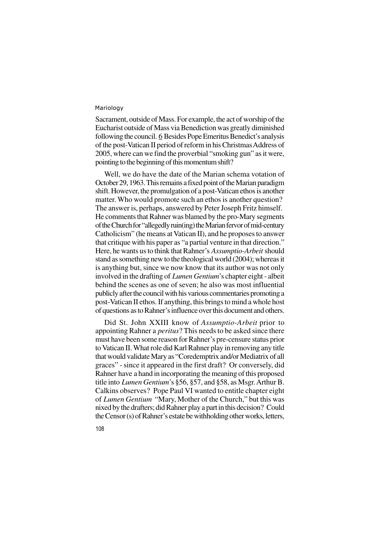Sacrament, outside of Mass. For example, the act of worship of the Eucharist outside of Mass via Benediction was greatly diminished following the council. 6 Besides Pope Emeritus Benedict's analysis of the post-Vatican II period of reform in his Christmas Address of 2005, where can we find the proverbial "smoking gun" as it were, pointing to the beginning of this momentum shift?

Well, we do have the date of the Marian schema votation of October 29, 1963. This remains a fixed point of the Marian paradigm shift. However, the promulgation of a post-Vatican ethos is another matter. Who would promote such an ethos is another question? The answer is, perhaps, answered by Peter Joseph Fritz himself. He comments that Rahner was blamed by the pro-Mary segments of the Church for "allegedly ruin(ing) the Marian fervor of mid-century Catholicism" (he means at Vatican II), and he proposes to answer that critique with his paper as "a partial venture in that direction." Here, he wants us to think that Rahner's *Assumptio-Arbeit* should stand as something new to the theological world (2004); whereas it is anything but, since we now know that its author was not only involved in the drafting of *Lumen Gentium*'s chapter eight - albeit behind the scenes as one of seven; he also was most influential publicly after the council with his various commentaries promoting a post-Vatican II ethos. If anything, this brings to mind a whole host of questions as to Rahner's influence over this document and others.

Did St. John XXIII know of *Assumptio-Arbeit* prior to appointing Rahner a *peritus*? This needs to be asked since there must have been some reason for Rahner's pre-censure status prior to Vatican II. What role did Karl Rahner play in removing any title that would validate Mary as "Coredemptrix and/or Mediatrix of all graces" - since it appeared in the first draft? Or conversely, did Rahner have a hand in incorporating the meaning of this proposed title into *Lumen Gentium*'s §56, §57, and §58, as Msgr. Arthur B. Calkins observes? Pope Paul VI wanted to entitle chapter eight of *Lumen Gentium* "Mary, Mother of the Church," but this was nixed by the drafters; did Rahner play a part in this decision? Could the Censor (s) of Rahner's estate be withholding other works, letters,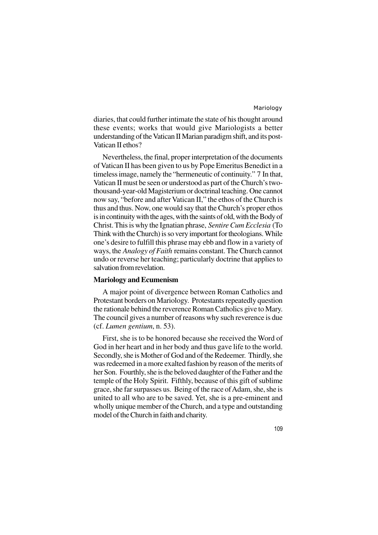diaries, that could further intimate the state of his thought around these events; works that would give Mariologists a better understanding of the Vatican II Marian paradigm shift, and its post-Vatican II ethos?

Nevertheless, the final, proper interpretation of the documents of Vatican II has been given to us by Pope Emeritus Benedict in a timeless image, namely the "hermeneutic of continuity." 7 In that, Vatican II must be seen or understood as part of the Church's twothousand-year-old Magisterium or doctrinal teaching. One cannot now say, "before and after Vatican II," the ethos of the Church is thus and thus. Now, one would say that the Church's proper ethos is in continuity with the ages, with the saints of old, with the Body of Christ. This is why the Ignatian phrase, *Sentire Cum Ecclesia* (To Think with the Church) is so very important for theologians. While one's desire to fulfill this phrase may ebb and flow in a variety of ways, the *Analogy of Faith* remains constant. The Church cannot undo or reverse her teaching; particularly doctrine that applies to salvation from revelation.

## **Mariology and Ecumenism**

A major point of divergence between Roman Catholics and Protestant borders on Mariology. Protestants repeatedly question the rationale behind the reverence Roman Catholics give to Mary. The council gives a number of reasons why such reverence is due (cf. *Lumen gentium*, n. 53).

First, she is to be honored because she received the Word of God in her heart and in her body and thus gave life to the world. Secondly, she is Mother of God and of the Redeemer. Thirdly, she was redeemed in a more exalted fashion by reason of the merits of her Son. Fourthly, she is the beloved daughter of the Father and the temple of the Holy Spirit. Fifthly, because of this gift of sublime grace, she far surpasses us. Being of the race of Adam, she, she is united to all who are to be saved. Yet, she is a pre-eminent and wholly unique member of the Church, and a type and outstanding model of the Church in faith and charity.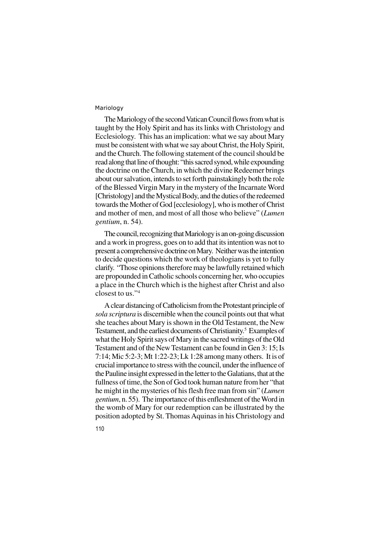The Mariology of the second Vatican Council flows from what is taught by the Holy Spirit and has its links with Christology and Ecclesiology. This has an implication: what we say about Mary must be consistent with what we say about Christ, the Holy Spirit, and the Church. The following statement of the council should be read along that line of thought: "this sacred synod, while expounding the doctrine on the Church, in which the divine Redeemer brings about our salvation, intends to set forth painstakingly both the role of the Blessed Virgin Mary in the mystery of the Incarnate Word [Christology] and the Mystical Body, and the duties of the redeemed towards the Mother of God [ecclesiology], who is mother of Christ and mother of men, and most of all those who believe" (*Lumen gentium*, n. 54).

The council, recognizing that Mariology is an on-going discussion and a work in progress, goes on to add that its intention was not to present a comprehensive doctrine on Mary. Neither was the intention to decide questions which the work of theologians is yet to fully clarify. "Those opinions therefore may be lawfully retained which are propounded in Catholic schools concerning her, who occupies a place in the Church which is the highest after Christ and also closest to us."<sup>4</sup>

A clear distancing of Catholicism from the Protestant principle of *sola scriptura* is discernible when the council points out that what she teaches about Mary is shown in the Old Testament, the New Testament, and the earliest documents of Christianity. 5 Examples of what the Holy Spirit says of Mary in the sacred writings of the Old Testament and of the New Testament can be found in Gen 3: 15; Is 7:14; Mic 5:2-3; Mt 1:22-23; Lk 1:28 among many others. It is of crucial importance to stress with the council, under the influence of the Pauline insight expressed in the letter to the Galatians, that at the fullness of time, the Son of God took human nature from her "that he might in the mysteries of his flesh free man from sin" (*Lumen gentium*, n. 55). The importance of this enfleshment of the Word in the womb of Mary for our redemption can be illustrated by the position adopted by St. Thomas Aquinas in his Christology and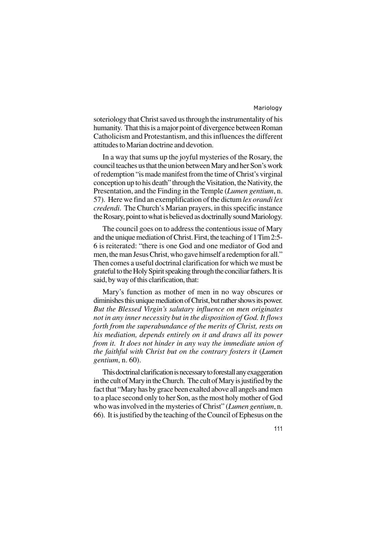soteriology that Christ saved us through the instrumentality of his humanity. That this is a major point of divergence between Roman Catholicism and Protestantism, and this influences the different attitudes to Marian doctrine and devotion.

In a way that sums up the joyful mysteries of the Rosary, the council teaches us that the union between Mary and her Son's work of redemption "is made manifest from the time of Christ's virginal conception up to his death" through the Visitation, the Nativity, the Presentation, and the Finding in the Temple (*Lumen gentium*, n. 57). Here we find an exemplification of the dictum *lex orandi lex credendi*. The Church's Marian prayers, in this specific instance the Rosary, point to what is believed as doctrinally sound Mariology.

The council goes on to address the contentious issue of Mary and the unique mediation of Christ. First, the teaching of 1 Tim 2:5- 6 is reiterated: "there is one God and one mediator of God and men, the man Jesus Christ, who gave himself a redemption for all." Then comes a useful doctrinal clarification for which we must be grateful to the Holy Spirit speaking through the conciliar fathers. It is said, by way of this clarification, that:

Mary's function as mother of men in no way obscures or diminishes this unique mediation of Christ, but rather shows its power. *But the Blessed Virgin's salutary influence on men originates not in any inner necessity but in the disposition of God. It flows forth from the superabundance of the merits of Christ, rests on his mediation, depends entirely on it and draws all its power from it. It does not hinder in any way the immediate union of the faithful with Christ but on the contrary fosters it* (*Lumen gentium*, n. 60).

This doctrinal clarification is necessary to forestall any exaggeration in the cult of Mary in the Church. The cult of Mary is justified by the fact that "Mary has by grace been exalted above all angels and men to a place second only to her Son, as the most holy mother of God who was involved in the mysteries of Christ" (*Lumen gentium*, n. 66). It is justified by the teaching of the Council of Ephesus on the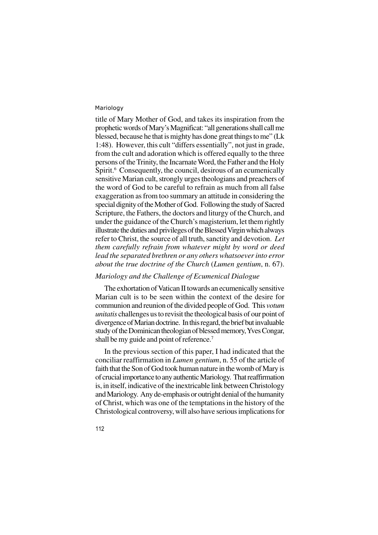title of Mary Mother of God, and takes its inspiration from the prophetic words of Mary's Magnificat: "all generations shall call me blessed, because he that is mighty has done great things to me" (Lk 1:48). However, this cult "differs essentially", not just in grade, from the cult and adoration which is offered equally to the three persons of the Trinity, the Incarnate Word, the Father and the Holy Spirit.<sup>6</sup> Consequently, the council, desirous of an ecumenically sensitive Marian cult, strongly urges theologians and preachers of the word of God to be careful to refrain as much from all false exaggeration as from too summary an attitude in considering the special dignity of the Mother of God. Following the study of Sacred Scripture, the Fathers, the doctors and liturgy of the Church, and under the guidance of the Church's magisterium, let them rightly illustrate the duties and privileges of the Blessed Virgin which always refer to Christ, the source of all truth, sanctity and devotion. *Let them carefully refrain from whatever might by word or deed lead the separated brethren or any others whatsoever into error about the true doctrine of the Church* (*Lumen gentium*, n. 67).

# *Mariology and the Challenge of Ecumenical Dialogue*

The exhortation of Vatican II towards an ecumenically sensitive Marian cult is to be seen within the context of the desire for communion and reunion of the divided people of God. This *votum unitatis* challenges us to revisit the theological basis of our point of divergence of Marian doctrine. In this regard, the brief but invaluable study of the Dominican theologian of blessed memory, Yves Congar, shall be my guide and point of reference.<sup>7</sup>

In the previous section of this paper, I had indicated that the conciliar reaffirmation in *Lumen gentium*, n. 55 of the article of faith that the Son of God took human nature in the womb of Mary is of crucial importance to any authentic Mariology. That reaffirmation is, in itself, indicative of the inextricable link between Christology and Mariology. Any de-emphasis or outright denial of the humanity of Christ, which was one of the temptations in the history of the Christological controversy, will also have serious implications for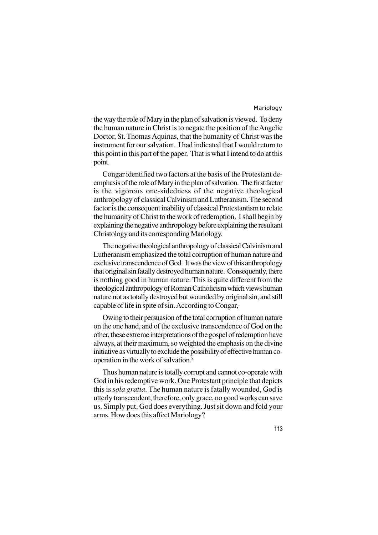the way the role of Mary in the plan of salvation is viewed. To deny the human nature in Christ is to negate the position of the Angelic Doctor, St. Thomas Aquinas, that the humanity of Christ was the instrument for our salvation. I had indicated that I would return to this point in this part of the paper. That is what I intend to do at this point.

Congar identified two factors at the basis of the Protestant deemphasis of the role of Mary in the plan of salvation. The first factor is the vigorous one-sidedness of the negative theological anthropology of classical Calvinism and Lutheranism. The second factor is the consequent inability of classical Protestantism to relate the humanity of Christ to the work of redemption. I shall begin by explaining the negative anthropology before explaining the resultant Christology and its corresponding Mariology.

The negative theological anthropology of classical Calvinism and Lutheranism emphasized the total corruption of human nature and exclusive transcendence of God. It was the view of this anthropology that original sin fatally destroyed human nature. Consequently, there is nothing good in human nature. This is quite different from the theological anthropology of Roman Catholicism which views human nature not as totally destroyed but wounded by original sin, and still capable of life in spite of sin. According to Congar,

Owing to their persuasion of the total corruption of human nature on the one hand, and of the exclusive transcendence of God on the other, these extreme interpretations of the gospel of redemption have always, at their maximum, so weighted the emphasis on the divine initiative as virtually to exclude the possibility of effective human cooperation in the work of salvation.<sup>8</sup>

Thus human nature is totally corrupt and cannot co-operate with God in his redemptive work. One Protestant principle that depicts this is *sola gratia*. The human nature is fatally wounded, God is utterly transcendent, therefore, only grace, no good works can save us. Simply put, God does everything. Just sit down and fold your arms. How does this affect Mariology?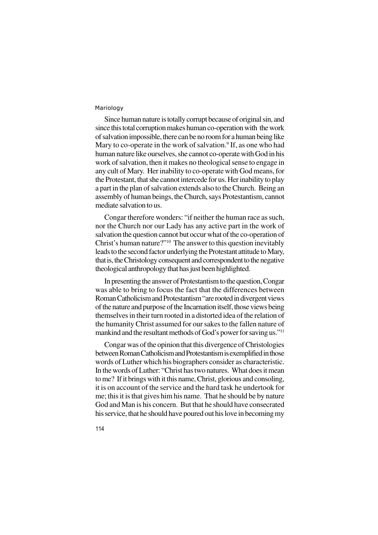Since human nature is totally corrupt because of original sin, and since this total corruption makes human co-operation with the work of salvation impossible, there can be no room for a human being like Mary to co-operate in the work of salvation.<sup>9</sup> If, as one who had human nature like ourselves, she cannot co-operate with God in his work of salvation, then it makes no theological sense to engage in any cult of Mary. Her inability to co-operate with God means, for the Protestant, that she cannot intercede for us. Her inability to play a part in the plan of salvation extends also to the Church. Being an assembly of human beings, the Church, says Protestantism, cannot mediate salvation to us.

Congar therefore wonders: "if neither the human race as such, nor the Church nor our Lady has any active part in the work of salvation the question cannot but occur what of the co-operation of Christ's human nature?"<sup>10</sup> The answer to this question inevitably leads to the second factor underlying the Protestant attitude to Mary, that is, the Christology consequent and correspondent to the negative theological anthropology that has just been highlighted.

In presenting the answer of Protestantism to the question, Congar was able to bring to focus the fact that the differences between Roman Catholicism and Protestantism "are rooted in divergent views of the nature and purpose of the Incarnation itself, those views being themselves in their turn rooted in a distorted idea of the relation of the humanity Christ assumed for our sakes to the fallen nature of mankind and the resultant methods of God's power for saving us."<sup>11</sup>

Congar was of the opinion that this divergence of Christologies between Roman Catholicism and Protestantism is exemplified in those words of Luther which his biographers consider as characteristic. In the words of Luther: "Christ has two natures. What does it mean to me? If it brings with it this name, Christ, glorious and consoling, it is on account of the service and the hard task he undertook for me; this it is that gives him his name. That he should be by nature God and Man is his concern. But that he should have consecrated his service, that he should have poured out his love in becoming my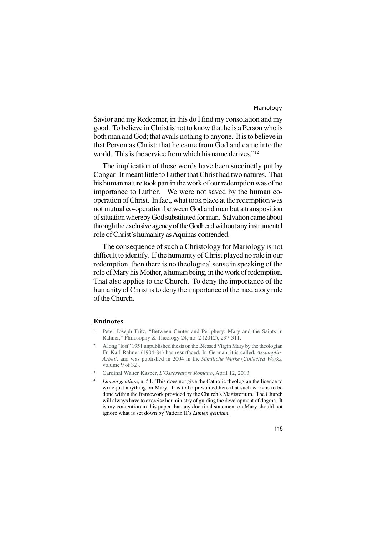Savior and my Redeemer, in this do I find my consolation and my good. To believe in Christ is not to know that he is a Person who is both man and God; that avails nothing to anyone. It is to believe in that Person as Christ; that he came from God and came into the world. This is the service from which his name derives."<sup>12</sup>

The implication of these words have been succinctly put by Congar. It meant little to Luther that Christ had two natures. That his human nature took part in the work of our redemption was of no importance to Luther. We were not saved by the human cooperation of Christ. In fact, what took place at the redemption was not mutual co-operation between God and man but a transposition of situation whereby God substituted for man. Salvation came about through the exclusive agency of the Godhead without any instrumental role of Christ's humanity as Aquinas contended.

The consequence of such a Christology for Mariology is not difficult to identify. If the humanity of Christ played no role in our redemption, then there is no theological sense in speaking of the role of Mary his Mother, a human being, in the work of redemption. That also applies to the Church. To deny the importance of the humanity of Christ is to deny the importance of the mediatory role of the Church.

#### **Endnotes**

- <sup>1</sup> Peter Joseph Fritz, "Between Center and Periphery: Mary and the Saints in Rahner," Philosophy & Theology 24, no. 2 (2012), 297-311.
- <sup>2</sup> A long "lost" 1951 unpublished thesis on the Blessed Virgin Mary by the theologian Fr. Karl Rahner (1904-84) has resurfaced. In German, it is called, *Assumptio-Arbeit*, and was published in 2004 in the *Sämtliche Werke* (*Collected Works*, volume 9 of 32).
- <sup>3</sup> Cardinal Walter Kasper, *L'Osservatore Romano*, April 12, 2013.
- *Lumen gentium*, n. 54. This does not give the Catholic theologian the licence to write just anything on Mary. It is to be presumed here that such work is to be done within the framework provided by the Church's Magisterium. The Church will always have to exercise her ministry of guiding the development of dogma. It is my contention in this paper that any doctrinal statement on Mary should not ignore what is set down by Vatican II's *Lumen gentium.*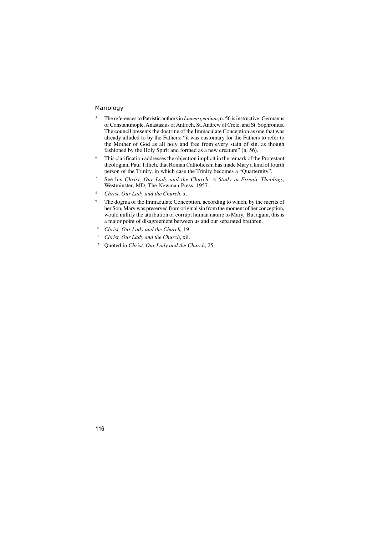- <sup>5</sup> The references to Patristic authors in *Lumen gentium*, n. 56 is instructive: Germanus of Constantinople, Anastasius of Antioch, St. Andrew of Crete, and St. Sophronius. The council presents the doctrine of the Immaculate Conception as one that was already alluded to by the Fathers: "it was customary for the Fathers to refer to the Mother of God as all holy and free from every stain of sin, as though fashioned by the Holy Spirit and formed as a new creature" (n. 56).
- <sup>6</sup> This clarification addresses the objection implicit in the remark of the Protestant theologian, Paul Tillich, that Roman Catholicism has made Mary a kind of fourth person of the Trinity, in which case the Trinity becomes a "Quarternity".
- <sup>7</sup> See his *Christ, Our Lady and the Church: A Study in Eirenic Theology,* Westminster, MD, The Newman Press, 1957.
- <sup>8</sup> *Christ, Our Lady and the Church*, x.
- <sup>9</sup> The dogma of the Immaculate Conception, according to which, by the merits of her Son, Mary was preserved from original sin from the moment of her conception, would nullify the attribution of corrupt human nature to Mary. But again, this is a major point of disagreement between us and our separated brethren.
- <sup>10</sup> *Christ, Our Lady and the Church, 19.*
- <sup>11</sup> *Christ, Our Lady and the Church, xii.*
- <sup>12</sup> Quoted in *Christ, Our Lady and the Church*, 25.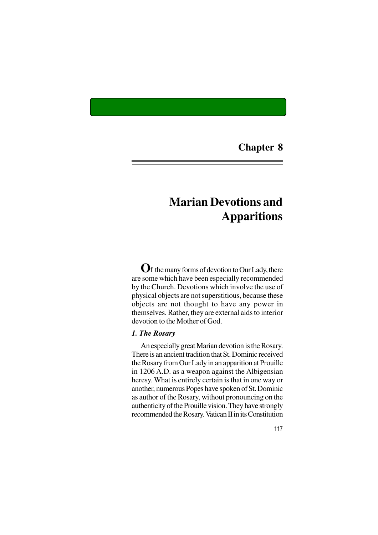**Chapter 8**

# **Marian Devotions and Apparitions**

**O**f the many forms of devotion to Our Lady, there are some which have been especially recommended by the Church. Devotions which involve the use of physical objects are not superstitious, because these objects are not thought to have any power in themselves. Rather, they are external aids to interior devotion to the Mother of God.

# *1. The Rosary*

An especially great Marian devotion is the Rosary. There is an ancient tradition that St. Dominic received the Rosary from Our Lady in an apparition at Prouille in 1206 A.D. as a weapon against the Albigensian heresy. What is entirely certain is that in one way or another, numerous Popes have spoken of St. Dominic as author of the Rosary, without pronouncing on the authenticity of the Prouille vision. They have strongly recommended the Rosary. Vatican II in its Constitution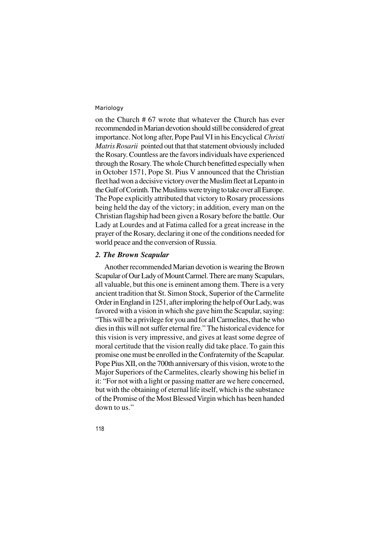on the Church # 67 wrote that whatever the Church has ever recommended in Marian devotion should still be considered of great importance. Not long after, Pope Paul VI in his Encyclical *Christi Matris Rosarii* pointed out that that statement obviously included the Rosary. Countless are the favors individuals have experienced through the Rosary. The whole Church benefitted especially when in October 1571, Pope St. Pius V announced that the Christian fleet had won a decisive victory over the Muslim fleet at Lepanto in the Gulf of Corinth. The Muslims were trying to take over all Europe. The Pope explicitly attributed that victory to Rosary processions being held the day of the victory; in addition, every man on the Christian flagship had been given a Rosary before the battle. Our Lady at Lourdes and at Fatima called for a great increase in the prayer of the Rosary, declaring it one of the conditions needed for world peace and the conversion of Russia.

# *2. The Brown Scapular*

Another recommended Marian devotion is wearing the Brown Scapular of Our Lady of Mount Carmel. There are many Scapulars, all valuable, but this one is eminent among them. There is a very ancient tradition that St. Simon Stock, Superior of the Carmelite Order in England in 1251, after imploring the help of Our Lady, was favored with a vision in which she gave him the Scapular, saying: "This will be a privilege for you and for all Carmelites, that he who dies in this will not suffer eternal fire." The historical evidence for this vision is very impressive, and gives at least some degree of moral certitude that the vision really did take place. To gain this promise one must be enrolled in the Confraternity of the Scapular. Pope Pius XII, on the 700th anniversary of this vision, wrote to the Major Superiors of the Carmelites, clearly showing his belief in it: "For not with a light or passing matter are we here concerned, but with the obtaining of eternal life itself, which is the substance of the Promise of the Most Blessed Virgin which has been handed down to us."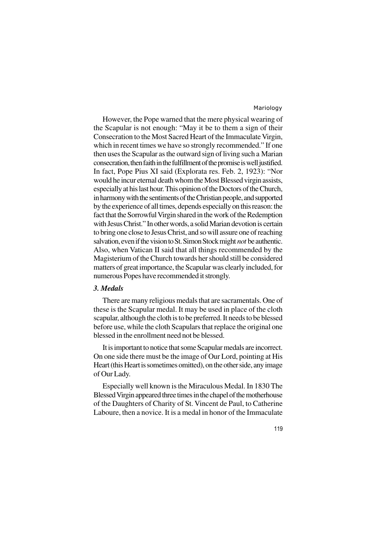However, the Pope warned that the mere physical wearing of the Scapular is not enough: "May it be to them a sign of their Consecration to the Most Sacred Heart of the Immaculate Virgin, which in recent times we have so strongly recommended." If one then uses the Scapular as the outward sign of living such a Marian consecration, then faith in the fulfillment of the promise is well justified. In fact, Pope Pius XI said (Explorata res. Feb. 2, 1923): "Nor would he incur eternal death whom the Most Blessed virgin assists, especially at his last hour. This opinion of the Doctors of the Church, in harmony with the sentiments of the Christian people, and supported by the experience of all times, depends especially on this reason: the fact that the Sorrowful Virgin shared in the work of the Redemption with Jesus Christ." In other words, a solid Marian devotion is certain to bring one close to Jesus Christ, and so will assure one of reaching salvation, even if the vision to St. Simon Stock might *not* be authentic. Also, when Vatican II said that all things recommended by the Magisterium of the Church towards her should still be considered matters of great importance, the Scapular was clearly included, for numerous Popes have recommended it strongly.

# *3. Medals*

There are many religious medals that are sacramentals. One of these is the Scapular medal. It may be used in place of the cloth scapular, although the cloth is to be preferred. It needs to be blessed before use, while the cloth Scapulars that replace the original one blessed in the enrollment need not be blessed.

It is important to notice that some Scapular medals are incorrect. On one side there must be the image of Our Lord, pointing at His Heart (this Heart is sometimes omitted), on the other side, any image of Our Lady.

Especially well known is the Miraculous Medal. In 1830 The Blessed Virgin appeared three times in the chapel of the motherhouse of the Daughters of Charity of St. Vincent de Paul, to Catherine Laboure, then a novice. It is a medal in honor of the Immaculate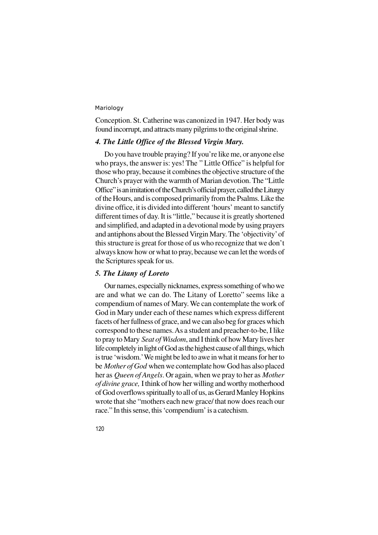Conception. St. Catherine was canonized in 1947. Her body was found incorrupt, and attracts many pilgrims to the original shrine.

# *4. The Little Office of the Blessed Virgin Mary.*

Do you have trouble praying? If you're like me, or anyone else who prays, the answer is: yes! The " Little Office" is helpful for those who pray, because it combines the objective structure of the Church's prayer with the warmth of Marian devotion. The "Little Office" is an imitation of the Church's official prayer, called the Liturgy of the Hours, and is composed primarily from the Psalms. Like the divine office, it is divided into different 'hours' meant to sanctify different times of day. It is "little," because it is greatly shortened and simplified, and adapted in a devotional mode by using prayers and antiphons about the Blessed Virgin Mary. The 'objectivity' of this structure is great for those of us who recognize that we don't always know how or what to pray, because we can let the words of the Scriptures speak for us.

## *5. The Litany of Loreto*

Our names, especially nicknames, express something of who we are and what we can do. The Litany of Loretto" seems like a compendium of names of Mary. We can contemplate the work of God in Mary under each of these names which express different facets of her fullness of grace, and we can also beg for graces which correspond to these names. As a student and preacher-to-be, I like to pray to Mary *Seat of Wisdom*, and I think of how Mary lives her life completely in light of God as the highest cause of all things, which is true 'wisdom.' We might be led to awe in what it means for her to be *Mother of God* when we contemplate how God has also placed her as *Queen of Angels*. Or again, when we pray to her as *Mother of divine grace,* I think of how her willing and worthy motherhood of God overflows spiritually to all of us, as Gerard Manley Hopkins wrote that she "mothers each new grace/ that now does reach our race." In this sense, this 'compendium' is a catechism.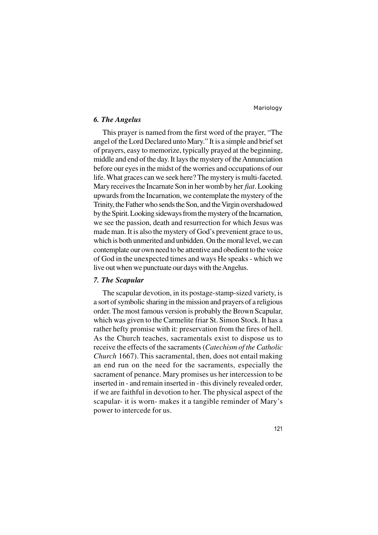## *6. The Angelus*

This prayer is named from the first word of the prayer, "The angel of the Lord Declared unto Mary." It is a simple and brief set of prayers, easy to memorize, typically prayed at the beginning, middle and end of the day. It lays the mystery of the Annunciation before our eyes in the midst of the worries and occupations of our life. What graces can we seek here? The mystery is multi-faceted. Mary receives the Incarnate Son in her womb by her *fiat*. Looking upwards from the Incarnation, we contemplate the mystery of the Trinity, the Father who sends the Son, and the Virgin overshadowed by the Spirit. Looking sideways from the mystery of the Incarnation, we see the passion, death and resurrection for which Jesus was made man. It is also the mystery of God's prevenient grace to us, which is both unmerited and unbidden. On the moral level, we can contemplate our own need to be attentive and obedient to the voice of God in the unexpected times and ways He speaks - which we live out when we punctuate our days with the Angelus.

### *7. The Scapular*

The scapular devotion, in its postage-stamp-sized variety, is a sort of symbolic sharing in the mission and prayers of a religious order. The most famous version is probably the Brown Scapular, which was given to the Carmelite friar St. Simon Stock. It has a rather hefty promise with it: preservation from the fires of hell. As the Church teaches, sacramentals exist to dispose us to receive the effects of the sacraments (*Catechism of the Catholic Church* 1667). This sacramental, then, does not entail making an end run on the need for the sacraments, especially the sacrament of penance. Mary promises us her intercession to be inserted in - and remain inserted in - this divinely revealed order, if we are faithful in devotion to her. The physical aspect of the scapular- it is worn- makes it a tangible reminder of Mary's power to intercede for us.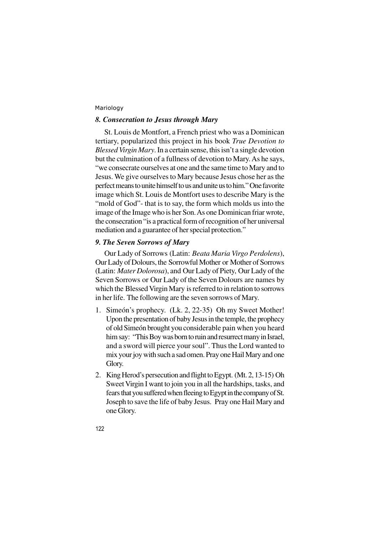# *8. Consecration to Jesus through Mary*

St. Louis de Montfort, a French priest who was a Dominican tertiary, popularized this project in his book *True Devotion to Blessed Virgin Mary*. In a certain sense, this isn't a single devotion but the culmination of a fullness of devotion to Mary. As he says, "we consecrate ourselves at one and the same time to Mary and to Jesus. We give ourselves to Mary because Jesus chose her as the perfect means to unite himself to us and unite us to him." One favorite image which St. Louis de Montfort uses to describe Mary is the "mold of God"- that is to say, the form which molds us into the image of the Image who is her Son. As one Dominican friar wrote, the consecration "is a practical form of recognition of her universal mediation and a guarantee of her special protection."

# *9. The Seven Sorrows of Mary*

Our Lady of Sorrows (Latin: *Beata Maria Virgo Perdolens*), Our Lady of Dolours, the Sorrowful Mother or Mother of Sorrows (Latin: *Mater Dolorosa*), and Our Lady of Piety, Our Lady of the Seven Sorrows or Our Lady of the Seven Dolours are names by which the Blessed Virgin Mary is referred to in relation to sorrows in her life. The following are the seven sorrows of Mary.

- 1. Simeón's prophecy. (Lk. 2, 22-35) Oh my Sweet Mother! Upon the presentation of baby Jesus in the temple, the prophecy of old Simeón brought you considerable pain when you heard him say: "This Boy was born to ruin and resurrect many in Israel, and a sword will pierce your soul". Thus the Lord wanted to mix your joy with such a sad omen. Pray one Hail Mary and one Glory.
- 2. King Herod's persecution and flight to Egypt. (Mt. 2, 13-15) Oh Sweet Virgin I want to join you in all the hardships, tasks, and fears that you suffered when fleeing to Egypt in the company of St. Joseph to save the life of baby Jesus. Pray one Hail Mary and one Glory.
- 122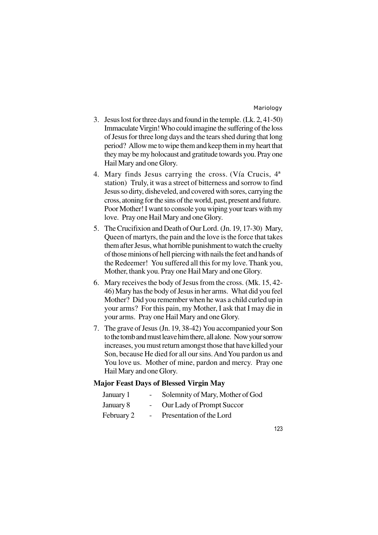- 3. Jesus lost for three days and found in the temple. (Lk. 2, 41-50) Immaculate Virgin! Who could imagine the suffering of the loss of Jesus for three long days and the tears shed during that long period? Allow me to wipe them and keep them in my heart that they may be my holocaust and gratitude towards you. Pray one Hail Mary and one Glory.
- 4. Mary finds Jesus carrying the cross. (Vía Crucis, 4ª station) Truly, it was a street of bitterness and sorrow to find Jesus so dirty, disheveled, and covered with sores, carrying the cross, atoning for the sins of the world, past, present and future. Poor Mother! I want to console you wiping your tears with my love. Pray one Hail Mary and one Glory.
- 5. The Crucifixion and Death of Our Lord. (Jn. 19, 17-30) Mary, Queen of martyrs, the pain and the love is the force that takes them after Jesus, what horrible punishment to watch the cruelty of those minions of hell piercing with nails the feet and hands of the Redeemer! You suffered all this for my love. Thank you, Mother, thank you. Pray one Hail Mary and one Glory.
- 6. Mary receives the body of Jesus from the cross. (Mk. 15, 42- 46) Mary has the body of Jesus in her arms. What did you feel Mother? Did you remember when he was a child curled up in your arms? For this pain, my Mother, I ask that I may die in your arms. Pray one Hail Mary and one Glory.
- 7. The grave of Jesus (Jn. 19, 38-42) You accompanied your Son to the tomb and must leave him there, all alone. Now your sorrow increases, you must return amongst those that have killed your Son, because He died for all our sins. And You pardon us and You love us. Mother of mine, pardon and mercy. Pray one Hail Mary and one Glory.

# **Major Feast Days of Blessed Virgin May**

| January 1  | $\overline{\phantom{0}}$ | Solemnity of Mary, Mother of God |
|------------|--------------------------|----------------------------------|
| January 8  |                          | Our Lady of Prompt Succor        |
| February 2 | $\sim$                   | Presentation of the Lord         |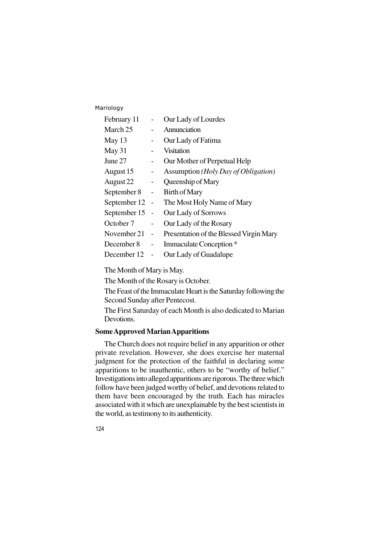| February 11  |                | Our Lady of Lourdes                     |
|--------------|----------------|-----------------------------------------|
| March 25     |                | Annunciation                            |
| May 13       |                | Our Lady of Fatima                      |
| May 31       |                | Visitation                              |
| June 27      |                | Our Mother of Perpetual Help            |
| August 15    |                | Assumption (Holy Day of Obligation)     |
| August 22    |                | Queenship of Mary                       |
| September 8  |                | Birth of Mary                           |
| September 12 | $\overline{a}$ | The Most Holy Name of Mary              |
| September 15 | $\overline{a}$ | Our Lady of Sorrows                     |
| October 7    |                | Our Lady of the Rosary                  |
| November 21  | $\overline{a}$ | Presentation of the Blessed Virgin Mary |
| December 8   |                | Immaculate Conception <sup>*</sup>      |
| December 12  |                | Our Lady of Guadalupe                   |

The Month of Mary is May.

The Month of the Rosary is October.

The Feast of the Immaculate Heart is the Saturday following the Second Sunday after Pentecost.

The First Saturday of each Month is also dedicated to Marian Devotions.

# **Some Approved Marian Apparitions**

The Church does not require belief in any apparition or other private revelation. However, she does exercise her maternal judgment for the protection of the faithful in declaring some apparitions to be inauthentic, others to be "worthy of belief." Investigations into alleged apparitions are rigorous. The three which follow have been judged worthy of belief, and devotions related to them have been encouraged by the truth. Each has miracles associated with it which are unexplainable by the best scientists in the world, as testimony to its authenticity.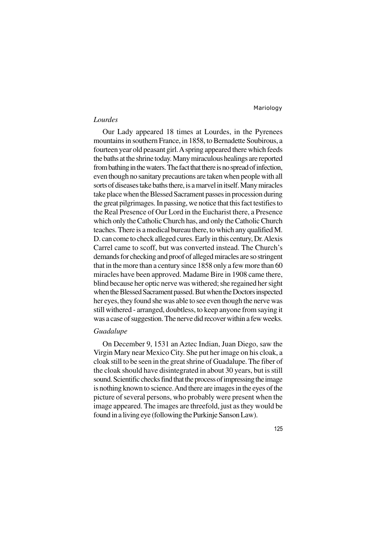### *Lourdes*

Our Lady appeared 18 times at Lourdes, in the Pyrenees mountains in southern France, in 1858, to Bernadette Soubirous, a fourteen year old peasant girl. A spring appeared there which feeds the baths at the shrine today. Many miraculous healings are reported from bathing in the waters. The fact that there is no spread of infection, even though no sanitary precautions are taken when people with all sorts of diseases take baths there, is a marvel in itself. Many miracles take place when the Blessed Sacrament passes in procession during the great pilgrimages. In passing, we notice that this fact testifies to the Real Presence of Our Lord in the Eucharist there, a Presence which only the Catholic Church has, and only the Catholic Church teaches. There is a medical bureau there, to which any qualified M. D. can come to check alleged cures. Early in this century, Dr. Alexis Carrel came to scoff, but was converted instead. The Church's demands for checking and proof of alleged miracles are so stringent that in the more than a century since 1858 only a few more than 60 miracles have been approved. Madame Bire in 1908 came there, blind because her optic nerve was withered; she regained her sight when the Blessed Sacrament passed. But when the Doctors inspected her eyes, they found she was able to see even though the nerve was still withered - arranged, doubtless, to keep anyone from saying it was a case of suggestion. The nerve did recover within a few weeks.

# *Guadalupe*

On December 9, 1531 an Aztec Indian, Juan Diego, saw the Virgin Mary near Mexico City. She put her image on his cloak, a cloak still to be seen in the great shrine of Guadalupe. The fiber of the cloak should have disintegrated in about 30 years, but is still sound. Scientific checks find that the process of impressing the image is nothing known to science. And there are images in the eyes of the picture of several persons, who probably were present when the image appeared. The images are threefold, just as they would be found in a living eye (following the Purkinje Sanson Law).